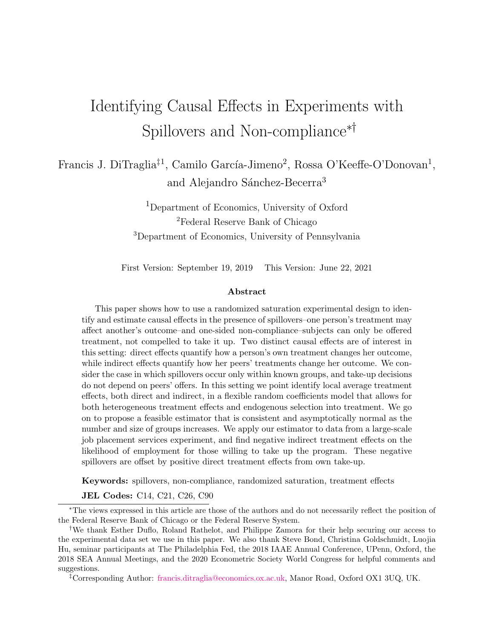# Identifying Causal Effects in Experiments with Spillovers and Non-compliance∗†

Francis J. DiTraglia<sup>‡1</sup>, Camilo García-Jimeno<sup>2</sup>, Rossa O'Keeffe-O'Donovan<sup>1</sup>, and Alejandro Sánchez-Becerra<sup>3</sup>

> <sup>1</sup>Department of Economics, University of Oxford <sup>2</sup>Federal Reserve Bank of Chicago <sup>3</sup>Department of Economics, University of Pennsylvania

First Version: September 19, 2019 This Version: June 22, 2021

#### Abstract

This paper shows how to use a randomized saturation experimental design to identify and estimate causal effects in the presence of spillovers–one person's treatment may affect another's outcome–and one-sided non-compliance–subjects can only be offered treatment, not compelled to take it up. Two distinct causal effects are of interest in this setting: direct effects quantify how a person's own treatment changes her outcome, while indirect effects quantify how her peers' treatments change her outcome. We consider the case in which spillovers occur only within known groups, and take-up decisions do not depend on peers' offers. In this setting we point identify local average treatment effects, both direct and indirect, in a flexible random coefficients model that allows for both heterogeneous treatment effects and endogenous selection into treatment. We go on to propose a feasible estimator that is consistent and asymptotically normal as the number and size of groups increases. We apply our estimator to data from a large-scale job placement services experiment, and find negative indirect treatment effects on the likelihood of employment for those willing to take up the program. These negative spillovers are offset by positive direct treatment effects from own take-up.

Keywords: spillovers, non-compliance, randomized saturation, treatment effects

JEL Codes: C14, C21, C26, C90

<sup>∗</sup>The views expressed in this article are those of the authors and do not necessarily reflect the position of the Federal Reserve Bank of Chicago or the Federal Reserve System.

<sup>†</sup>We thank Esther Duflo, Roland Rathelot, and Philippe Zamora for their help securing our access to the experimental data set we use in this paper. We also thank Steve Bond, Christina Goldschmidt, Luojia Hu, seminar participants at The Philadelphia Fed, the 2018 IAAE Annual Conference, UPenn, Oxford, the 2018 SEA Annual Meetings, and the 2020 Econometric Society World Congress for helpful comments and suggestions.

<sup>‡</sup>Corresponding Author: [francis.ditraglia@economics.ox.ac.uk,](mailto:francis.ditraglia@economics.ox.ax.uk) Manor Road, Oxford OX1 3UQ, UK.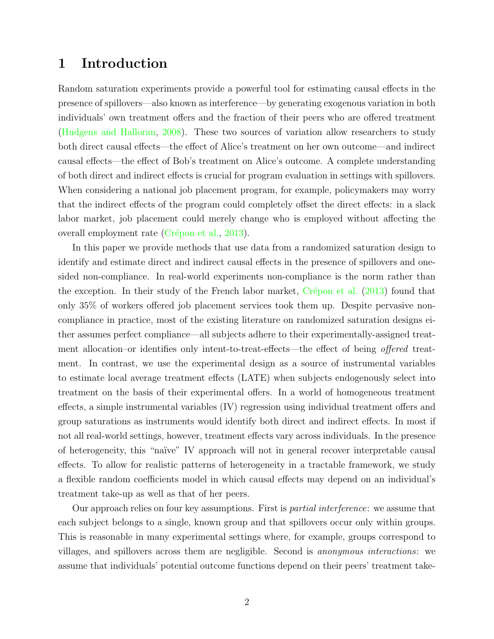### 1 Introduction

Random saturation experiments provide a powerful tool for estimating causal effects in the presence of spillovers—also known as interference—by generating exogenous variation in both individuals' own treatment offers and the fraction of their peers who are offered treatment [\(Hudgens and Halloran,](#page-33-0) [2008\)](#page-33-0). These two sources of variation allow researchers to study both direct causal effects—the effect of Alice's treatment on her own outcome—and indirect causal effects—the effect of Bob's treatment on Alice's outcome. A complete understanding of both direct and indirect effects is crucial for program evaluation in settings with spillovers. When considering a national job placement program, for example, policymakers may worry that the indirect effects of the program could completely offset the direct effects: in a slack labor market, job placement could merely change who is employed without affecting the overall employment rate (Crépon et al., [2013\)](#page-32-0).

In this paper we provide methods that use data from a randomized saturation design to identify and estimate direct and indirect causal effects in the presence of spillovers and onesided non-compliance. In real-world experiments non-compliance is the norm rather than the exception. In their study of the French labor market,  $Crépon$  et al. [\(2013\)](#page-32-0) found that only 35% of workers offered job placement services took them up. Despite pervasive noncompliance in practice, most of the existing literature on randomized saturation designs either assumes perfect compliance—all subjects adhere to their experimentally-assigned treatment allocation–or identifies only intent-to-treat-effects—the effect of being *offered* treatment. In contrast, we use the experimental design as a source of instrumental variables to estimate local average treatment effects (LATE) when subjects endogenously select into treatment on the basis of their experimental offers. In a world of homogeneous treatment effects, a simple instrumental variables (IV) regression using individual treatment offers and group saturations as instruments would identify both direct and indirect effects. In most if not all real-world settings, however, treatment effects vary across individuals. In the presence of heterogeneity, this "na¨ıve" IV approach will not in general recover interpretable causal effects. To allow for realistic patterns of heterogeneity in a tractable framework, we study a flexible random coefficients model in which causal effects may depend on an individual's treatment take-up as well as that of her peers.

Our approach relies on four key assumptions. First is partial interference: we assume that each subject belongs to a single, known group and that spillovers occur only within groups. This is reasonable in many experimental settings where, for example, groups correspond to villages, and spillovers across them are negligible. Second is anonymous interactions: we assume that individuals' potential outcome functions depend on their peers' treatment take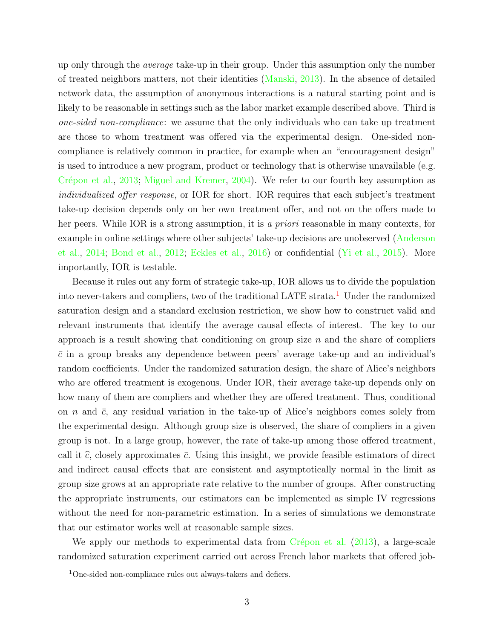up only through the *average* take-up in their group. Under this assumption only the number of treated neighbors matters, not their identities [\(Manski,](#page-33-1) [2013\)](#page-33-1). In the absence of detailed network data, the assumption of anonymous interactions is a natural starting point and is likely to be reasonable in settings such as the labor market example described above. Third is one-sided non-compliance: we assume that the only individuals who can take up treatment are those to whom treatment was offered via the experimental design. One-sided noncompliance is relatively common in practice, for example when an "encouragement design" is used to introduce a new program, product or technology that is otherwise unavailable (e.g. Crépon et al., [2013;](#page-32-0) [Miguel and Kremer,](#page-33-2) [2004\)](#page-33-2). We refer to our fourth key assumption as individualized offer response, or IOR for short. IOR requires that each subject's treatment take-up decision depends only on her own treatment offer, and not on the offers made to her peers. While IOR is a strong assumption, it is a *priori* reasonable in many contexts, for example in online settings where other subjects' take-up decisions are unobserved [\(Anderson](#page-32-1) [et al.,](#page-32-1) [2014;](#page-32-1) [Bond et al.,](#page-32-2) [2012;](#page-32-2) [Eckles et al.,](#page-33-3) [2016\)](#page-33-3) or confidential [\(Yi et al.,](#page-34-0) [2015\)](#page-34-0). More importantly, IOR is testable.

Because it rules out any form of strategic take-up, IOR allows us to divide the population into never-takers and compliers, two of the traditional LATE strata.<sup>[1](#page-2-0)</sup> Under the randomized saturation design and a standard exclusion restriction, we show how to construct valid and relevant instruments that identify the average causal effects of interest. The key to our approach is a result showing that conditioning on group size  $n$  and the share of compliers  $\bar{c}$  in a group breaks any dependence between peers' average take-up and an individual's random coefficients. Under the randomized saturation design, the share of Alice's neighbors who are offered treatment is exogenous. Under IOR, their average take-up depends only on how many of them are compliers and whether they are offered treatment. Thus, conditional on *n* and  $\bar{c}$ , any residual variation in the take-up of Alice's neighbors comes solely from the experimental design. Although group size is observed, the share of compliers in a given group is not. In a large group, however, the rate of take-up among those offered treatment, call it  $\hat{c}$ , closely approximates  $\bar{c}$ . Using this insight, we provide feasible estimators of direct and indirect causal effects that are consistent and asymptotically normal in the limit as group size grows at an appropriate rate relative to the number of groups. After constructing the appropriate instruments, our estimators can be implemented as simple IV regressions without the need for non-parametric estimation. In a series of simulations we demonstrate that our estimator works well at reasonable sample sizes.

We apply our methods to experimental data from  $Crépon$  et al. [\(2013\)](#page-32-0), a large-scale randomized saturation experiment carried out across French labor markets that offered job-

<span id="page-2-0"></span><sup>&</sup>lt;sup>1</sup>One-sided non-compliance rules out always-takers and defiers.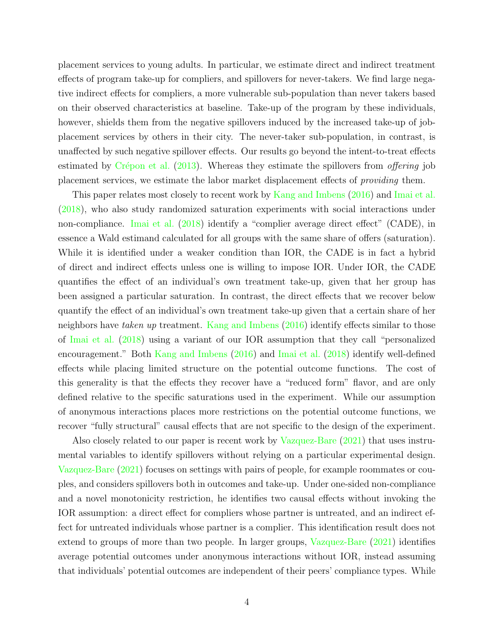placement services to young adults. In particular, we estimate direct and indirect treatment effects of program take-up for compliers, and spillovers for never-takers. We find large negative indirect effects for compliers, a more vulnerable sub-population than never takers based on their observed characteristics at baseline. Take-up of the program by these individuals, however, shields them from the negative spillovers induced by the increased take-up of jobplacement services by others in their city. The never-taker sub-population, in contrast, is unaffected by such negative spillover effects. Our results go beyond the intent-to-treat effects estimated by Crépon et al.  $(2013)$ . Whereas they estimate the spillovers from *offering* job placement services, we estimate the labor market displacement effects of providing them.

This paper relates most closely to recent work by [Kang and Imbens](#page-33-4) [\(2016\)](#page-33-4) and [Imai et al.](#page-33-5) [\(2018\)](#page-33-5), who also study randomized saturation experiments with social interactions under non-compliance. [Imai et al.](#page-33-5) [\(2018\)](#page-33-5) identify a "complier average direct effect" (CADE), in essence a Wald estimand calculated for all groups with the same share of offers (saturation). While it is identified under a weaker condition than IOR, the CADE is in fact a hybrid of direct and indirect effects unless one is willing to impose IOR. Under IOR, the CADE quantifies the effect of an individual's own treatment take-up, given that her group has been assigned a particular saturation. In contrast, the direct effects that we recover below quantify the effect of an individual's own treatment take-up given that a certain share of her neighbors have taken up treatment. [Kang and Imbens](#page-33-4) [\(2016\)](#page-33-4) identify effects similar to those of [Imai et al.](#page-33-5) [\(2018\)](#page-33-5) using a variant of our IOR assumption that they call "personalized encouragement." Both [Kang and Imbens](#page-33-4) [\(2016\)](#page-33-4) and [Imai et al.](#page-33-5) [\(2018\)](#page-33-5) identify well-defined effects while placing limited structure on the potential outcome functions. The cost of this generality is that the effects they recover have a "reduced form" flavor, and are only defined relative to the specific saturations used in the experiment. While our assumption of anonymous interactions places more restrictions on the potential outcome functions, we recover "fully structural" causal effects that are not specific to the design of the experiment.

Also closely related to our paper is recent work by [Vazquez-Bare](#page-33-6) [\(2021\)](#page-33-6) that uses instrumental variables to identify spillovers without relying on a particular experimental design. [Vazquez-Bare](#page-33-6) [\(2021\)](#page-33-6) focuses on settings with pairs of people, for example roommates or couples, and considers spillovers both in outcomes and take-up. Under one-sided non-compliance and a novel monotonicity restriction, he identifies two causal effects without invoking the IOR assumption: a direct effect for compliers whose partner is untreated, and an indirect effect for untreated individuals whose partner is a complier. This identification result does not extend to groups of more than two people. In larger groups, [Vazquez-Bare](#page-33-6) [\(2021\)](#page-33-6) identifies average potential outcomes under anonymous interactions without IOR, instead assuming that individuals' potential outcomes are independent of their peers' compliance types. While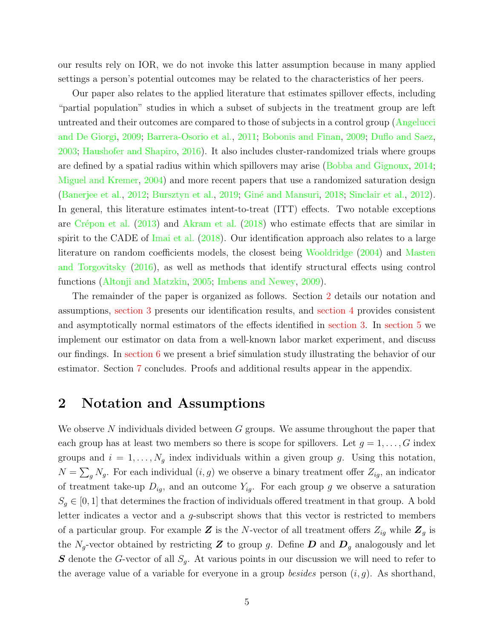our results rely on IOR, we do not invoke this latter assumption because in many applied settings a person's potential outcomes may be related to the characteristics of her peers.

Our paper also relates to the applied literature that estimates spillover effects, including "partial population" studies in which a subset of subjects in the treatment group are left untreated and their outcomes are compared to those of subjects in a control group [\(Angelucci](#page-32-3) [and De Giorgi,](#page-32-3) [2009;](#page-32-3) [Barrera-Osorio et al.,](#page-32-4) [2011;](#page-32-4) [Bobonis and Finan,](#page-32-5) [2009;](#page-32-5) [Duflo and Saez,](#page-32-6) [2003;](#page-32-6) [Haushofer and Shapiro,](#page-33-7) [2016\)](#page-33-7). It also includes cluster-randomized trials where groups are defined by a spatial radius within which spillovers may arise [\(Bobba and Gignoux,](#page-32-7) [2014;](#page-32-7) [Miguel and Kremer,](#page-33-2) [2004\)](#page-33-2) and more recent papers that use a randomized saturation design [\(Banerjee et al.,](#page-32-8) [2012;](#page-32-8) [Bursztyn et al.,](#page-32-9) [2019;](#page-32-9) Giné and Mansuri, [2018;](#page-33-8) [Sinclair et al.,](#page-33-9) [2012\)](#page-33-9). In general, this literature estimates intent-to-treat (ITT) effects. Two notable exceptions are Crépon et al.  $(2013)$  and [Akram et al.](#page-32-10)  $(2018)$  who estimate effects that are similar in spirit to the CADE of [Imai et al.](#page-33-5) [\(2018\)](#page-33-5). Our identification approach also relates to a large literature on random coefficients models, the closest being [Wooldridge](#page-34-1) [\(2004\)](#page-34-1) and [Masten](#page-33-10) [and Torgovitsky](#page-33-10) [\(2016\)](#page-33-10), as well as methods that identify structural effects using control functions [\(Altonji and Matzkin,](#page-32-11) [2005;](#page-32-11) [Imbens and Newey,](#page-33-11) [2009\)](#page-33-11).

The remainder of the paper is organized as follows. Section [2](#page-4-0) details our notation and assumptions, [section 3](#page-11-0) presents our identification results, and [section 4](#page-18-0) provides consistent and asymptotically normal estimators of the effects identified in [section 3.](#page-11-0) In [section 5](#page-23-0) we implement our estimator on data from a well-known labor market experiment, and discuss our findings. In [section 6](#page-28-0) we present a brief simulation study illustrating the behavior of our estimator. Section [7](#page-31-0) concludes. Proofs and additional results appear in the appendix.

### <span id="page-4-0"></span>2 Notation and Assumptions

We observe N individuals divided between  $G$  groups. We assume throughout the paper that each group has at least two members so there is scope for spillovers. Let  $g = 1, \ldots, G$  index groups and  $i = 1, \ldots, N_g$  index individuals within a given group g. Using this notation,  $N = \sum_{g} N_g$ . For each individual  $(i, g)$  we observe a binary treatment offer  $Z_{ig}$ , an indicator of treatment take-up  $D_{ig}$ , and an outcome  $Y_{ig}$ . For each group g we observe a saturation  $S_q \in [0,1]$  that determines the fraction of individuals offered treatment in that group. A bold letter indicates a vector and a g-subscript shows that this vector is restricted to members of a particular group. For example Z is the N-vector of all treatment offers  $Z_{ig}$  while  $\mathbf{Z}_g$  is the  $N_g$ -vector obtained by restricting **Z** to group g. Define **D** and  $D_g$  analogously and let **S** denote the G-vector of all  $S_q$ . At various points in our discussion we will need to refer to the average value of a variable for everyone in a group *besides* person  $(i, g)$ . As shorthand,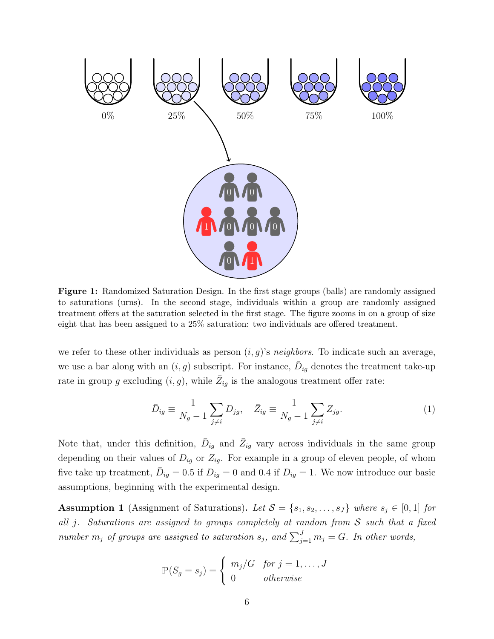<span id="page-5-1"></span>

Figure 1: Randomized Saturation Design. In the first stage groups (balls) are randomly assigned to saturations (urns). In the second stage, individuals within a group are randomly assigned treatment offers at the saturation selected in the first stage. The figure zooms in on a group of size eight that has been assigned to a 25% saturation: two individuals are offered treatment.

we refer to these other individuals as person  $(i, g)$ 's neighbors. To indicate such an average, we use a bar along with an  $(i, g)$  subscript. For instance,  $\overline{D}_{ig}$  denotes the treatment take-up rate in group g excluding  $(i, g)$ , while  $\bar{Z}_{ig}$  is the analogous treatment offer rate:

$$
\bar{D}_{ig} \equiv \frac{1}{N_g - 1} \sum_{j \neq i} D_{jg}, \quad \bar{Z}_{ig} \equiv \frac{1}{N_g - 1} \sum_{j \neq i} Z_{jg}.
$$
 (1)

Note that, under this definition,  $\bar{D}_{ig}$  and  $\bar{Z}_{ig}$  vary across individuals in the same group depending on their values of  $D_{ig}$  or  $Z_{ig}$ . For example in a group of eleven people, of whom five take up treatment,  $\bar{D}_{ig} = 0.5$  if  $D_{ig} = 0$  and 0.4 if  $D_{ig} = 1$ . We now introduce our basic assumptions, beginning with the experimental design.

<span id="page-5-0"></span>**Assumption 1** (Assignment of Saturations). Let  $S = \{s_1, s_2, \ldots, s_J\}$  where  $s_j \in [0, 1]$  for all j. Saturations are assigned to groups completely at random from  $S$  such that a fixed number  $m_j$  of groups are assigned to saturation  $s_j$ , and  $\sum_{j=1}^J m_j = G$ . In other words,

$$
\mathbb{P}(S_g = s_j) = \begin{cases} m_j/G & \text{for } j = 1, \dots, J \\ 0 & \text{otherwise} \end{cases}
$$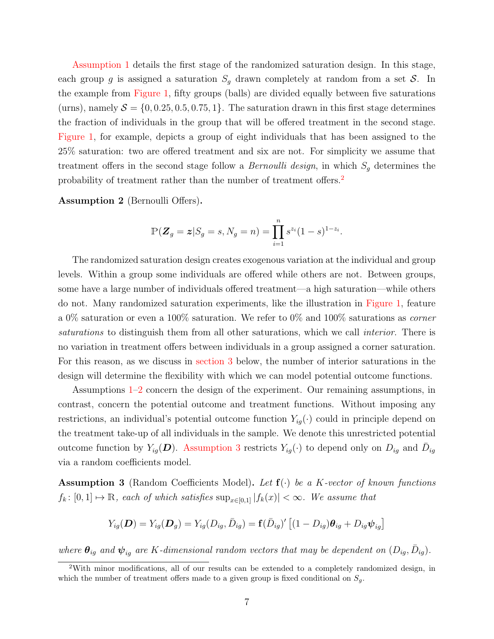[Assumption 1](#page-5-0) details the first stage of the randomized saturation design. In this stage, each group g is assigned a saturation  $S_q$  drawn completely at random from a set S. In the example from [Figure 1,](#page-5-1) fifty groups (balls) are divided equally between five saturations (urns), namely  $S = \{0, 0.25, 0.5, 0.75, 1\}$ . The saturation drawn in this first stage determines the fraction of individuals in the group that will be offered treatment in the second stage. [Figure 1,](#page-5-1) for example, depicts a group of eight individuals that has been assigned to the 25% saturation: two are offered treatment and six are not. For simplicity we assume that treatment offers in the second stage follow a *Bernoulli design*, in which  $S<sub>g</sub>$  determines the probability of treatment rather than the number of treatment offers.[2](#page-6-0)

<span id="page-6-1"></span>Assumption 2 (Bernoulli Offers).

$$
\mathbb{P}(\mathbf{Z}_g = \mathbf{z}|S_g = s, N_g = n) = \prod_{i=1}^n s^{z_i} (1-s)^{1-z_i}.
$$

The randomized saturation design creates exogenous variation at the individual and group levels. Within a group some individuals are offered while others are not. Between groups, some have a large number of individuals offered treatment—a high saturation—while others do not. Many randomized saturation experiments, like the illustration in [Figure 1,](#page-5-1) feature a 0% saturation or even a 100% saturation. We refer to 0% and 100% saturations as corner saturations to distinguish them from all other saturations, which we call *interior*. There is no variation in treatment offers between individuals in a group assigned a corner saturation. For this reason, as we discuss in [section 3](#page-11-0) below, the number of interior saturations in the design will determine the flexibility with which we can model potential outcome functions.

Assumptions [1](#page-5-0)[–2](#page-6-1) concern the design of the experiment. Our remaining assumptions, in contrast, concern the potential outcome and treatment functions. Without imposing any restrictions, an individual's potential outcome function  $Y_{iq}(\cdot)$  could in principle depend on the treatment take-up of all individuals in the sample. We denote this unrestricted potential outcome function by  $Y_{ig}(\mathbf{D})$ . [Assumption 3](#page-6-2) restricts  $Y_{ig}(\cdot)$  to depend only on  $D_{ig}$  and  $\bar{D}_{ig}$ via a random coefficients model.

<span id="page-6-2"></span>**Assumption 3** (Random Coefficients Model). Let  $f(\cdot)$  be a K-vector of known functions  $f_k: [0,1] \mapsto \mathbb{R}$ , each of which satisfies  $\sup_{x \in [0,1]} |f_k(x)| < \infty$ . We assume that

$$
Y_{ig}(\boldsymbol{D})=Y_{ig}(\boldsymbol{D}_g)=Y_{ig}(D_{ig},\bar{D}_{ig})=\mathbf{f}(\bar{D}_{ig})'\left[(1-D_{ig})\boldsymbol{\theta}_{ig}+D_{ig}\boldsymbol{\psi}_{ig}\right]
$$

where  $\theta_{ig}$  and  $\psi_{ig}$  are K-dimensional random vectors that may be dependent on  $(D_{ig}, \bar{D}_{ig})$ .

<span id="page-6-0"></span><sup>2</sup>With minor modifications, all of our results can be extended to a completely randomized design, in which the number of treatment offers made to a given group is fixed conditional on  $S_q$ .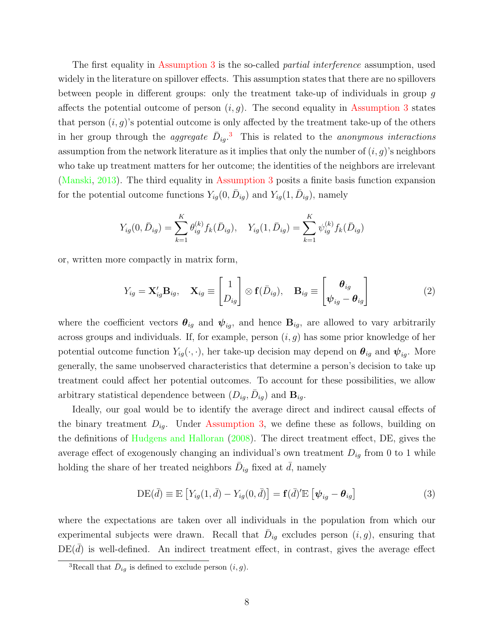The first equality in [Assumption 3](#page-6-2) is the so-called *partial interference* assumption, used widely in the literature on spillover effects. This assumption states that there are no spillovers between people in different groups: only the treatment take-up of individuals in group g affects the potential outcome of person  $(i, g)$ . The second equality in [Assumption 3](#page-6-2) states that person  $(i, g)$ 's potential outcome is only affected by the treatment take-up of the others in her group through the *aggregate*  $\bar{D}_{ig}.^3$  $\bar{D}_{ig}.^3$  This is related to the *anonymous interactions* assumption from the network literature as it implies that only the number of  $(i, q)$ 's neighbors who take up treatment matters for her outcome; the identities of the neighbors are irrelevant [\(Manski,](#page-33-1) [2013\)](#page-33-1). The third equality in [Assumption 3](#page-6-2) posits a finite basis function expansion for the potential outcome functions  $Y_{ig}(0, \bar{D}_{ig})$  and  $Y_{ig}(1, \bar{D}_{ig})$ , namely

$$
Y_{ig}(0, \bar{D}_{ig}) = \sum_{k=1}^{K} \theta_{ig}^{(k)} f_k(\bar{D}_{ig}), \quad Y_{ig}(1, \bar{D}_{ig}) = \sum_{k=1}^{K} \psi_{ig}^{(k)} f_k(\bar{D}_{ig})
$$

or, written more compactly in matrix form,

<span id="page-7-1"></span>
$$
Y_{ig} = \mathbf{X}_{ig}' \mathbf{B}_{ig}, \quad \mathbf{X}_{ig} \equiv \begin{bmatrix} 1 \\ D_{ig} \end{bmatrix} \otimes \mathbf{f}(\bar{D}_{ig}), \quad \mathbf{B}_{ig} \equiv \begin{bmatrix} \boldsymbol{\theta}_{ig} \\ \boldsymbol{\psi}_{ig} - \boldsymbol{\theta}_{ig} \end{bmatrix}
$$
(2)

where the coefficient vectors  $\theta_{ig}$  and  $\psi_{ig}$ , and hence  $B_{ig}$ , are allowed to vary arbitrarily across groups and individuals. If, for example, person  $(i, g)$  has some prior knowledge of her potential outcome function  $Y_{ig}(\cdot, \cdot)$ , her take-up decision may depend on  $\theta_{ig}$  and  $\psi_{ig}$ . More generally, the same unobserved characteristics that determine a person's decision to take up treatment could affect her potential outcomes. To account for these possibilities, we allow arbitrary statistical dependence between  $(D_{ig}, \bar{D}_{ig})$  and  $\mathbf{B}_{ig}$ .

Ideally, our goal would be to identify the average direct and indirect causal effects of the binary treatment  $D_{ig}$ . Under [Assumption 3,](#page-6-2) we define these as follows, building on the definitions of [Hudgens and Halloran](#page-33-0) [\(2008\)](#page-33-0). The direct treatment effect, DE, gives the average effect of exogenously changing an individual's own treatment  $D_{ig}$  from 0 to 1 while holding the share of her treated neighbors  $\bar{D}_{ig}$  fixed at  $\bar{d}$ , namely

$$
DE(\bar{d}) \equiv \mathbb{E}\left[Y_{ig}(1,\bar{d}) - Y_{ig}(0,\bar{d})\right] = \mathbf{f}(\bar{d})'\mathbb{E}\left[\psi_{ig} - \boldsymbol{\theta}_{ig}\right]
$$
(3)

where the expectations are taken over all individuals in the population from which our experimental subjects were drawn. Recall that  $\bar{D}_{ig}$  excludes person  $(i, g)$ , ensuring that  $DE(d)$  is well-defined. An indirect treatment effect, in contrast, gives the average effect

<span id="page-7-0"></span><sup>&</sup>lt;sup>3</sup>Recall that  $\bar{D}_{ig}$  is defined to exclude person  $(i, g)$ .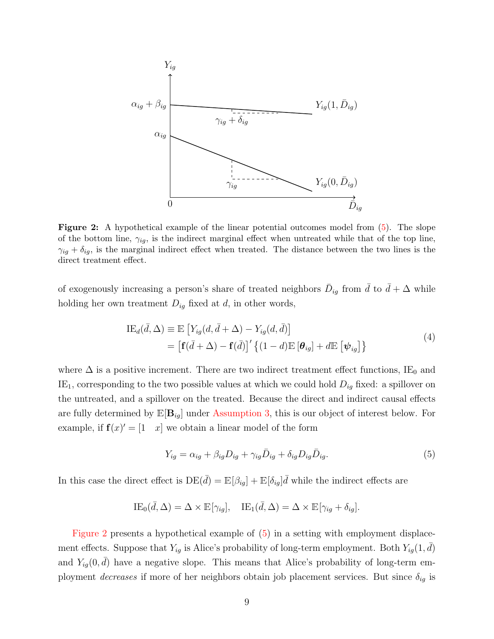<span id="page-8-1"></span>

Figure 2: A hypothetical example of the linear potential outcomes model from [\(5\)](#page-8-0). The slope of the bottom line,  $\gamma_{ig}$ , is the indirect marginal effect when untreated while that of the top line,  $\gamma_{ig} + \delta_{ig}$ , is the marginal indirect effect when treated. The distance between the two lines is the direct treatment effect.

of exogenously increasing a person's share of treated neighbors  $\bar{D}_{ig}$  from  $\bar{d}$  to  $\bar{d} + \Delta$  while holding her own treatment  $D_{ig}$  fixed at d, in other words,

$$
\begin{aligned} \text{IE}_d(\bar{d}, \Delta) &\equiv \mathbb{E}\left[Y_{ig}(d, \bar{d} + \Delta) - Y_{ig}(d, \bar{d})\right] \\ &= \left[\mathbf{f}(\bar{d} + \Delta) - \mathbf{f}(\bar{d})\right]' \left\{(1 - d)\mathbb{E}\left[\boldsymbol{\theta}_{ig}\right] + d\mathbb{E}\left[\boldsymbol{\psi}_{ig}\right]\right\} \end{aligned} \tag{4}
$$

<span id="page-8-2"></span>where  $\Delta$  is a positive increment. There are two indirect treatment effect functions, IE<sub>0</sub> and IE<sub>1</sub>, corresponding to the two possible values at which we could hold  $D_{ig}$  fixed: a spillover on the untreated, and a spillover on the treated. Because the direct and indirect causal effects are fully determined by  $\mathbb{E}[\mathbf{B}_{iq}]$  under [Assumption 3,](#page-6-2) this is our object of interest below. For example, if  $f(x)' = \begin{bmatrix} 1 & x \end{bmatrix}$  we obtain a linear model of the form

<span id="page-8-0"></span>
$$
Y_{ig} = \alpha_{ig} + \beta_{ig} D_{ig} + \gamma_{ig} \bar{D}_{ig} + \delta_{ig} D_{ig} \bar{D}_{ig}.
$$
\n
$$
\tag{5}
$$

In this case the direct effect is  $DE(\bar{d}) = \mathbb{E}[\beta_{ig}] + \mathbb{E}[\delta_{ig}]\bar{d}$  while the indirect effects are

$$
IE_0(\bar{d}, \Delta) = \Delta \times \mathbb{E}[\gamma_{ig}], \quad IE_1(\bar{d}, \Delta) = \Delta \times \mathbb{E}[\gamma_{ig} + \delta_{ig}].
$$

[Figure 2](#page-8-1) presents a hypothetical example of [\(5\)](#page-8-0) in a setting with employment displacement effects. Suppose that  $Y_{ig}$  is Alice's probability of long-term employment. Both  $Y_{ig}(1, \bar{d})$ and  $Y_{ig}(0, \bar{d})$  have a negative slope. This means that Alice's probability of long-term employment decreases if more of her neighbors obtain job placement services. But since  $\delta_{iq}$  is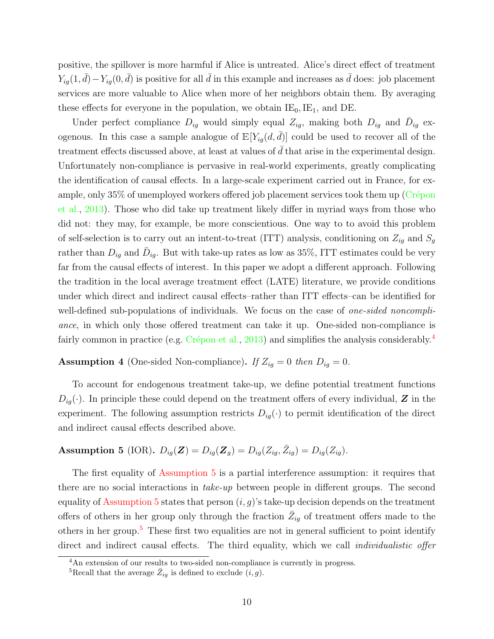positive, the spillover is more harmful if Alice is untreated. Alice's direct effect of treatment  $Y_{ig}(1, \bar{d}) - Y_{ig}(0, \bar{d})$  is positive for all  $\bar{d}$  in this example and increases as  $\bar{d}$  does: job placement services are more valuable to Alice when more of her neighbors obtain them. By averaging these effects for everyone in the population, we obtain  $IE_0,IE_1$ , and DE.

Under perfect compliance  $D_{ig}$  would simply equal  $Z_{ig}$ , making both  $D_{ig}$  and  $\bar{D}_{ig}$  exogenous. In this case a sample analogue of  $\mathbb{E}[Y_{iq}(d, d)]$  could be used to recover all of the treatment effects discussed above, at least at values of  $\bar{d}$  that arise in the experimental design. Unfortunately non-compliance is pervasive in real-world experiments, greatly complicating the identification of causal effects. In a large-scale experiment carried out in France, for example, only  $35\%$  of unemployed workers offered job placement services took them up (Crépon [et al.,](#page-32-0) [2013\)](#page-32-0). Those who did take up treatment likely differ in myriad ways from those who did not: they may, for example, be more conscientious. One way to to avoid this problem of self-selection is to carry out an intent-to-treat (ITT) analysis, conditioning on  $Z_{ig}$  and  $S_g$ rather than  $D_{ig}$  and  $\bar{D}_{ig}$ . But with take-up rates as low as 35%, ITT estimates could be very far from the causal effects of interest. In this paper we adopt a different approach. Following the tradition in the local average treatment effect (LATE) literature, we provide conditions under which direct and indirect causal effects–rather than ITT effects–can be identified for well-defined sub-populations of individuals. We focus on the case of *one-sided noncompli*ance, in which only those offered treatment can take it up. One-sided non-compliance is fairly common in practice (e.g. Crépon et al., [2013\)](#page-32-0) and simplifies the analysis considerably.<sup>[4](#page-9-0)</sup>

<span id="page-9-3"></span>**Assumption 4** (One-sided Non-compliance). If  $Z_{ig} = 0$  then  $D_{ig} = 0$ .

To account for endogenous treatment take-up, we define potential treatment functions  $D_{ia}(\cdot)$ . In principle these could depend on the treatment offers of every individual, Z in the experiment. The following assumption restricts  $D_{ig}(\cdot)$  to permit identification of the direct and indirect causal effects described above.

### <span id="page-9-1"></span>Assumption 5 (IOR).  $D_{ig}(\mathbf{Z}) = D_{ig}(\mathbf{Z}_g) = D_{ig}(Z_{ig}, \bar{Z}_{ig}) = D_{ig}(Z_{ig}).$

The first equality of [Assumption 5](#page-9-1) is a partial interference assumption: it requires that there are no social interactions in take-up between people in different groups. The second equality of [Assumption 5](#page-9-1) states that person  $(i, g)$ 's take-up decision depends on the treatment offers of others in her group only through the fraction  $\bar{Z}_{ig}$  of treatment offers made to the others in her group.[5](#page-9-2) These first two equalities are not in general sufficient to point identify direct and indirect causal effects. The third equality, which we call *individualistic offer* 

<span id="page-9-0"></span><sup>4</sup>An extension of our results to two-sided non-compliance is currently in progress.

<span id="page-9-2"></span><sup>&</sup>lt;sup>5</sup>Recall that the average  $\bar{Z}_{ig}$  is defined to exclude  $(i, g)$ .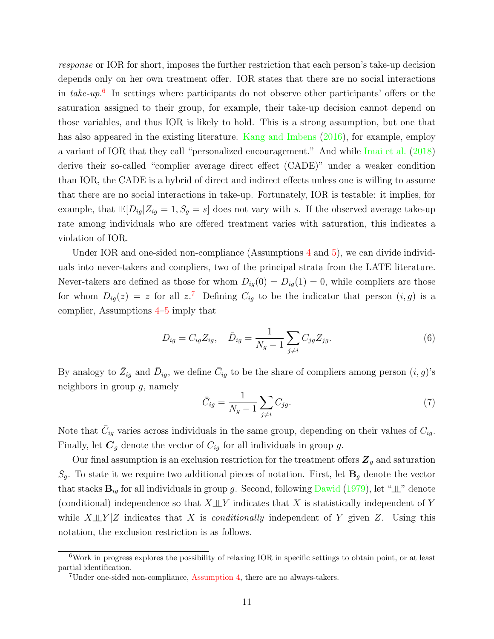response or IOR for short, imposes the further restriction that each person's take-up decision depends only on her own treatment offer. IOR states that there are no social interactions in take-up.<sup>[6](#page-10-0)</sup> In settings where participants do not observe other participants' offers or the saturation assigned to their group, for example, their take-up decision cannot depend on those variables, and thus IOR is likely to hold. This is a strong assumption, but one that has also appeared in the existing literature. [Kang and Imbens](#page-33-4) [\(2016\)](#page-33-4), for example, employ a variant of IOR that they call "personalized encouragement." And while [Imai et al.](#page-33-5) [\(2018\)](#page-33-5) derive their so-called "complier average direct effect (CADE)" under a weaker condition than IOR, the CADE is a hybrid of direct and indirect effects unless one is willing to assume that there are no social interactions in take-up. Fortunately, IOR is testable: it implies, for example, that  $\mathbb{E}[D_{ig}|Z_{ig} = 1, S_g = s]$  does not vary with s. If the observed average take-up rate among individuals who are offered treatment varies with saturation, this indicates a violation of IOR.

Under IOR and one-sided non-compliance (Assumptions [4](#page-9-3) and [5\)](#page-9-1), we can divide individuals into never-takers and compliers, two of the principal strata from the LATE literature. Never-takers are defined as those for whom  $D_{iq}(0) = D_{iq}(1) = 0$ , while compliers are those for whom  $D_{ig}(z) = z$  for all  $z$ <sup>[7](#page-10-1)</sup>. Defining  $C_{ig}$  to be the indicator that person  $(i, g)$  is a complier, Assumptions [4–](#page-9-3)[5](#page-9-1) imply that

$$
D_{ig} = C_{ig} Z_{ig}, \quad \bar{D}_{ig} = \frac{1}{N_g - 1} \sum_{j \neq i} C_{jg} Z_{jg}.
$$
 (6)

By analogy to  $\bar{Z}_{ig}$  and  $\bar{D}_{ig}$ , we define  $\bar{C}_{ig}$  to be the share of compliers among person  $(i, g)$ 's neighbors in group  $q$ , namely

$$
\bar{C}_{ig} = \frac{1}{N_g - 1} \sum_{j \neq i} C_{jg}.\tag{7}
$$

Note that  $\bar{C}_{ig}$  varies across individuals in the same group, depending on their values of  $C_{ig}$ . Finally, let  $C_g$  denote the vector of  $C_{ig}$  for all individuals in group g.

Our final assumption is an exclusion restriction for the treatment offers  $\mathbb{Z}_q$  and saturation  $S_g$ . To state it we require two additional pieces of notation. First, let  $\mathbf{B}_g$  denote the vector that stacks  $\mathbf{B}_{ig}$  for all individuals in group g. Second, following [Dawid](#page-32-12) [\(1979\)](#page-32-12), let " $\perp$ " denote (conditional) independence so that  $X \perp Y$  indicates that X is statistically independent of Y while  $X \perp Y$  |Z indicates that X is *conditionally* independent of Y given Z. Using this notation, the exclusion restriction is as follows.

<span id="page-10-0"></span> $6Work$  in progress explores the possibility of relaxing IOR in specific settings to obtain point, or at least partial identification.

<span id="page-10-1"></span><sup>7</sup>Under one-sided non-compliance, [Assumption 4,](#page-9-3) there are no always-takers.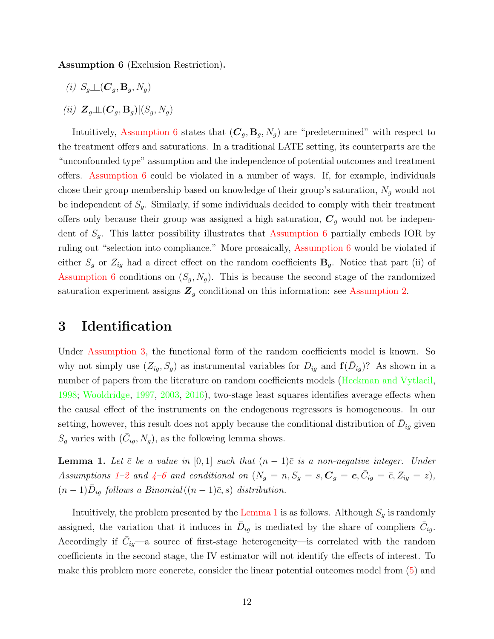<span id="page-11-1"></span>Assumption 6 (Exclusion Restriction).

- (i)  $S_q \perp \!\!\! \perp (\mathbf{C}_q, \mathbf{B}_q, N_q)$
- (ii)  $\mathbf{Z}_q \mathop{\perp\!\!\!\!\perp} (\boldsymbol{C}_q, \mathbf{B}_q) | (S_q, N_q)$

Intuitively, [Assumption 6](#page-11-1) states that  $(C_q, B_q, N_q)$  are "predetermined" with respect to the treatment offers and saturations. In a traditional LATE setting, its counterparts are the "unconfounded type" assumption and the independence of potential outcomes and treatment offers. [Assumption 6](#page-11-1) could be violated in a number of ways. If, for example, individuals chose their group membership based on knowledge of their group's saturation,  $N_g$  would not be independent of  $S_q$ . Similarly, if some individuals decided to comply with their treatment offers only because their group was assigned a high saturation,  $C_g$  would not be independent of  $S_g$ . This latter possibility illustrates that [Assumption 6](#page-11-1) partially embeds IOR by ruling out "selection into compliance." More prosaically, [Assumption 6](#page-11-1) would be violated if either  $S_g$  or  $Z_{ig}$  had a direct effect on the random coefficients  $\mathbf{B}_g$ . Notice that part (ii) of [Assumption 6](#page-11-1) conditions on  $(S_g, N_g)$ . This is because the second stage of the randomized saturation experiment assigns  $\mathbb{Z}_g$  conditional on this information: see [Assumption 2.](#page-6-1)

### <span id="page-11-0"></span>3 Identification

Under [Assumption 3,](#page-6-2) the functional form of the random coefficients model is known. So why not simply use  $(Z_{ig}, S_g)$  as instrumental variables for  $D_{ig}$  and  $\mathbf{f}(\bar{D}_{ig})$ ? As shown in a number of papers from the literature on random coefficients models [\(Heckman and Vytlacil,](#page-33-12) [1998;](#page-33-12) [Wooldridge,](#page-33-13) [1997,](#page-33-13) [2003,](#page-33-14) [2016\)](#page-34-2), two-stage least squares identifies average effects when the causal effect of the instruments on the endogenous regressors is homogeneous. In our setting, however, this result does not apply because the conditional distribution of  $\bar{D}_{ig}$  given  $S_g$  varies with  $(\bar{C}_{ig}, N_g)$ , as the following lemma shows.

<span id="page-11-2"></span>**Lemma 1.** Let  $\bar{c}$  be a value in [0, 1] such that  $(n-1)\bar{c}$  is a non-negative integer. Under Assumptions 1-[2](#page-6-1) and  $4-6$  $4-6$  and conditional on  $(N_g = n, S_g = s, \mathbf{C}_g = c, \bar{C}_{ig} = \bar{c}, Z_{ig} = z)$ ,  $(n-1)\bar{D}_{ig}$  follows a Binomial $((n-1)\bar{c}, s)$  distribution.

Intuitively, the problem presented by the [Lemma 1](#page-11-2) is as follows. Although  $S_g$  is randomly assigned, the variation that it induces in  $\bar{D}_{ig}$  is mediated by the share of compliers  $\bar{C}_{ig}$ . Accordingly if  $\bar{C}_{ig}$ —a source of first-stage heterogeneity—is correlated with the random coefficients in the second stage, the IV estimator will not identify the effects of interest. To make this problem more concrete, consider the linear potential outcomes model from [\(5\)](#page-8-0) and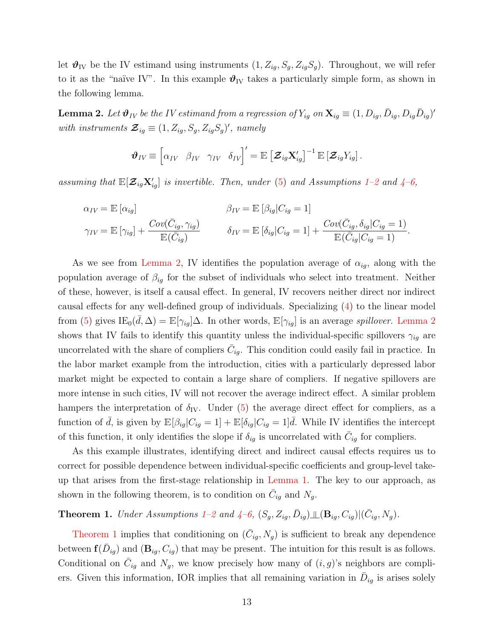let  $\mathbf{\vartheta}_{\text{IV}}$  be the IV estimand using instruments  $(1, Z_{ig}, S_g, Z_{ig}S_g)$ . Throughout, we will refer to it as the "naïve IV". In this example  $\mathcal{O}_{IV}$  takes a particularly simple form, as shown in the following lemma.

<span id="page-12-0"></span>**Lemma 2.** Let  $\vartheta_{IV}$  be the IV estimand from a regression of  $Y_{ig}$  on  $\mathbf{X}_{ig} \equiv (1,D_{ig},\bar{D}_{ig},D_{ig}\bar{D}_{ig})'$ with instruments  $\mathcal{Z}_{ig} \equiv (1, Z_{ig}, S_g, Z_{ig}S_g)'$ , namely

$$
\boldsymbol{\vartheta}_{IV} \equiv \begin{bmatrix} \alpha_{IV} & \beta_{IV} & \gamma_{IV} & \delta_{IV} \end{bmatrix}' = \mathbb{E} \left[ \boldsymbol{\mathcal{Z}}_{ig} \mathbf{X}_{ig}' \right]^{-1} \mathbb{E} \left[ \boldsymbol{\mathcal{Z}}_{ig} Y_{ig} \right].
$$

assuming that  $\mathbb{E}[\mathcal{Z}_{ig}X'_{ig}]$  is invertible. Then, under [\(5\)](#page-8-0) and Assumptions [1](#page-5-0)-2 and [4](#page-9-3)-6,

$$
\alpha_{IV} = \mathbb{E} [\alpha_{ig}] \qquad \beta_{IV} = \mathbb{E} [\beta_{ig} | C_{ig} = 1]
$$
  

$$
\gamma_{IV} = \mathbb{E} [\gamma_{ig}] + \frac{Cov(\bar{C}_{ig}, \gamma_{ig})}{\mathbb{E}(\bar{C}_{ig})} \qquad \delta_{IV} = \mathbb{E} [\delta_{ig} | C_{ig} = 1] + \frac{Cov(\bar{C}_{ig}, \delta_{ig} | C_{ig} = 1)}{\mathbb{E}(\bar{C}_{ig} | C_{ig} = 1)}.
$$

As we see from [Lemma 2,](#page-12-0) IV identifies the population average of  $\alpha_{ig}$ , along with the population average of  $\beta_{ig}$  for the subset of individuals who select into treatment. Neither of these, however, is itself a causal effect. In general, IV recovers neither direct nor indirect causal effects for any well-defined group of individuals. Specializing [\(4\)](#page-8-2) to the linear model from [\(5\)](#page-8-0) gives  $IE_0(\bar{d}, \Delta) = \mathbb{E}[\gamma_{ig}]\Delta$ . In other words,  $\mathbb{E}[\gamma_{ig}]$  is an average *spillover*. [Lemma 2](#page-12-0) shows that IV fails to identify this quantity unless the individual-specific spillovers  $\gamma_{ig}$  are uncorrelated with the share of compliers  $\bar{C}_{ig}$ . This condition could easily fail in practice. In the labor market example from the introduction, cities with a particularly depressed labor market might be expected to contain a large share of compliers. If negative spillovers are more intense in such cities, IV will not recover the average indirect effect. A similar problem hampers the interpretation of  $\delta_{\rm IV}$ . Under [\(5\)](#page-8-0) the average direct effect for compliers, as a function of  $\bar{d}$ , is given by  $\mathbb{E}[\beta_{ig}|C_{ig} = 1] + \mathbb{E}[\delta_{ig}|C_{ig} = 1]\bar{d}$ . While IV identifies the intercept of this function, it only identifies the slope if  $\delta_{ig}$  is uncorrelated with  $\bar{C}_{ig}$  for compliers.

As this example illustrates, identifying direct and indirect causal effects requires us to correct for possible dependence between individual-specific coefficients and group-level takeup that arises from the first-stage relationship in [Lemma 1.](#page-11-2) The key to our approach, as shown in the following theorem, is to condition on  $\overline{C}_{ig}$  and  $N_g$ .

<span id="page-12-1"></span>**Theorem [1](#page-5-0).** Under Assumptions 1[–2](#page-6-1) and  $\angle 4-6$  $\angle 4-6$  $\angle 4-6$ ,  $(S_g, Z_{ig}, \bar{D}_{ig}) \perp \perp (\mathbf{B}_{ig}, C_{ig}) | (\bar{C}_{ig}, N_g)$ .

[Theorem 1](#page-12-1) implies that conditioning on  $(\bar{C}_{ig}, N_g)$  is sufficient to break any dependence between  $f(\bar{D}_{ig})$  and  $(\mathbf{B}_{ig}, C_{ig})$  that may be present. The intuition for this result is as follows. Conditional on  $\bar{C}_{ig}$  and  $N_g$ , we know precisely how many of  $(i, g)$ 's neighbors are compliers. Given this information, IOR implies that all remaining variation in  $\bar{D}_{ig}$  is arises solely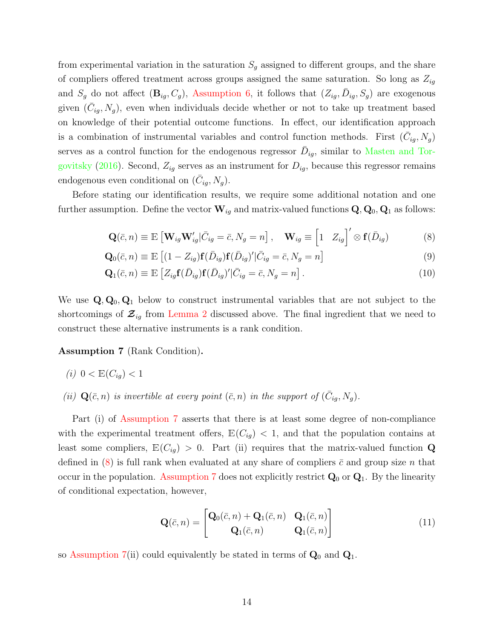from experimental variation in the saturation  $S<sub>g</sub>$  assigned to different groups, and the share of compliers offered treatment across groups assigned the same saturation. So long as  $Z_{iq}$ and  $S_g$  do not affect  $(\mathbf{B}_{ig}, C_g)$ , [Assumption 6,](#page-11-1) it follows that  $(Z_{ig}, \bar{D}_{ig}, S_g)$  are exogenous given  $(\bar{C}_{ig}, N_g)$ , even when individuals decide whether or not to take up treatment based on knowledge of their potential outcome functions. In effect, our identification approach is a combination of instrumental variables and control function methods. First  $(\bar{C}_{ig}, N_g)$ serves as a control function for the endogenous regressor  $\bar{D}_{ig}$ , similar to [Masten and Tor](#page-33-10)[govitsky](#page-33-10) [\(2016\)](#page-33-10). Second,  $Z_{ig}$  serves as an instrument for  $D_{ig}$ , because this regressor remains endogenous even conditional on  $(\bar{C}_{ig}, N_g)$ .

Before stating our identification results, we require some additional notation and one further assumption. Define the vector  $\mathbf{W}_{ig}$  and matrix-valued functions  $\mathbf{Q}, \mathbf{Q}_0, \mathbf{Q}_1$  as follows:

<span id="page-13-3"></span><span id="page-13-2"></span><span id="page-13-1"></span>
$$
\mathbf{Q}(\bar{c}, n) \equiv \mathbb{E}\left[\mathbf{W}_{ig}\mathbf{W}_{ig}^{\prime}|\bar{C}_{ig} = \bar{c}, N_g = n\right], \quad \mathbf{W}_{ig} \equiv \begin{bmatrix} 1 & Z_{ig} \end{bmatrix}^{\prime} \otimes \mathbf{f}(\bar{D}_{ig})
$$
(8)

$$
\mathbf{Q}_0(\bar{c}, n) \equiv \mathbb{E}\left[ (1 - Z_{ig}) \mathbf{f}(\bar{D}_{ig}) \mathbf{f}(\bar{D}_{ig})' | \bar{C}_{ig} = \bar{c}, N_g = n \right]
$$
(9)

$$
\mathbf{Q}_1(\bar{c}, n) \equiv \mathbb{E}\left[Z_{ig}\mathbf{f}(\bar{D}_{ig})\mathbf{f}(\bar{D}_{ig})'|\bar{C}_{ig} = \bar{c}, N_g = n\right].\tag{10}
$$

We use  $\mathbf{Q}, \mathbf{Q}_0, \mathbf{Q}_1$  below to construct instrumental variables that are not subject to the shortcomings of  $\mathcal{Z}_{iq}$  from [Lemma 2](#page-12-0) discussed above. The final ingredient that we need to construct these alternative instruments is a rank condition.

<span id="page-13-0"></span>Assumption 7 (Rank Condition).

- (i)  $0 < E(C_{ia}) < 1$
- (ii)  $\mathbf{Q}(\bar{c}, n)$  is invertible at every point  $(\bar{c}, n)$  in the support of  $(\bar{C}_{ig}, N_g)$ .

Part (i) of [Assumption 7](#page-13-0) asserts that there is at least some degree of non-compliance with the experimental treatment offers,  $\mathbb{E}(C_{ig}) < 1$ , and that the population contains at least some compliers,  $\mathbb{E}(C_{iq}) > 0$ . Part (ii) requires that the matrix-valued function Q defined in [\(8\)](#page-13-1) is full rank when evaluated at any share of compliers  $\bar{c}$  and group size n that occur in the population. [Assumption 7](#page-13-0) does not explicitly restrict  $Q_0$  or  $Q_1$ . By the linearity of conditional expectation, however,

$$
\mathbf{Q}(\bar{c},n) = \begin{bmatrix} \mathbf{Q}_0(\bar{c},n) + \mathbf{Q}_1(\bar{c},n) & \mathbf{Q}_1(\bar{c},n) \\ \mathbf{Q}_1(\bar{c},n) & \mathbf{Q}_1(\bar{c},n) \end{bmatrix}
$$
(11)

so [Assumption 7\(](#page-13-0)ii) could equivalently be stated in terms of  $\mathbf{Q}_0$  and  $\mathbf{Q}_1$ .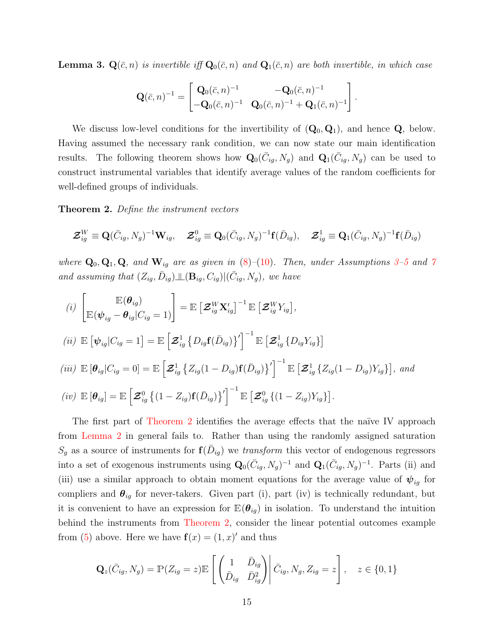<span id="page-14-1"></span>**Lemma 3.**  $\mathbf{Q}(\bar{c}, n)$  is invertible iff  $\mathbf{Q}_0(\bar{c}, n)$  and  $\mathbf{Q}_1(\bar{c}, n)$  are both invertible, in which case

$$
\mathbf{Q}(\bar{c},n)^{-1} = \begin{bmatrix} \mathbf{Q}_0(\bar{c},n)^{-1} & -\mathbf{Q}_0(\bar{c},n)^{-1} \\ -\mathbf{Q}_0(\bar{c},n)^{-1} & \mathbf{Q}_0(\bar{c},n)^{-1} + \mathbf{Q}_1(\bar{c},n)^{-1} \end{bmatrix}.
$$

We discuss low-level conditions for the invertibility of  $(Q_0, Q_1)$ , and hence  $Q$ , below. Having assumed the necessary rank condition, we can now state our main identification results. The following theorem shows how  $\mathbf{Q}_{0}(\bar{C}_{ig}, N_{g})$  and  $\mathbf{Q}_{1}(\bar{C}_{ig}, N_{g})$  can be used to construct instrumental variables that identify average values of the random coefficients for well-defined groups of individuals.

<span id="page-14-0"></span>**Theorem 2.** Define the instrument vectors

$$
\boldsymbol{\mathcal{Z}}_{ig}^W \equiv \mathbf{Q}(\bar{C}_{ig}, N_g)^{-1} \mathbf{W}_{ig}, \quad \boldsymbol{\mathcal{Z}}_{ig}^0 \equiv \mathbf{Q}_0(\bar{C}_{ig}, N_g)^{-1} \mathbf{f}(\bar{D}_{ig}), \quad \boldsymbol{\mathcal{Z}}_{ig}^1 \equiv \mathbf{Q}_1(\bar{C}_{ig}, N_g)^{-1} \mathbf{f}(\bar{D}_{ig})
$$

where  $\mathbf{Q}_0, \mathbf{Q}_1, \mathbf{Q}$ , and  $\mathbf{W}_{ig}$  are as given in  $(8)-(10)$  $(8)-(10)$  $(8)-(10)$ . Then, under Assumptions [3–](#page-6-2)[5](#page-9-1) and [7](#page-13-0) and assuming that  $(Z_{ig}, \bar{D}_{ig}) \perp \!\!\!\perp (\mathbf{B}_{ig}, C_{ig}) | (\bar{C}_{ig}, N_g)$ , we have

(i) 
$$
\begin{aligned}\n\begin{bmatrix}\n\mathbb{E}(\boldsymbol{\theta}_{ig}) \\
\mathbb{E}(\boldsymbol{\psi}_{ig} - \boldsymbol{\theta}_{ig}|C_{ig} = 1)\n\end{bmatrix} &= \mathbb{E}\left[\mathbf{\mathcal{Z}}_{ig}^{W}\mathbf{X}_{ig}'\right]^{-1} \mathbb{E}\left[\mathbf{\mathcal{Z}}_{ig}^{W}Y_{ig}\right], \\
(iii) & \mathbb{E}\left[\boldsymbol{\psi}_{ig}|C_{ig} = 1\right] = \mathbb{E}\left[\mathbf{\mathcal{Z}}_{ig}^{1}\left\{D_{ig}\mathbf{f}(\bar{D}_{ig})\right\}'\right]^{-1} \mathbb{E}\left[\mathbf{\mathcal{Z}}_{ig}^{1}\left\{D_{ig}Y_{ig}\right\}\right] \\
(iii) & \mathbb{E}\left[\boldsymbol{\theta}_{ig}|C_{ig} = 0\right] = \mathbb{E}\left[\mathbf{\mathcal{Z}}_{ig}^{1}\left\{Z_{ig}(1 - D_{ig})\mathbf{f}(\bar{D}_{ig})\right\}'\right]^{-1} \mathbb{E}\left[\mathbf{\mathcal{Z}}_{ig}^{1}\left\{Z_{ig}(1 - D_{ig})Y_{ig}\right\}\right],\text{ and} \\
(iv) & \mathbb{E}\left[\boldsymbol{\theta}_{ig}\right] = \mathbb{E}\left[\mathbf{\mathcal{Z}}_{ig}^{0}\left\{(1 - Z_{ig})\mathbf{f}(\bar{D}_{ig})\right\}'\right]^{-1} \mathbb{E}\left[\mathbf{\mathcal{Z}}_{ig}^{0}\left\{(1 - Z_{ig})Y_{ig}\right\}\right].\n\end{aligned}
$$

The first part of [Theorem 2](#page-14-0) identifies the average effects that the naïve IV approach from [Lemma 2](#page-12-0) in general fails to. Rather than using the randomly assigned saturation  $S_g$  as a source of instruments for  $f(D_{ig})$  we *transform* this vector of endogenous regressors into a set of exogenous instruments using  $\mathbf{Q}_0(\bar{C}_{ig}, N_g)^{-1}$  and  $\mathbf{Q}_1(\bar{C}_{ig}, N_g)^{-1}$ . Parts (ii) and (iii) use a similar approach to obtain moment equations for the average value of  $\psi_{iq}$  for compliers and  $\theta_{ig}$  for never-takers. Given part (i), part (iv) is technically redundant, but it is convenient to have an expression for  $\mathbb{E}(\theta_{ig})$  in isolation. To understand the intuition behind the instruments from [Theorem 2,](#page-14-0) consider the linear potential outcomes example from [\(5\)](#page-8-0) above. Here we have  $f(x) = (1, x)'$  and thus

$$
\mathbf{Q}_z(\bar{C}_{ig}, N_g) = \mathbb{P}(Z_{ig} = z) \mathbb{E}\left[\begin{pmatrix} 1 & \bar{D}_{ig} \\ \bar{D}_{ig} & \bar{D}_{ig}^2 \end{pmatrix} \middle| \bar{C}_{ig}, N_g, Z_{ig} = z\right], \quad z \in \{0, 1\}
$$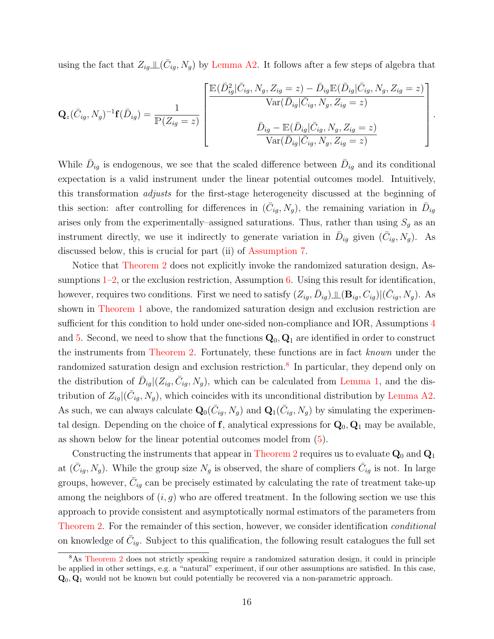using the fact that  $Z_{ig\perp} \perp (\bar{C}_{ig}, N_g)$  by [Lemma A2.](#page-39-0) It follows after a few steps of algebra that

$$
\mathbf{Q}_z(\bar{C}_{ig}, N_g)^{-1}\mathbf{f}(\bar{D}_{ig}) = \frac{1}{\mathbb{P}(Z_{ig} = z)} \begin{bmatrix} \mathbb{E}(\bar{D}_{ig}^2 | \bar{C}_{ig}, N_g, Z_{ig} = z) - \bar{D}_{ig} \mathbb{E}(\bar{D}_{ig} | \bar{C}_{ig}, N_g, Z_{ig} = z) \\ \text{Var}(\bar{D}_{ig} | \bar{C}_{ig}, N_g, Z_{ig} = z) \\ \frac{\bar{D}_{ig} - \mathbb{E}(\bar{D}_{ig} | \bar{C}_{ig}, N_g, Z_{ig} = z)}{\text{Var}(\bar{D}_{ig} | \bar{C}_{ig}, N_g, Z_{ig} = z)} \end{bmatrix}
$$

.

While  $\bar{D}_{ig}$  is endogenous, we see that the scaled difference between  $\bar{D}_{ig}$  and its conditional expectation is a valid instrument under the linear potential outcomes model. Intuitively, this transformation adjusts for the first-stage heterogeneity discussed at the beginning of this section: after controlling for differences in  $(\bar{C}_{ig}, N_g)$ , the remaining variation in  $\bar{D}_{ig}$ arises only from the experimentally–assigned saturations. Thus, rather than using  $S_g$  as an instrument directly, we use it indirectly to generate variation in  $\bar{D}_{ig}$  given  $(\bar{C}_{ig}, N_g)$ . As discussed below, this is crucial for part (ii) of [Assumption 7.](#page-13-0)

Notice that [Theorem 2](#page-14-0) does not explicitly invoke the randomized saturation design, Assumptions  $1-2$ , or the exclusion restriction, Assumption [6.](#page-11-1) Using this result for identification, however, requires two conditions. First we need to satisfy  $(Z_{ig}, \bar{D}_{ig}) \perp (\mathbf{B}_{ig}, C_{ig}) | (\bar{C}_{ig}, N_g)$ . As shown in [Theorem 1](#page-12-1) above, the randomized saturation design and exclusion restriction are sufficient for this condition to hold under one-sided non-compliance and IOR, Assumptions [4](#page-9-3) and [5.](#page-9-1) Second, we need to show that the functions  $\mathbf{Q}_0$ ,  $\mathbf{Q}_1$  are identified in order to construct the instruments from [Theorem 2.](#page-14-0) Fortunately, these functions are in fact known under the randomized saturation design and exclusion restriction.<sup>[8](#page-15-0)</sup> In particular, they depend only on the distribution of  $\bar{D}_{ig} | (Z_{ig}, \bar{C}_{ig}, N_g)$ , which can be calculated from [Lemma 1,](#page-11-2) and the distribution of  $Z_{ig} | (\bar{C}_{ig}, N_g)$ , which coincides with its unconditional distribution by [Lemma A2.](#page-39-0) As such, we can always calculate  $\mathbf{Q}_0(\bar{C}_{ig}, N_g)$  and  $\mathbf{Q}_1(\bar{C}_{ig}, N_g)$  by simulating the experimental design. Depending on the choice of  $f$ , analytical expressions for  $Q_0$ ,  $Q_1$  may be available, as shown below for the linear potential outcomes model from [\(5\)](#page-8-0).

Constructing the instruments that appear in [Theorem 2](#page-14-0) requires us to evaluate  $Q_0$  and  $Q_1$ at  $(\bar{C}_{ig}, N_g)$ . While the group size  $N_g$  is observed, the share of compliers  $\bar{C}_{ig}$  is not. In large groups, however,  $\bar{C}_{ig}$  can be precisely estimated by calculating the rate of treatment take-up among the neighbors of  $(i, g)$  who are offered treatment. In the following section we use this approach to provide consistent and asymptotically normal estimators of the parameters from [Theorem 2.](#page-14-0) For the remainder of this section, however, we consider identification *conditional* on knowledge of  $\bar{C}_{ig}$ . Subject to this qualification, the following result catalogues the full set

<span id="page-15-0"></span><sup>8</sup>As [Theorem 2](#page-14-0) does not strictly speaking require a randomized saturation design, it could in principle be applied in other settings, e.g. a "natural" experiment, if our other assumptions are satisfied. In this case,  $\mathbf{Q}_0$ ,  $\mathbf{Q}_1$  would not be known but could potentially be recovered via a non-parametric approach.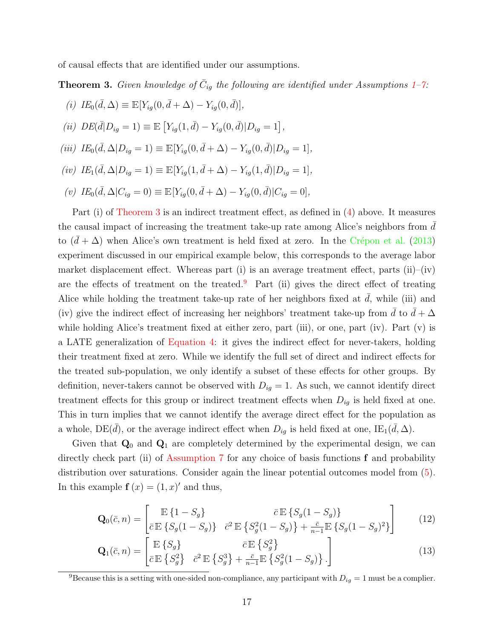of causal effects that are identified under our assumptions.

<span id="page-16-0"></span>**Theorem 3.** Given knowledge of  $\bar{C}_{ig}$  the following are identified under Assumptions [1](#page-5-0)-7:

(i)  $IE_0(\bar{d}, \Delta) \equiv \mathbb{E}[Y_{ig}(0, \bar{d} + \Delta) - Y_{ig}(0, \bar{d})],$ (ii)  $DE(\bar{d}|D_{ig}=1) \equiv \mathbb{E}\left[Y_{ig}(1,\bar{d}) - Y_{ig}(0,\bar{d})|D_{ig}=1\right],$ (iii)  $IE_0(\bar{d}, \Delta | D_{ig} = 1) \equiv \mathbb{E}[Y_{ig}(0, \bar{d} + \Delta) - Y_{ig}(0, \bar{d}) | D_{ig} = 1],$  $(iv)$   $IE_1(\bar{d}, \Delta | D_{ig} = 1) \equiv \mathbb{E}[Y_{ig}(1, \bar{d} + \Delta) - Y_{ig}(1, \bar{d}) | D_{ig} = 1],$ (v)  $IE_0(\bar{d}, \Delta | C_{ig} = 0) \equiv \mathbb{E}[Y_{ig}(0, \bar{d} + \Delta) - Y_{ig}(0, \bar{d}) | C_{ig} = 0],$ 

Part (i) of [Theorem 3](#page-16-0) is an indirect treatment effect, as defined in  $(4)$  above. It measures the causal impact of increasing the treatment take-up rate among Alice's neighbors from  $d$ to  $(\bar{d} + \Delta)$  when Alice's own treatment is held fixed at zero. In the Crépon et al. [\(2013\)](#page-32-0) experiment discussed in our empirical example below, this corresponds to the average labor market displacement effect. Whereas part (i) is an average treatment effect, parts (ii)–(iv) are the effects of treatment on the treated.<sup>[9](#page-16-1)</sup> Part (ii) gives the direct effect of treating Alice while holding the treatment take-up rate of her neighbors fixed at  $d$ , while (iii) and (iv) give the indirect effect of increasing her neighbors' treatment take-up from d to  $d + \Delta$ while holding Alice's treatment fixed at either zero, part (iii), or one, part (iv). Part (v) is a LATE generalization of [Equation 4:](#page-8-2) it gives the indirect effect for never-takers, holding their treatment fixed at zero. While we identify the full set of direct and indirect effects for the treated sub-population, we only identify a subset of these effects for other groups. By definition, never-takers cannot be observed with  $D_{ig} = 1$ . As such, we cannot identify direct treatment effects for this group or indirect treatment effects when  $D_{ig}$  is held fixed at one. This in turn implies that we cannot identify the average direct effect for the population as a whole, DE( $\bar{d}$ ), or the average indirect effect when  $D_{ig}$  is held fixed at one, IE<sub>1</sub>( $\bar{d}$ ,  $\Delta$ ).

Given that  $\mathbf{Q}_0$  and  $\mathbf{Q}_1$  are completely determined by the experimental design, we can directly check part (ii) of [Assumption 7](#page-13-0) for any choice of basis functions  $f$  and probability distribution over saturations. Consider again the linear potential outcomes model from [\(5\)](#page-8-0). In this example  $f(x) = (1, x)'$  and thus,

<span id="page-16-2"></span>
$$
\mathbf{Q}_{0}(\bar{c}, n) = \begin{bmatrix} \mathbb{E} \left\{ 1 - S_{g} \right\} & \bar{c} \mathbb{E} \left\{ S_{g} (1 - S_{g}) \right\} \\ \bar{c} \mathbb{E} \left\{ S_{g} (1 - S_{g}) \right\} & \bar{c}^{2} \mathbb{E} \left\{ S_{g}^{2} (1 - S_{g}) \right\} + \frac{\bar{c}}{n - 1} \mathbb{E} \left\{ S_{g} (1 - S_{g})^{2} \right\} \end{bmatrix}
$$
(12)

<span id="page-16-3"></span>
$$
\mathbf{Q}_{1}(\bar{c}, n) = \begin{bmatrix} \mathbb{E}\left\{S_{g}\right\} & \bar{c} \mathbb{E}\left\{S_{g}^{2}\right\} \\ \bar{c} \mathbb{E}\left\{S_{g}^{2}\right\} & \bar{c}^{2} \mathbb{E}\left\{S_{g}^{3}\right\} + \frac{\bar{c}}{n-1} \mathbb{E}\left\{S_{g}^{2}(1 - S_{g})\right\} . \end{bmatrix}
$$
(13)

<span id="page-16-1"></span><sup>9</sup>Because this is a setting with one-sided non-compliance, any participant with  $D_{ig} = 1$  must be a complier.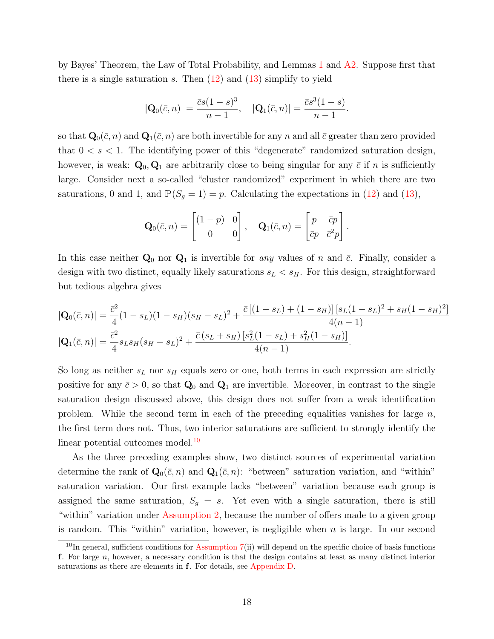by Bayes' Theorem, the Law of Total Probability, and Lemmas [1](#page-11-2) and [A2.](#page-39-0) Suppose first that there is a single saturation s. Then  $(12)$  and  $(13)$  simplify to yield

$$
|\mathbf{Q}_0(\bar{c}, n)| = \frac{\bar{c}s(1-s)^3}{n-1}, \quad |\mathbf{Q}_1(\bar{c}, n)| = \frac{\bar{c}s^3(1-s)}{n-1}.
$$

so that  $\mathbf{Q}_0(\bar{c}, n)$  and  $\mathbf{Q}_1(\bar{c}, n)$  are both invertible for any n and all  $\bar{c}$  greater than zero provided that  $0 < s < 1$ . The identifying power of this "degenerate" randomized saturation design, however, is weak:  $\mathbf{Q}_0, \mathbf{Q}_1$  are arbitrarily close to being singular for any  $\bar{c}$  if n is sufficiently large. Consider next a so-called "cluster randomized" experiment in which there are two saturations, 0 and 1, and  $\mathbb{P}(S_q = 1) = p$ . Calculating the expectations in [\(12\)](#page-16-2) and [\(13\)](#page-16-3),

$$
\mathbf{Q}_0(\bar{c}, n) = \begin{bmatrix} (1-p) & 0 \\ 0 & 0 \end{bmatrix}, \quad \mathbf{Q}_1(\bar{c}, n) = \begin{bmatrix} p & \bar{c}p \\ \bar{c}p & \bar{c}^2p \end{bmatrix}.
$$

In this case neither  $\mathbf{Q}_0$  nor  $\mathbf{Q}_1$  is invertible for any values of n and  $\bar{c}$ . Finally, consider a design with two distinct, equally likely saturations  $s_L < s_H$ . For this design, straightforward but tedious algebra gives

$$
|\mathbf{Q}_{0}(\bar{c}, n)| = \frac{\bar{c}^{2}}{4}(1 - s_{L})(1 - s_{H})(s_{H} - s_{L})^{2} + \frac{\bar{c}[(1 - s_{L}) + (1 - s_{H})][s_{L}(1 - s_{L})^{2} + s_{H}(1 - s_{H})^{2}]}{4(n - 1)}
$$
  

$$
|\mathbf{Q}_{1}(\bar{c}, n)| = \frac{\bar{c}^{2}}{4}s_{L}s_{H}(s_{H} - s_{L})^{2} + \frac{\bar{c}(s_{L} + s_{H})[s_{L}^{2}(1 - s_{L}) + s_{H}^{2}(1 - s_{H})]}{4(n - 1)}.
$$

So long as neither  $s_L$  nor  $s_H$  equals zero or one, both terms in each expression are strictly positive for any  $\bar{c} > 0$ , so that  $\mathbf{Q}_0$  and  $\mathbf{Q}_1$  are invertible. Moreover, in contrast to the single saturation design discussed above, this design does not suffer from a weak identification problem. While the second term in each of the preceding equalities vanishes for large  $n$ , the first term does not. Thus, two interior saturations are sufficient to strongly identify the linear potential outcomes model.<sup>[10](#page-17-0)</sup>

As the three preceding examples show, two distinct sources of experimental variation determine the rank of  $\mathbf{Q}_0(\bar{c}, n)$  and  $\mathbf{Q}_1(\bar{c}, n)$ : "between" saturation variation, and "within" saturation variation. Our first example lacks "between" variation because each group is assigned the same saturation,  $S_g = s$ . Yet even with a single saturation, there is still "within" variation under [Assumption 2,](#page-6-1) because the number of offers made to a given group is random. This "within" variation, however, is negligible when  $n$  is large. In our second

<span id="page-17-0"></span> $10$ In general, sufficient conditions for [Assumption 7\(](#page-13-0)ii) will depend on the specific choice of basis functions f. For large n, however, a necessary condition is that the design contains at least as many distinct interior saturations as there are elements in f. For details, see [Appendix D.](#page-48-0)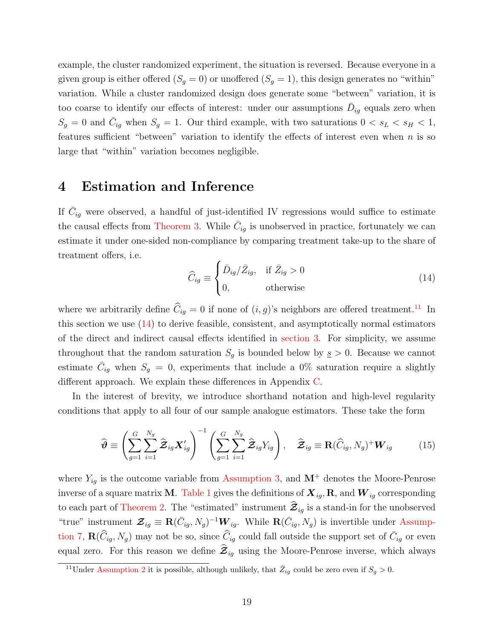example, the cluster randomized experiment, the situation is reversed. Because everyone in a given group is either offered  $(S_q = 0)$  or unoffered  $(S_q = 1)$ , this design generates no "within" variation. While a cluster randomized design does generate some "between" variation, it is too coarse to identify our effects of interest: under our assumptions  $\bar{D}_{ig}$  equals zero when  $S_g = 0$  and  $\bar{C}_{ig}$  when  $S_g = 1$ . Our third example, with two saturations  $0 < s_L < s_H < 1$ , features sufficient "between" variation to identify the effects of interest even when  $n$  is so large that "within" variation becomes negligible.

### <span id="page-18-0"></span>4 Estimation and Inference

If  $\bar{C}_{ig}$  were observed, a handful of just-identified IV regressions would suffice to estimate the causal effects from [Theorem 3.](#page-16-0) While  $\bar{C}_{ig}$  is unobserved in practice, fortunately we can estimate it under one-sided non-compliance by comparing treatment take-up to the share of treatment offers, i.e.

<span id="page-18-2"></span>
$$
\widehat{C}_{ig} \equiv \begin{cases} \bar{D}_{ig}/\bar{Z}_{ig}, & \text{if } \bar{Z}_{ig} > 0 \\ 0, & \text{otherwise} \end{cases}
$$
\n(14)

where we arbitrarily define  $\hat{C}_{iq} = 0$  if none of  $(i, g)$ 's neighbors are offered treatment.<sup>[11](#page-18-1)</sup> In this section we use  $(14)$  to derive feasible, consistent, and asymptotically normal estimators of the direct and indirect causal effects identified in [section 3.](#page-11-0) For simplicity, we assume throughout that the random saturation  $S_g$  is bounded below by  $s > 0$ . Because we cannot estimate  $\bar{C}_{ig}$  when  $S_g = 0$ , experiments that include a 0% saturation require a slightly different approach. We explain these differences in Appendix [C.](#page-48-1)

In the interest of brevity, we introduce shorthand notation and high-level regularity conditions that apply to all four of our sample analogue estimators. These take the form

<span id="page-18-3"></span>
$$
\widehat{\boldsymbol{\vartheta}} \equiv \left(\sum_{g=1}^{G} \sum_{i=1}^{N_g} \widehat{\boldsymbol{\mathcal{Z}}}_{ig} \boldsymbol{X}'_{ig}\right)^{-1} \left(\sum_{g=1}^{G} \sum_{i=1}^{N_g} \widehat{\boldsymbol{\mathcal{Z}}}_{ig} Y_{ig}\right), \quad \widehat{\boldsymbol{\mathcal{Z}}}_{ig} \equiv \mathbf{R}(\widehat{C}_{ig}, N_g)^+ \boldsymbol{W}_{ig} \tag{15}
$$

where  $Y_{ig}$  is the outcome variable from [Assumption 3,](#page-6-2) and  $M^+$  denotes the Moore-Penrose inverse of a square matrix **M**. [Table 1](#page-19-0) gives the definitions of  $X_{ig}$ , **R**, and  $W_{ig}$  corresponding to each part of [Theorem 2.](#page-14-0) The "estimated" instrument  $\mathcal{Z}_{ig}$  is a stand-in for the unobserved "true" instrument  $\mathcal{Z}_{ig} \equiv \mathbf{R}(\bar{C}_{ig}, N_g)^{-1} \bm{W}_{ig}$ . While  $\mathbf{R}(\bar{C}_{ig}, N_g)$  is invertible under [Assump](#page-13-0)[tion 7,](#page-13-0)  $\mathbf{R}(\widehat{C}_{ig}, N_g)$  may not be so, since  $\widehat{C}_{ig}$  could fall outside the support set of  $\overline{C}_{ig}$  or even equal zero. For this reason we define  $\mathcal{Z}_{ig}$  using the Moore-Penrose inverse, which always

<span id="page-18-1"></span><sup>&</sup>lt;sup>11</sup>Under [Assumption 2](#page-6-1) it is possible, although unlikely, that  $\overline{Z}_{ig}$  could be zero even if  $S_g > 0$ .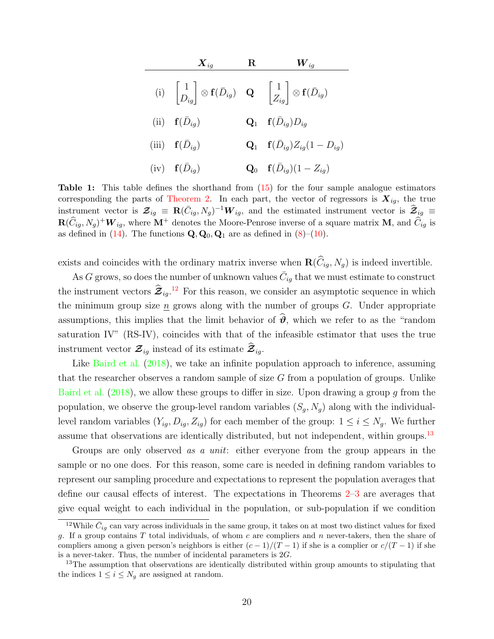<span id="page-19-0"></span>

| $\boldsymbol{X}_{iq}$                                                                                                                                                  | $\bf{R}$ | $\boldsymbol{W}_{iq}$                               |
|------------------------------------------------------------------------------------------------------------------------------------------------------------------------|----------|-----------------------------------------------------|
| (i) $\begin{vmatrix} 1 \\ D_{iq} \end{vmatrix} \otimes \mathbf{f}(\bar{D}_{ig})$ <b>Q</b> $\begin{bmatrix} 1 \\ Z_{iq} \end{bmatrix} \otimes \mathbf{f}(\bar{D}_{ig})$ |          |                                                     |
| (ii) $\mathbf{f}(\bar{D}_{iq})$                                                                                                                                        |          | $\mathbf{Q}_1$ $\mathbf{f}(\bar{D}_{ig})D_{ig}$     |
| (iii) $\mathbf{f}(\bar{D}_{iq})$                                                                                                                                       |          | $Q_1$ $f(\bar{D}_{iq})Z_{iq}(1-D_{iq})$             |
| $(iv)$ $\mathbf{f}(\bar{D}_{iq})$                                                                                                                                      |          | <b>Q</b> <sub>0</sub> $f(\bar{D}_{ig})(1 - Z_{ig})$ |

Table 1: This table defines the shorthand from [\(15\)](#page-18-3) for the four sample analogue estimators corresponding the parts of [Theorem 2.](#page-14-0) In each part, the vector of regressors is  $X_{ig}$ , the true instrument vector is  $\mathcal{Z}_{ig} \equiv \mathbf{R}(\bar{C}_{ig}, N_g)^{-1} \mathbf{W}_{ig}$ , and the estimated instrument vector is  $\hat{\mathcal{Z}}_{ig} \equiv$  $\mathbf{R}(\widehat{C}_{ig}, N_g)^+ \mathbf{W}_{ig}$ , where  $\mathbf{M}^+$  denotes the Moore-Penrose inverse of a square matrix  $\mathbf{M}$ , and  $\widehat{C}_{ig}$  is as defined in [\(14\)](#page-18-2). The functions  $\mathbf{Q}, \mathbf{Q}_0, \mathbf{Q}_1$  are as defined in [\(8\)](#page-13-1)–[\(10\)](#page-13-2).

exists and coincides with the ordinary matrix inverse when  $\mathbf{R}(\widehat{C}_{iq}, N_q)$  is indeed invertible.

As G grows, so does the number of unknown values  $\bar{C}_{ig}$  that we must estimate to construct the instrument vectors  $\hat{\mathcal{Z}}_{ig}.^{12}$  $\hat{\mathcal{Z}}_{ig}.^{12}$  $\hat{\mathcal{Z}}_{ig}.^{12}$  For this reason, we consider an asymptotic sequence in which the minimum group size  $\underline{n}$  grows along with the number of groups  $G$ . Under appropriate assumptions, this implies that the limit behavior of  $\hat{\theta}$ , which we refer to as the "random" saturation IV" (RS-IV), coincides with that of the infeasible estimator that uses the true instrument vector  $\mathcal{Z}_{ig}$  instead of its estimate  $\mathcal{Z}_{ig}$ .

Like [Baird et al.](#page-32-13) [\(2018\)](#page-32-13), we take an infinite population approach to inference, assuming that the researcher observes a random sample of size  $G$  from a population of groups. Unlike [Baird et al.](#page-32-13)  $(2018)$ , we allow these groups to differ in size. Upon drawing a group g from the population, we observe the group-level random variables  $(S_g, N_g)$  along with the individuallevel random variables  $(Y_{ig}, D_{ig}, Z_{ig})$  for each member of the group:  $1 \le i \le N_g$ . We further assume that observations are identically distributed, but not independent, within groups.<sup>[13](#page-19-2)</sup>

Groups are only observed as a unit: either everyone from the group appears in the sample or no one does. For this reason, some care is needed in defining random variables to represent our sampling procedure and expectations to represent the population averages that define our causal effects of interest. The expectations in Theorems [2–](#page-14-0)[3](#page-16-0) are averages that give equal weight to each individual in the population, or sub-population if we condition

<span id="page-19-1"></span><sup>&</sup>lt;sup>12</sup>While  $\bar{C}_{ig}$  can vary across individuals in the same group, it takes on at most two distinct values for fixed g. If a group contains  $T$  total individuals, of whom  $c$  are compliers and  $n$  never-takers, then the share of compliers among a given person's neighbors is either  $(c-1)/(T-1)$  if she is a complier or  $c/(T-1)$  if she is a never-taker. Thus, the number of incidental parameters is  $2G$ .

<span id="page-19-2"></span><sup>&</sup>lt;sup>13</sup>The assumption that observations are identically distributed within group amounts to stipulating that the indices  $1 \leq i \leq N_g$  are assigned at random.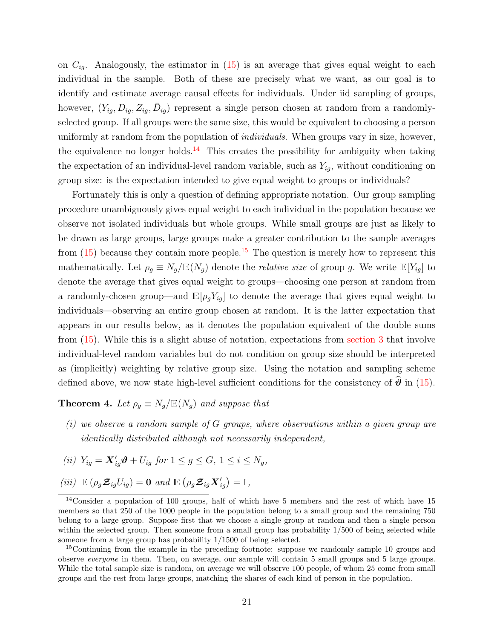on  $C_{iq}$ . Analogously, the estimator in [\(15\)](#page-18-3) is an average that gives equal weight to each individual in the sample. Both of these are precisely what we want, as our goal is to identify and estimate average causal effects for individuals. Under iid sampling of groups, however,  $(Y_{ig}, D_{ig}, Z_{ig}, \bar{D}_{ig})$  represent a single person chosen at random from a randomlyselected group. If all groups were the same size, this would be equivalent to choosing a person uniformly at random from the population of *individuals*. When groups vary in size, however, the equivalence no longer holds.<sup>[14](#page-20-0)</sup> This creates the possibility for ambiguity when taking the expectation of an individual-level random variable, such as  $Y_{ig}$ , without conditioning on group size: is the expectation intended to give equal weight to groups or individuals?

Fortunately this is only a question of defining appropriate notation. Our group sampling procedure unambiguously gives equal weight to each individual in the population because we observe not isolated individuals but whole groups. While small groups are just as likely to be drawn as large groups, large groups make a greater contribution to the sample averages from  $(15)$  because they contain more people.<sup>[15](#page-20-1)</sup> The question is merely how to represent this mathematically. Let  $\rho_g \equiv N_g/\mathbb{E}(N_g)$  denote the *relative size* of group g. We write  $\mathbb{E}[Y_{ig}]$  to denote the average that gives equal weight to groups—choosing one person at random from a randomly-chosen group—and  $\mathbb{E}[\rho_q Y_{iq}]$  to denote the average that gives equal weight to individuals—observing an entire group chosen at random. It is the latter expectation that appears in our results below, as it denotes the population equivalent of the double sums from [\(15\)](#page-18-3). While this is a slight abuse of notation, expectations from [section 3](#page-11-0) that involve individual-level random variables but do not condition on group size should be interpreted as (implicitly) weighting by relative group size. Using the notation and sampling scheme defined above, we now state high-level sufficient conditions for the consistency of  $\hat{\theta}$  in [\(15\)](#page-18-3).

### <span id="page-20-2"></span>**Theorem 4.** Let  $\rho_g \equiv N_g / \mathbb{E}(N_g)$  and suppose that

- $(i)$  we observe a random sample of G groups, where observations within a given group are identically distributed although not necessarily independent,
- (ii)  $Y_{ig} = \mathbf{X}'_{ig} \boldsymbol{\vartheta} + U_{ig}$  for  $1 \le g \le G, 1 \le i \le N_g$ ,

(iii)  $\mathbb{E} \left( \rho_g \mathcal{Z}_{ig} U_{ig} \right) = \mathbf{0} \text{ and } \mathbb{E} \left( \rho_g \mathcal{Z}_{ig} \mathcal{X}'_{ig} \right) = \mathbb{I},$ 

<span id="page-20-0"></span><sup>&</sup>lt;sup>14</sup>Consider a population of 100 groups, half of which have 5 members and the rest of which have 15 members so that 250 of the 1000 people in the population belong to a small group and the remaining 750 belong to a large group. Suppose first that we choose a single group at random and then a single person within the selected group. Then someone from a small group has probability  $1/500$  of being selected while someone from a large group has probability 1/1500 of being selected.

<span id="page-20-1"></span><sup>&</sup>lt;sup>15</sup>Continuing from the example in the preceding footnote: suppose we randomly sample 10 groups and observe everyone in them. Then, on average, our sample will contain 5 small groups and 5 large groups. While the total sample size is random, on average we will observe 100 people, of whom 25 come from small groups and the rest from large groups, matching the shares of each kind of person in the population.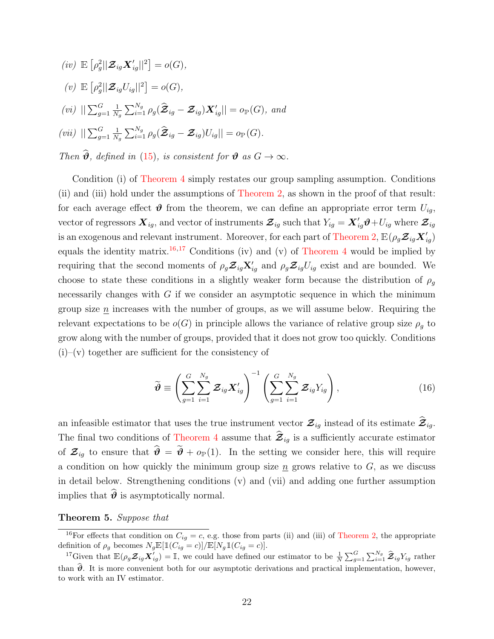$$
(iv) \mathbb{E}\left[\rho_g^2 || \mathbf{\mathcal{Z}}_{ig} \mathbf{X}'_{ig}||^2\right] = o(G),
$$
  
\n
$$
(v) \mathbb{E}\left[\rho_g^2 || \mathbf{\mathcal{Z}}_{ig} U_{ig}||^2\right] = o(G),
$$
  
\n
$$
(vi) \||\sum_{g=1}^G \frac{1}{N_g} \sum_{i=1}^{N_g} \rho_g(\hat{\mathbf{\mathcal{Z}}}_{ig} - \mathbf{\mathcal{Z}}_{ig}) \mathbf{X}'_{ig}|| = o_{\mathbb{P}}(G), and
$$
  
\n
$$
(vii) \||\sum_{g=1}^G \frac{1}{N_g} \sum_{i=1}^{N_g} \rho_g(\hat{\mathbf{\mathcal{Z}}}_{ig} - \mathbf{\mathcal{Z}}_{ig}) U_{ig}|| = o_{\mathbb{P}}(G).
$$

Then  $\widehat{\mathbf{\theta}}$ , defined in [\(15\)](#page-18-3), is consistent for  $\mathbf{\theta}$  as  $G \to \infty$ .

Condition (i) of [Theorem 4](#page-20-2) simply restates our group sampling assumption. Conditions (ii) and (iii) hold under the assumptions of [Theorem 2,](#page-14-0) as shown in the proof of that result: for each average effect  $\boldsymbol{\vartheta}$  from the theorem, we can define an appropriate error term  $U_{i,q}$ , vector of regressors  $\bm{X}_{ig}$ , and vector of instruments  $\bm{\mathcal{Z}}_{ig}$  such that  $Y_{ig} = \bm{X}_{ig}'\bm{\vartheta} + U_{ig}$  where  $\bm{\mathcal{Z}}_{ig}$ is an exogenous and relevant instrument. Moreover, for each part of [Theorem 2,](#page-14-0)  $\mathbb{E}(\rho_g {\cal Z}_{ig} {\cal X}_{ig}')$ equals the identity matrix.<sup>[16,](#page-21-0)[17](#page-21-1)</sup> Conditions (iv) and (v) of [Theorem 4](#page-20-2) would be implied by requiring that the second moments of  $\rho_g \mathcal{Z}_{ig} \mathbf{X}'_{ig}$  and  $\rho_g \mathcal{Z}_{ig} U_{ig}$  exist and are bounded. We choose to state these conditions in a slightly weaker form because the distribution of  $\rho_q$ necessarily changes with  $G$  if we consider an asymptotic sequence in which the minimum group size  $n$  increases with the number of groups, as we will assume below. Requiring the relevant expectations to be  $o(G)$  in principle allows the variance of relative group size  $\rho_q$  to grow along with the number of groups, provided that it does not grow too quickly. Conditions  $(i)$ –(v) together are sufficient for the consistency of

<span id="page-21-3"></span>
$$
\widetilde{\boldsymbol{\vartheta}} \equiv \left(\sum_{g=1}^{G} \sum_{i=1}^{N_g} \boldsymbol{\mathcal{Z}}_{ig} \boldsymbol{X}_{ig}^{\prime}\right)^{-1} \left(\sum_{g=1}^{G} \sum_{i=1}^{N_g} \boldsymbol{\mathcal{Z}}_{ig} Y_{ig}\right), \qquad (16)
$$

an infeasible estimator that uses the true instrument vector  $\mathcal{Z}_{ig}$  instead of its estimate  $\widehat{\mathcal{Z}}_{ig}$ . The final two conditions of [Theorem 4](#page-20-2) assume that  $\hat{\mathcal{Z}}_{ig}$  is a sufficiently accurate estimator of  $\mathcal{Z}_{iq}$  to ensure that  $\hat{\theta} = \tilde{\theta} + o_{\mathbb{P}}(1)$ . In the setting we consider here, this will require a condition on how quickly the minimum group size  $\underline{n}$  grows relative to  $G$ , as we discuss in detail below. Strengthening conditions (v) and (vii) and adding one further assumption implies that  $\hat{\theta}$  is asymptotically normal.

### <span id="page-21-2"></span>Theorem 5. Suppose that

<span id="page-21-0"></span><sup>&</sup>lt;sup>16</sup>For effects that condition on  $C_{ig} = c$ , e.g. those from parts (ii) and (iii) of [Theorem 2,](#page-14-0) the appropriate definition of  $\rho_g$  becomes  $N_g \mathbb{E}[\mathbbm{1}(C_{ig}=c)]/\mathbb{E}[N_g\mathbbm{1}(C_{ig}=c)].$ 

<span id="page-21-1"></span><sup>&</sup>lt;sup>17</sup>Given that  $\mathbb{E}(\rho_g \mathcal{Z}_{ig} \mathbf{X}_{ig}^{\prime}) = \mathbb{I}$ , we could have defined our estimator to be  $\frac{1}{N} \sum_{g=1}^{G} \sum_{i=1}^{N_g} \hat{\mathcal{Z}}_{ig} Y_{ig}$  rather than  $\hat{\theta}$ . It is more convenient both for our asymptotic derivations and practical implementation, however, to work with an IV estimator.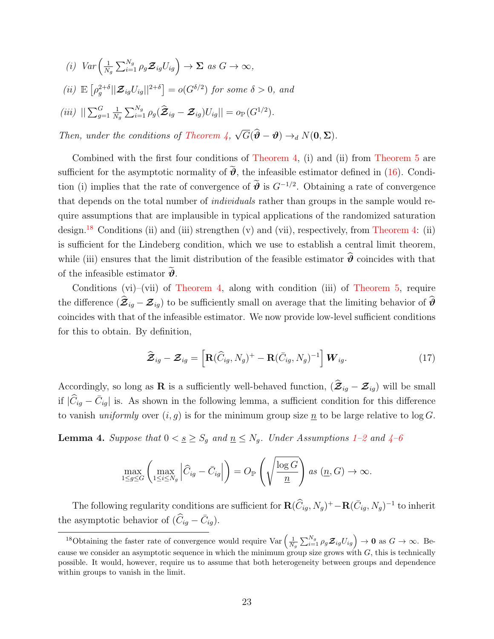(i) 
$$
Var\left(\frac{1}{N_g}\sum_{i=1}^{N_g} \rho_g \mathcal{Z}_{ig} U_{ig}\right) \to \Sigma \text{ as } G \to \infty,
$$
  
\n(ii)  $\mathbb{E}\left[\rho_g^{2+\delta} || \mathcal{Z}_{ig} U_{ig} ||^{2+\delta}\right] = o(G^{\delta/2}) \text{ for some } \delta > 0, \text{ and}$   
\n(iii)  $||\sum_{g=1}^G \frac{1}{N_g} \sum_{i=1}^{N_g} \rho_g (\hat{\mathcal{Z}}_{ig} - \mathcal{Z}_{ig}) U_{ig}|| = o_{\mathbb{P}}(G^{1/2}).$ 

Then, under the conditions of Theorem  $\lambda$ ,  $G(\boldsymbol{\vartheta} - \boldsymbol{\vartheta}) \rightarrow_d N(\mathbf{0}, \boldsymbol{\Sigma}).$ 

Combined with the first four conditions of [Theorem 4,](#page-20-2) (i) and (ii) from [Theorem 5](#page-21-2) are sufficient for the asymptotic normality of  $\tilde{\theta}$ , the infeasible estimator defined in [\(16\)](#page-21-3). Condition (i) implies that the rate of convergence of  $\hat{\theta}$  is  $G^{-1/2}$ . Obtaining a rate of convergence that depends on the total number of individuals rather than groups in the sample would require assumptions that are implausible in typical applications of the randomized saturation design.<sup>[18](#page-22-0)</sup> Conditions (ii) and (iii) strengthen (v) and (vii), respectively, from [Theorem 4:](#page-20-2) (ii) is sufficient for the Lindeberg condition, which we use to establish a central limit theorem, while (iii) ensures that the limit distribution of the feasible estimator  $\hat{\boldsymbol{\theta}}$  coincides with that of the infeasible estimator  $\vartheta$ .

Conditions (vi)–(vii) of [Theorem 4,](#page-20-2) along with condition (iii) of [Theorem 5,](#page-21-2) require the difference  $(\hat{\mathcal{Z}}_{ig} - \mathcal{Z}_{ig})$  to be sufficiently small on average that the limiting behavior of  $\hat{\theta}$ coincides with that of the infeasible estimator. We now provide low-level sufficient conditions for this to obtain. By definition,

<span id="page-22-2"></span>
$$
\widehat{\boldsymbol{\mathcal{Z}}}_{ig} - \boldsymbol{\mathcal{Z}}_{ig} = \left[ \mathbf{R} (\widehat{C}_{ig}, N_g)^+ - \mathbf{R} (\bar{C}_{ig}, N_g)^{-1} \right] \boldsymbol{W}_{ig}.
$$
 (17)

Accordingly, so long as R is a sufficiently well-behaved function,  $(\hat{\mathcal{Z}}_{ig} - \mathcal{Z}_{ig})$  will be small if  $|\widehat{C}_{ig} - \bar{C}_{ig}|$  is. As shown in the following lemma, a sufficient condition for this difference to vanish uniformly over  $(i, g)$  is for the minimum group size  $\underline{n}$  to be large relative to log G.

<span id="page-22-1"></span>**Lemma [4](#page-9-3).** Suppose that  $0 < \underline{s} \geq S_g$  and  $\underline{n} \leq N_g$ . Under Assumptions [1](#page-5-0)[–2](#page-6-1) and 4[–6](#page-11-1)

$$
\max_{1 \le g \le G} \left( \max_{1 \le i \le N_g} \left| \widehat{C}_{ig} - \overline{C}_{ig} \right| \right) = O_{\mathbb{P}} \left( \sqrt{\frac{\log G}{\underline{n}}} \right) \text{ as } (\underline{n}, G) \to \infty.
$$

The following regularity conditions are sufficient for  $\mathbf{R}(\widehat{C}_{ig}, N_g)^+ - \mathbf{R}(\overline{C}_{ig}, N_g)^{-1}$  to inherit the asymptotic behavior of  $(\widehat{C}_{ig} - \overline{C}_{ig}).$ 

<span id="page-22-0"></span><sup>&</sup>lt;sup>18</sup>Obtaining the faster rate of convergence would require  $\text{Var}\left(\frac{1}{N_g}\sum_{i=1}^{N_g} \rho_g \mathcal{Z}_{ig} U_{ig}\right) \to \mathbf{0}$  as  $G \to \infty$ . Because we consider an asymptotic sequence in which the minimum group size grows with  $G$ , this is technically possible. It would, however, require us to assume that both heterogeneity between groups and dependence within groups to vanish in the limit.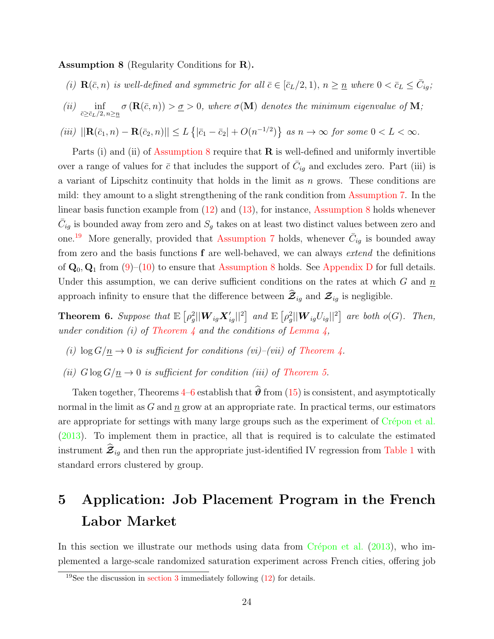<span id="page-23-1"></span>Assumption 8 (Regularity Conditions for R).

- (i)  $\mathbf{R}(\bar{c}, n)$  is well-defined and symmetric for all  $\bar{c} \in [\bar{c}_L/2, 1), n \geq \underline{n}$  where  $0 < \bar{c}_L \leq \bar{C}_{ig}$ ;
- $(ii)$  inf  $\bar{c} \geq \bar{c}_L/2, n \geq \underline{n}$  $\sigma(\mathbf{R}(\bar{c}, n)) > \underline{\sigma} > 0$ , where  $\sigma(\mathbf{M})$  denotes the minimum eigenvalue of M;
- (iii)  $||\mathbf{R}(\bar{c}_1, n) \mathbf{R}(\bar{c}_2, n)|| \le L \{|\bar{c}_1 \bar{c}_2| + O(n^{-1/2})\}$  as  $n \to \infty$  for some  $0 < L < \infty$ .

Parts (i) and (ii) of [Assumption 8](#page-23-1) require that  $\bf{R}$  is well-defined and uniformly invertible over a range of values for  $\bar{c}$  that includes the support of  $\bar{C}_{ig}$  and excludes zero. Part (iii) is a variant of Lipschitz continuity that holds in the limit as n grows. These conditions are mild: they amount to a slight strengthening of the rank condition from [Assumption 7.](#page-13-0) In the linear basis function example from [\(12\)](#page-16-2) and [\(13\)](#page-16-3), for instance, [Assumption 8](#page-23-1) holds whenever  $\bar{C}_{ig}$  is bounded away from zero and  $S_g$  takes on at least two distinct values between zero and one.<sup>[19](#page-23-2)</sup> More generally, provided that [Assumption 7](#page-13-0) holds, whenever  $\bar{C}_{ig}$  is bounded away from zero and the basis functions f are well-behaved, we can always extend the definitions of  $\mathbf{Q}_0$ ,  $\mathbf{Q}_1$  from [\(9\)](#page-13-3)–[\(10\)](#page-13-2) to ensure that [Assumption 8](#page-23-1) holds. See [Appendix D](#page-48-0) for full details. Under this assumption, we can derive sufficient conditions on the rates at which  $G$  and  $\underline{n}$ approach infinity to ensure that the difference between  $\mathcal{Z}_{ig}$  and  $\mathcal{Z}_{ig}$  is negligible.

<span id="page-23-3"></span>**Theorem 6.** Suppose that  $\mathbb{E} \left[ \rho_g^2 || \boldsymbol{W}_{ig} \boldsymbol{X}_{ig}' ||^2 \right]$  and  $\mathbb{E} \left[ \rho_g^2 || \boldsymbol{W}_{ig} U_{ig} ||^2 \right]$  are both  $o(G)$ . Then, under condition (i) of Theorem  $\lambda$  and the conditions of Lemma  $\lambda$ ,

- (i)  $\log G/\underline{n} \to 0$  is sufficient for conditions (vi)–(vii) of [Theorem 4.](#page-20-2)
- (ii)  $G \log G / \underline{n} \rightarrow 0$  is sufficient for condition (iii) of [Theorem 5.](#page-21-2)

Taken together, Theorems [4–](#page-20-2)[6](#page-23-3) establish that  $\hat{\theta}$  from [\(15\)](#page-18-3) is consistent, and asymptotically normal in the limit as  $G$  and  $n$  grow at an appropriate rate. In practical terms, our estimators are appropriate for settings with many large groups such as the experiment of Crépon et al. [\(2013\)](#page-32-0). To implement them in practice, all that is required is to calculate the estimated instrument  $\mathcal{Z}_{iq}$  and then run the appropriate just-identified IV regression from [Table 1](#page-19-0) with standard errors clustered by group.

## <span id="page-23-0"></span>5 Application: Job Placement Program in the French Labor Market

In this section we illustrate our methods using data from  $C$ répon et al. [\(2013\)](#page-32-0), who implemented a large-scale randomized saturation experiment across French cities, offering job

<span id="page-23-2"></span><sup>&</sup>lt;sup>19</sup>See the discussion in [section 3](#page-11-0) immediately following  $(12)$  for details.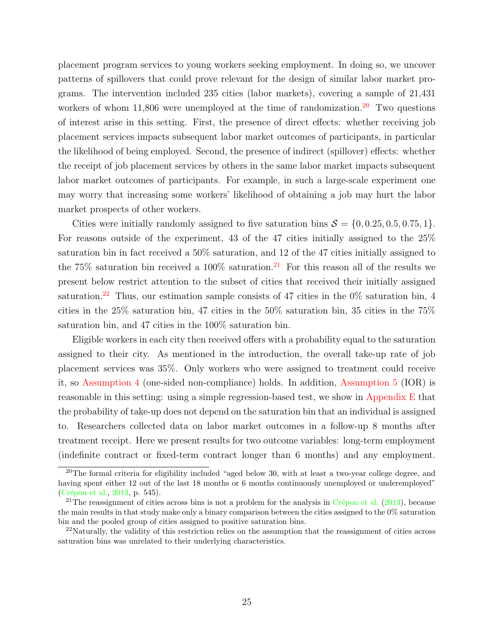placement program services to young workers seeking employment. In doing so, we uncover patterns of spillovers that could prove relevant for the design of similar labor market programs. The intervention included 235 cities (labor markets), covering a sample of 21,431 workers of whom  $11,806$  were unemployed at the time of randomization.<sup>[20](#page-24-0)</sup> Two questions of interest arise in this setting. First, the presence of direct effects: whether receiving job placement services impacts subsequent labor market outcomes of participants, in particular the likelihood of being employed. Second, the presence of indirect (spillover) effects: whether the receipt of job placement services by others in the same labor market impacts subsequent labor market outcomes of participants. For example, in such a large-scale experiment one may worry that increasing some workers' likelihood of obtaining a job may hurt the labor market prospects of other workers.

Cities were initially randomly assigned to five saturation bins  $S = \{0, 0.25, 0.5, 0.75, 1\}.$ For reasons outside of the experiment, 43 of the 47 cities initially assigned to the 25% saturation bin in fact received a 50% saturation, and 12 of the 47 cities initially assigned to the 75% saturation bin received a 100% saturation.<sup>[21](#page-24-1)</sup> For this reason all of the results we present below restrict attention to the subset of cities that received their initially assigned saturation.<sup>[22](#page-24-2)</sup> Thus, our estimation sample consists of 47 cities in the  $0\%$  saturation bin, 4 cities in the 25% saturation bin, 47 cities in the 50% saturation bin, 35 cities in the 75% saturation bin, and 47 cities in the 100% saturation bin.

Eligible workers in each city then received offers with a probability equal to the saturation assigned to their city. As mentioned in the introduction, the overall take-up rate of job placement services was 35%. Only workers who were assigned to treatment could receive it, so [Assumption 4](#page-9-3) (one-sided non-compliance) holds. In addition, [Assumption 5](#page-9-1) (IOR) is reasonable in this setting: using a simple regression-based test, we show in [Appendix E](#page-50-0) that the probability of take-up does not depend on the saturation bin that an individual is assigned to. Researchers collected data on labor market outcomes in a follow-up 8 months after treatment receipt. Here we present results for two outcome variables: long-term employment (indefinite contract or fixed-term contract longer than 6 months) and any employment.

<span id="page-24-0"></span> $^{20}$ The formal criteria for eligibility included "aged below 30, with at least a two-year college degree, and having spent either 12 out of the last 18 months or 6 months continuously unemployed or underemployed" (Crépon et al., [2013,](#page-32-0) p. 545).

<span id="page-24-1"></span><sup>&</sup>lt;sup>21</sup>The reassignment of cities across bins is not a problem for the analysis in Crépon et al. [\(2013\)](#page-32-0), because the main results in that study make only a binary comparison between the cities assigned to the 0% saturation bin and the pooled group of cities assigned to positive saturation bins.

<span id="page-24-2"></span> $^{22}$ Naturally, the validity of this restriction relies on the assumption that the reassignment of cities across saturation bins was unrelated to their underlying characteristics.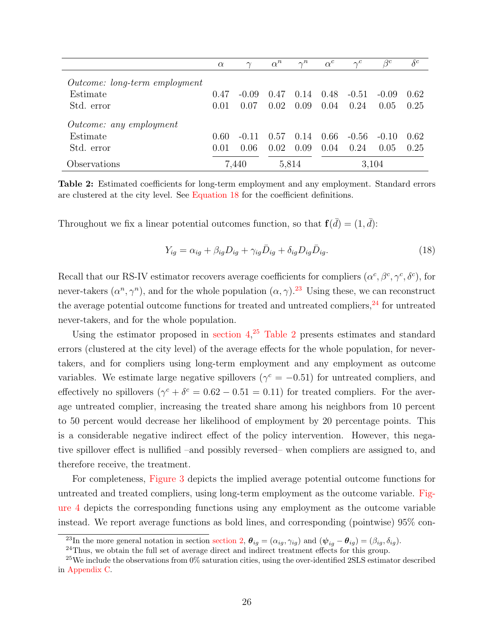<span id="page-25-4"></span>

|                                      | $\alpha$ | $\gamma$ | $\alpha^n$ | $\gamma^n$ | $\alpha^c$ | $\gamma^c$ | $\beta^{c}$ | $\delta^c$ |
|--------------------------------------|----------|----------|------------|------------|------------|------------|-------------|------------|
| <i>Outcome: long-term employment</i> |          |          |            |            |            |            |             |            |
| Estimate                             | 0.47     | $-0.09$  | 0.47       | 0.14       | 0.48       | $-0.51$    | $-()$ .()9  | 0.62       |
| Std. error                           | 0.01     | 0.07     | 0.02       | 0.09       | 0.04       | 0.24       | 0.05        | 0.25       |
| Outcome: any employment              |          |          |            |            |            |            |             |            |
| Estimate                             | 0.60     | $-0.11$  | 0.57       | 0.14       | 0.66       | $-0.56$    | $-(0.10)$   | 0.62       |
| Std. error                           | 0.01     | 0.06     | 0.02       | 0.09       | 0.04       | 0.24       | 0.05        | 0.25       |
| Observations                         |          | 7.440    |            | 5,814      |            |            | 3,104       |            |

Table 2: Estimated coefficients for long-term employment and any employment. Standard errors are clustered at the city level. See [Equation 18](#page-25-0) for the coefficient definitions.

Throughout we fix a linear potential outcomes function, so that  $f(d) = (1, d)$ :

<span id="page-25-0"></span>
$$
Y_{ig} = \alpha_{ig} + \beta_{ig} D_{ig} + \gamma_{ig} \bar{D}_{ig} + \delta_{ig} D_{ig} \bar{D}_{ig}.
$$
\n(18)

Recall that our RS-IV estimator recovers average coefficients for compliers  $(\alpha^c, \beta^c, \gamma^c, \delta^c)$ , for never-takers  $(\alpha^n, \gamma^n)$ , and for the whole population  $(\alpha, \gamma)$ .<sup>[23](#page-25-1)</sup> Using these, we can reconstruct the average potential outcome functions for treated and untreated compliers, $^{24}$  $^{24}$  $^{24}$  for untreated never-takers, and for the whole population.

Using the estimator proposed in section  $4<sup>25</sup>$  $4<sup>25</sup>$  $4<sup>25</sup>$  [Table 2](#page-25-4) presents estimates and standard errors (clustered at the city level) of the average effects for the whole population, for nevertakers, and for compliers using long-term employment and any employment as outcome variables. We estimate large negative spillovers ( $\gamma^c = -0.51$ ) for untreated compliers, and effectively no spillovers  $(\gamma^c + \delta^c = 0.62 - 0.51 = 0.11)$  for treated compliers. For the average untreated complier, increasing the treated share among his neighbors from 10 percent to 50 percent would decrease her likelihood of employment by 20 percentage points. This is a considerable negative indirect effect of the policy intervention. However, this negative spillover effect is nullified –and possibly reversed– when compliers are assigned to, and therefore receive, the treatment.

For completeness, [Figure 3](#page-26-0) depicts the implied average potential outcome functions for untreated and treated compliers, using long-term employment as the outcome variable. [Fig](#page-26-1)[ure 4](#page-26-1) depicts the corresponding functions using any employment as the outcome variable instead. We report average functions as bold lines, and corresponding (pointwise) 95% con-

<span id="page-25-1"></span><sup>&</sup>lt;sup>23</sup>In the more general notation in section [section 2,](#page-4-0)  $\theta_{ig} = (\alpha_{ig}, \gamma_{ig})$  and  $(\psi_{ig} - \theta_{ig}) = (\beta_{ig}, \delta_{ig})$ .

<span id="page-25-3"></span><span id="page-25-2"></span><sup>&</sup>lt;sup>24</sup>Thus, we obtain the full set of average direct and indirect treatment effects for this group.

 $^{25}$ We include the observations from 0% saturation cities, using the over-identified 2SLS estimator described in [Appendix C.](#page-48-1)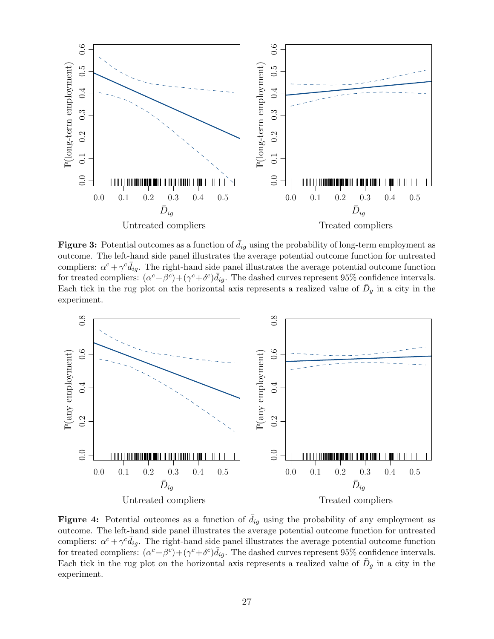<span id="page-26-0"></span>

**Figure 3:** Potential outcomes as a function of  $d_{iq}$  using the probability of long-term employment as outcome. The left-hand side panel illustrates the average potential outcome function for untreated compliers:  $\alpha^c + \gamma^c \bar{d}_{ig}$ . The right-hand side panel illustrates the average potential outcome function for treated compliers:  $(\alpha^c + \beta^c) + (\gamma^c + \delta^c) \bar{d}_{ig}$ . The dashed curves represent 95% confidence intervals. Each tick in the rug plot on the horizontal axis represents a realized value of  $\bar{D}_g$  in a city in the experiment.

<span id="page-26-1"></span>

**Figure 4:** Potential outcomes as a function of  $\bar{d}_{ig}$  using the probability of any employment as outcome. The left-hand side panel illustrates the average potential outcome function for untreated compliers:  $\alpha^c + \gamma^c \bar{d}_{ig}$ . The right-hand side panel illustrates the average potential outcome function for treated compliers:  $(\alpha^c + \beta^c) + (\gamma^c + \delta^c) \bar{d}_{ig}$ . The dashed curves represent 95% confidence intervals. Each tick in the rug plot on the horizontal axis represents a realized value of  $\bar{D}_g$  in a city in the experiment.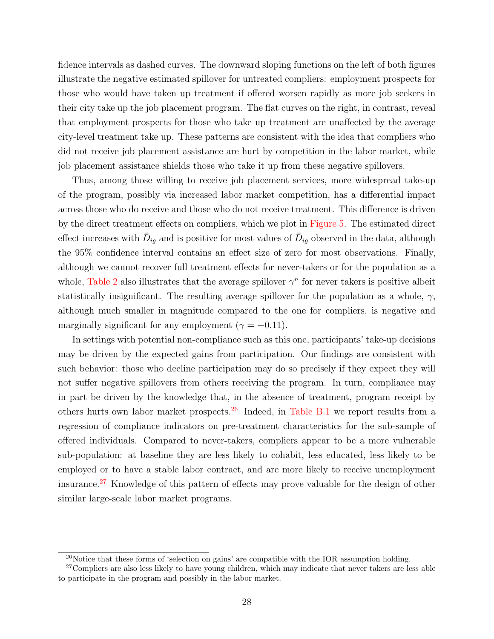fidence intervals as dashed curves. The downward sloping functions on the left of both figures illustrate the negative estimated spillover for untreated compliers: employment prospects for those who would have taken up treatment if offered worsen rapidly as more job seekers in their city take up the job placement program. The flat curves on the right, in contrast, reveal that employment prospects for those who take up treatment are unaffected by the average city-level treatment take up. These patterns are consistent with the idea that compliers who did not receive job placement assistance are hurt by competition in the labor market, while job placement assistance shields those who take it up from these negative spillovers.

Thus, among those willing to receive job placement services, more widespread take-up of the program, possibly via increased labor market competition, has a differential impact across those who do receive and those who do not receive treatment. This difference is driven by the direct treatment effects on compliers, which we plot in [Figure 5.](#page-28-1) The estimated direct effect increases with  $\bar{D}_{ig}$  and is positive for most values of  $\bar{D}_{ig}$  observed in the data, although the 95% confidence interval contains an effect size of zero for most observations. Finally, although we cannot recover full treatment effects for never-takers or for the population as a whole, [Table 2](#page-25-4) also illustrates that the average spillover  $\gamma^n$  for never takers is positive albeit statistically insignificant. The resulting average spillover for the population as a whole,  $\gamma$ , although much smaller in magnitude compared to the one for compliers, is negative and marginally significant for any employment ( $\gamma = -0.11$ ).

In settings with potential non-compliance such as this one, participants' take-up decisions may be driven by the expected gains from participation. Our findings are consistent with such behavior: those who decline participation may do so precisely if they expect they will not suffer negative spillovers from others receiving the program. In turn, compliance may in part be driven by the knowledge that, in the absence of treatment, program receipt by others hurts own labor market prospects.<sup>[26](#page-27-0)</sup> Indeed, in [Table B.1](#page-46-0) we report results from a regression of compliance indicators on pre-treatment characteristics for the sub-sample of offered individuals. Compared to never-takers, compliers appear to be a more vulnerable sub-population: at baseline they are less likely to cohabit, less educated, less likely to be employed or to have a stable labor contract, and are more likely to receive unemployment insurance.[27](#page-27-1) Knowledge of this pattern of effects may prove valuable for the design of other similar large-scale labor market programs.

<span id="page-27-1"></span><span id="page-27-0"></span> $^{26}$ Notice that these forms of 'selection on gains' are compatible with the IOR assumption holding.

<sup>&</sup>lt;sup>27</sup>Compliers are also less likely to have young children, which may indicate that never takers are less able to participate in the program and possibly in the labor market.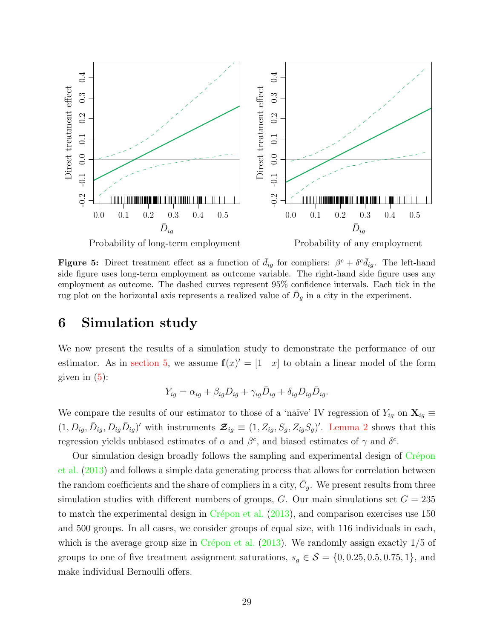<span id="page-28-1"></span>

**Figure 5:** Direct treatment effect as a function of  $\bar{d}_{ig}$  for compliers:  $\beta^c + \delta^c \bar{d}_{ig}$ . The left-hand side figure uses long-term employment as outcome variable. The right-hand side figure uses any employment as outcome. The dashed curves represent 95% confidence intervals. Each tick in the rug plot on the horizontal axis represents a realized value of  $\bar{D}_g$  in a city in the experiment.

### <span id="page-28-0"></span>6 Simulation study

We now present the results of a simulation study to demonstrate the performance of our estimator. As in [section 5,](#page-23-0) we assume  $f(x)' = \begin{bmatrix} 1 & x \end{bmatrix}$  to obtain a linear model of the form given in  $(5)$ :

$$
Y_{ig} = \alpha_{ig} + \beta_{ig} D_{ig} + \gamma_{ig} \bar{D}_{ig} + \delta_{ig} D_{ig} \bar{D}_{ig}.
$$

We compare the results of our estimator to those of a 'naïve' IV regression of  $Y_{ig}$  on  $\mathbf{X}_{ig} \equiv$  $(1, D_{ig}, \bar{D}_{ig}, D_{ig}\bar{D}_{ig})'$  with instruments  $\mathcal{Z}_{ig} \equiv (1, Z_{ig}, S_g, Z_{ig}S_g)'$ . [Lemma 2](#page-12-0) shows that this regression yields unbiased estimates of  $\alpha$  and  $\beta^c$ , and biased estimates of  $\gamma$  and  $\delta^c$ .

Our simulation design broadly follows the sampling and experimental design of Crépon [et al.](#page-32-0) [\(2013\)](#page-32-0) and follows a simple data generating process that allows for correlation between the random coefficients and the share of compliers in a city,  $\bar{C}_g$ . We present results from three simulation studies with different numbers of groups,  $G$ . Our main simulations set  $G = 235$ to match the experimental design in Crépon et al.  $(2013)$ , and comparison exercises use 150 and 500 groups. In all cases, we consider groups of equal size, with 116 individuals in each, which is the average group size in Crépon et al.  $(2013)$ . We randomly assign exactly  $1/5$  of groups to one of five treatment assignment saturations,  $s_g \in \mathcal{S} = \{0, 0.25, 0.5, 0.75, 1\}$ , and make individual Bernoulli offers.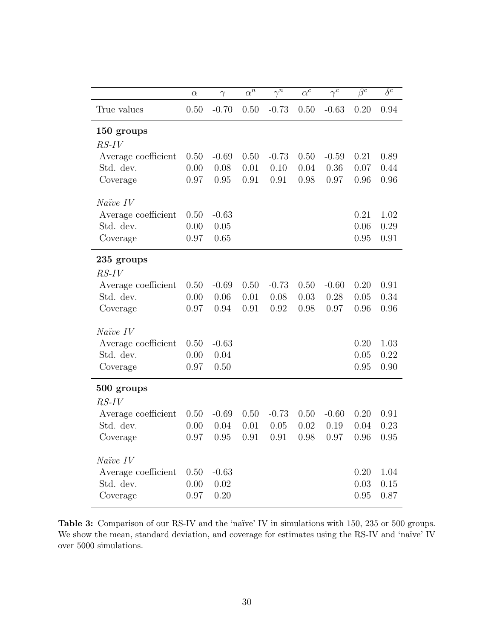<span id="page-29-0"></span>

|                     | $\alpha$ | $\gamma$ | $\alpha^{n}$ | $\bar{\gamma^n}$ | $\alpha^c$ | $\gamma^c$ | $\overline{\beta^c}$ | $\overline{\delta^c}$ |
|---------------------|----------|----------|--------------|------------------|------------|------------|----------------------|-----------------------|
| True values         | 0.50     | $-0.70$  | 0.50         | $-0.73$          | 0.50       | $-0.63$    | 0.20                 | 0.94                  |
| 150 groups          |          |          |              |                  |            |            |                      |                       |
| $RS$ -IV            |          |          |              |                  |            |            |                      |                       |
| Average coefficient | 0.50     | $-0.69$  | 0.50         | $-0.73$          | 0.50       | $-0.59$    | 0.21                 | 0.89                  |
| Std. dev.           | 0.00     | 0.08     | 0.01         | 0.10             | 0.04       | 0.36       | 0.07                 | 0.44                  |
| Coverage            | 0.97     | 0.95     | 0.91         | 0.91             | 0.98       | 0.97       | 0.96                 | 0.96                  |
| $Na\ddot{v}e$ IV    |          |          |              |                  |            |            |                      |                       |
| Average coefficient | 0.50     | $-0.63$  |              |                  |            |            | 0.21                 | 1.02                  |
| Std. dev.           | 0.00     | 0.05     |              |                  |            |            | 0.06                 | 0.29                  |
| Coverage            | 0.97     | 0.65     |              |                  |            |            | 0.95                 | 0.91                  |
| 235 groups          |          |          |              |                  |            |            |                      |                       |
| $RS$ - $IV$         |          |          |              |                  |            |            |                      |                       |
| Average coefficient | 0.50     | $-0.69$  | 0.50         | $-0.73$          | 0.50       | $-0.60$    | 0.20                 | 0.91                  |
| Std. dev.           | 0.00     | 0.06     | 0.01         | 0.08             | 0.03       | 0.28       | 0.05                 | 0.34                  |
| Coverage            | 0.97     | 0.94     | 0.91         | 0.92             | 0.98       | 0.97       | 0.96                 | 0.96                  |
| $Na\ddot{v}e$ IV    |          |          |              |                  |            |            |                      |                       |
| Average coefficient | 0.50     | $-0.63$  |              |                  |            |            | 0.20                 | 1.03                  |
| Std. dev.           | 0.00     | 0.04     |              |                  |            |            | 0.05                 | 0.22                  |
| Coverage            | 0.97     | 0.50     |              |                  |            |            | 0.95                 | 0.90                  |
| 500 groups          |          |          |              |                  |            |            |                      |                       |
| $RS$ -IV            |          |          |              |                  |            |            |                      |                       |
| Average coefficient | 0.50     | $-0.69$  | 0.50         | $-0.73$          | 0.50       | $-0.60$    | 0.20                 | 0.91                  |
| Std. dev.           | 0.00     | 0.04     | 0.01         | 0.05             | 0.02       | 0.19       | 0.04                 | 0.23                  |
| Coverage            | $0.97\,$ | 0.95     | 0.91         | 0.91             | 0.98       | 0.97       | 0.96                 | $0.95\,$              |
| $Na\ddot{v}e$ IV    |          |          |              |                  |            |            |                      |                       |
| Average coefficient | 0.50     | $-0.63$  |              |                  |            |            | 0.20                 | 1.04                  |
| Std. dev.           | 0.00     | 0.02     |              |                  |            |            | 0.03                 | 0.15                  |
| Coverage            | 0.97     | 0.20     |              |                  |            |            | 0.95                 | 0.87                  |

Table 3: Comparison of our RS-IV and the 'naïve' IV in simulations with 150, 235 or 500 groups. We show the mean, standard deviation, and coverage for estimates using the RS-IV and 'naïve' IV over 5000 simulations.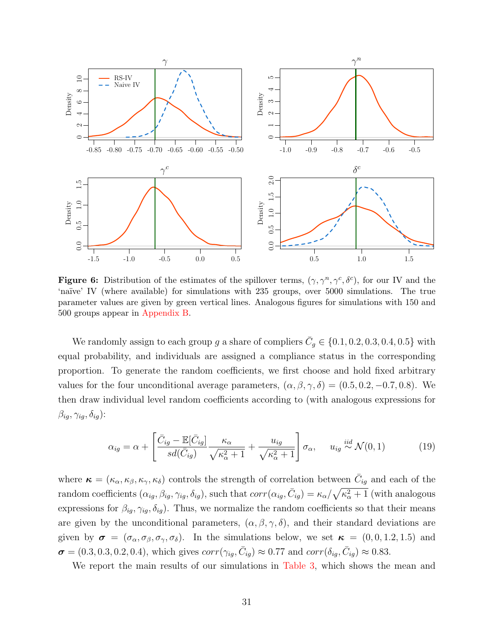<span id="page-30-0"></span>

Figure 6: Distribution of the estimates of the spillover terms,  $(\gamma, \gamma^n, \gamma^c, \delta^c)$ , for our IV and the 'na¨ıve' IV (where available) for simulations with 235 groups, over 5000 simulations. The true parameter values are given by green vertical lines. Analogous figures for simulations with 150 and 500 groups appear in [Appendix B.](#page-46-1)

We randomly assign to each group g a share of compliers  $\bar{C}_g \in \{0.1, 0.2, 0.3, 0.4, 0.5\}$  with equal probability, and individuals are assigned a compliance status in the corresponding proportion. To generate the random coefficients, we first choose and hold fixed arbitrary values for the four unconditional average parameters,  $(\alpha, \beta, \gamma, \delta) = (0.5, 0.2, -0.7, 0.8)$ . We then draw individual level random coefficients according to (with analogous expressions for  $\beta_{ig}, \gamma_{ig}, \delta_{ig}$ ):

$$
\alpha_{ig} = \alpha + \left[ \frac{\bar{C}_{ig} - \mathbb{E}[\bar{C}_{ig}]}{sd(\bar{C}_{ig})} \frac{\kappa_{\alpha}}{\sqrt{\kappa_{\alpha}^2 + 1}} + \frac{u_{ig}}{\sqrt{\kappa_{\alpha}^2 + 1}} \right] \sigma_{\alpha}, \quad u_{ig} \stackrel{iid}{\sim} \mathcal{N}(0, 1) \tag{19}
$$

where  $\kappa = (\kappa_\alpha, \kappa_\beta, \kappa_\gamma, \kappa_\delta)$  controls the strength of correlation between  $\bar{C}_{ig}$  and each of the random coefficients  $(\alpha_{ig}, \beta_{ig}, \gamma_{ig}, \delta_{ig}),$  such that  $corr(\alpha_{ig}, \bar{C}_{ig}) = \kappa_\alpha/\sqrt{\kappa_\alpha^2 + 1}$  (with analogous expressions for  $\beta_{ig}, \gamma_{ig}, \delta_{ig}$ . Thus, we normalize the random coefficients so that their means are given by the unconditional parameters,  $(\alpha, \beta, \gamma, \delta)$ , and their standard deviations are given by  $\sigma = (\sigma_{\alpha}, \sigma_{\beta}, \sigma_{\gamma}, \sigma_{\delta})$ . In the simulations below, we set  $\kappa = (0, 0, 1.2, 1.5)$  and  $\sigma = (0.3, 0.3, 0.2, 0.4)$ , which gives  $corr(\gamma_{ig}, \bar{C}_{ig}) \approx 0.77$  and  $corr(\delta_{ig}, \bar{C}_{ig}) \approx 0.83$ .

We report the main results of our simulations in [Table 3,](#page-29-0) which shows the mean and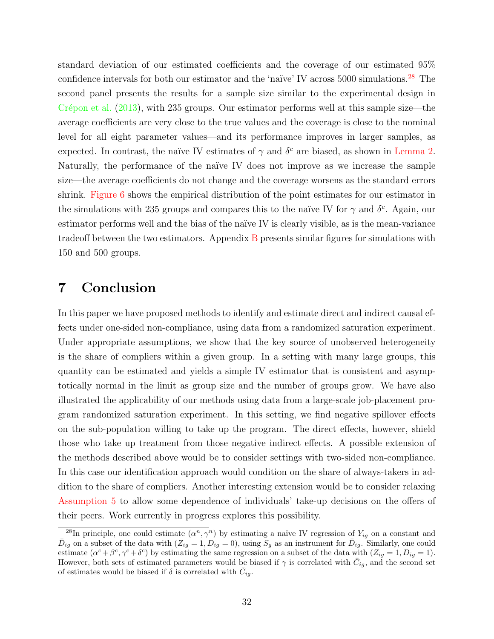standard deviation of our estimated coefficients and the coverage of our estimated 95% confidence intervals for both our estimator and the 'naïve' IV across 5000 simulations.<sup>[28](#page-31-1)</sup> The second panel presents the results for a sample size similar to the experimental design in Crépon et al.  $(2013)$ , with 235 groups. Our estimator performs well at this sample size—the average coefficients are very close to the true values and the coverage is close to the nominal level for all eight parameter values—and its performance improves in larger samples, as expected. In contrast, the naïve IV estimates of  $\gamma$  and  $\delta^c$  are biased, as shown in [Lemma 2.](#page-12-0) Naturally, the performance of the naïve IV does not improve as we increase the sample size—the average coefficients do not change and the coverage worsens as the standard errors shrink. [Figure 6](#page-30-0) shows the empirical distribution of the point estimates for our estimator in the simulations with 235 groups and compares this to the naïve IV for  $\gamma$  and  $\delta^c$ . Again, our estimator performs well and the bias of the naïve IV is clearly visible, as is the mean-variance tradeoff between the two estimators. Appendix [B](#page-46-1) presents similar figures for simulations with 150 and 500 groups.

### <span id="page-31-0"></span>7 Conclusion

In this paper we have proposed methods to identify and estimate direct and indirect causal effects under one-sided non-compliance, using data from a randomized saturation experiment. Under appropriate assumptions, we show that the key source of unobserved heterogeneity is the share of compliers within a given group. In a setting with many large groups, this quantity can be estimated and yields a simple IV estimator that is consistent and asymptotically normal in the limit as group size and the number of groups grow. We have also illustrated the applicability of our methods using data from a large-scale job-placement program randomized saturation experiment. In this setting, we find negative spillover effects on the sub-population willing to take up the program. The direct effects, however, shield those who take up treatment from those negative indirect effects. A possible extension of the methods described above would be to consider settings with two-sided non-compliance. In this case our identification approach would condition on the share of always-takers in addition to the share of compliers. Another interesting extension would be to consider relaxing [Assumption 5](#page-9-1) to allow some dependence of individuals' take-up decisions on the offers of their peers. Work currently in progress explores this possibility.

<span id="page-31-1"></span><sup>&</sup>lt;sup>28</sup>In principle, one could estimate  $(\alpha^n, \gamma^n)$  by estimating a naïve IV regression of  $Y_{ig}$  on a constant and  $\bar{D}_{ig}$  on a subset of the data with  $(Z_{ig} = 1, D_{ig} = 0)$ , using  $S_g$  as an instrument for  $\bar{D}_{ig}$ . Similarly, one could estimate  $(\alpha^c + \beta^c, \gamma^c + \delta^c)$  by estimating the same regression on a subset of the data with  $(Z_{ig} = 1, D_{ig} = 1)$ . However, both sets of estimated parameters would be biased if  $\gamma$  is correlated with  $\bar{C}_{ig}$ , and the second set of estimates would be biased if  $\delta$  is correlated with  $\bar{C}_{ig}$ .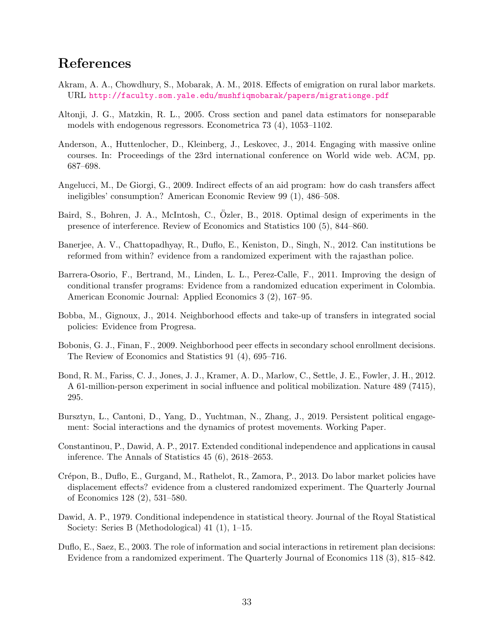## References

- <span id="page-32-10"></span>Akram, A. A., Chowdhury, S., Mobarak, A. M., 2018. Effects of emigration on rural labor markets. URL <http://faculty.som.yale.edu/mushfiqmobarak/papers/migrationge.pdf>
- <span id="page-32-11"></span>Altonji, J. G., Matzkin, R. L., 2005. Cross section and panel data estimators for nonseparable models with endogenous regressors. Econometrica 73 (4), 1053–1102.
- <span id="page-32-1"></span>Anderson, A., Huttenlocher, D., Kleinberg, J., Leskovec, J., 2014. Engaging with massive online courses. In: Proceedings of the 23rd international conference on World wide web. ACM, pp. 687–698.
- <span id="page-32-3"></span>Angelucci, M., De Giorgi, G., 2009. Indirect effects of an aid program: how do cash transfers affect ineligibles' consumption? American Economic Review 99 (1), 486–508.
- <span id="page-32-13"></span>Baird, S., Bohren, J. A., McIntosh, C., Özler, B., 2018. Optimal design of experiments in the presence of interference. Review of Economics and Statistics 100 (5), 844–860.
- <span id="page-32-8"></span>Banerjee, A. V., Chattopadhyay, R., Duflo, E., Keniston, D., Singh, N., 2012. Can institutions be reformed from within? evidence from a randomized experiment with the rajasthan police.
- <span id="page-32-4"></span>Barrera-Osorio, F., Bertrand, M., Linden, L. L., Perez-Calle, F., 2011. Improving the design of conditional transfer programs: Evidence from a randomized education experiment in Colombia. American Economic Journal: Applied Economics 3 (2), 167–95.
- <span id="page-32-7"></span>Bobba, M., Gignoux, J., 2014. Neighborhood effects and take-up of transfers in integrated social policies: Evidence from Progresa.
- <span id="page-32-5"></span>Bobonis, G. J., Finan, F., 2009. Neighborhood peer effects in secondary school enrollment decisions. The Review of Economics and Statistics 91 (4), 695–716.
- <span id="page-32-2"></span>Bond, R. M., Fariss, C. J., Jones, J. J., Kramer, A. D., Marlow, C., Settle, J. E., Fowler, J. H., 2012. A 61-million-person experiment in social influence and political mobilization. Nature 489 (7415), 295.
- <span id="page-32-9"></span>Bursztyn, L., Cantoni, D., Yang, D., Yuchtman, N., Zhang, J., 2019. Persistent political engagement: Social interactions and the dynamics of protest movements. Working Paper.
- <span id="page-32-14"></span>Constantinou, P., Dawid, A. P., 2017. Extended conditional independence and applications in causal inference. The Annals of Statistics 45 (6), 2618–2653.
- <span id="page-32-0"></span>Crépon, B., Duflo, E., Gurgand, M., Rathelot, R., Zamora, P., 2013. Do labor market policies have displacement effects? evidence from a clustered randomized experiment. The Quarterly Journal of Economics 128 (2), 531–580.
- <span id="page-32-12"></span>Dawid, A. P., 1979. Conditional independence in statistical theory. Journal of the Royal Statistical Society: Series B (Methodological) 41 (1), 1–15.
- <span id="page-32-6"></span>Duflo, E., Saez, E., 2003. The role of information and social interactions in retirement plan decisions: Evidence from a randomized experiment. The Quarterly Journal of Economics 118 (3), 815–842.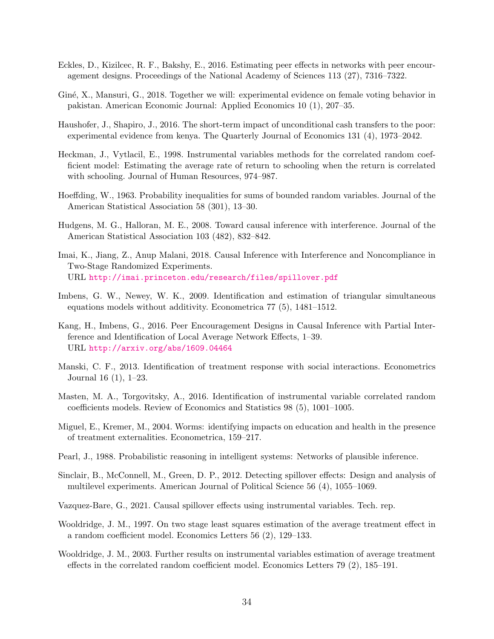- <span id="page-33-3"></span>Eckles, D., Kizilcec, R. F., Bakshy, E., 2016. Estimating peer effects in networks with peer encouragement designs. Proceedings of the National Academy of Sciences 113 (27), 7316–7322.
- <span id="page-33-8"></span>Giné, X., Mansuri, G., 2018. Together we will: experimental evidence on female voting behavior in pakistan. American Economic Journal: Applied Economics 10 (1), 207–35.
- <span id="page-33-7"></span>Haushofer, J., Shapiro, J., 2016. The short-term impact of unconditional cash transfers to the poor: experimental evidence from kenya. The Quarterly Journal of Economics 131 (4), 1973–2042.
- <span id="page-33-12"></span>Heckman, J., Vytlacil, E., 1998. Instrumental variables methods for the correlated random coefficient model: Estimating the average rate of return to schooling when the return is correlated with schooling. Journal of Human Resources, 974–987.
- <span id="page-33-16"></span>Hoeffding, W., 1963. Probability inequalities for sums of bounded random variables. Journal of the American Statistical Association 58 (301), 13–30.
- <span id="page-33-0"></span>Hudgens, M. G., Halloran, M. E., 2008. Toward causal inference with interference. Journal of the American Statistical Association 103 (482), 832–842.
- <span id="page-33-5"></span>Imai, K., Jiang, Z., Anup Malani, 2018. Causal Inference with Interference and Noncompliance in Two-Stage Randomized Experiments. URL <http://imai.princeton.edu/research/files/spillover.pdf>
- <span id="page-33-11"></span>Imbens, G. W., Newey, W. K., 2009. Identification and estimation of triangular simultaneous equations models without additivity. Econometrica 77 (5), 1481–1512.
- <span id="page-33-4"></span>Kang, H., Imbens, G., 2016. Peer Encouragement Designs in Causal Inference with Partial Interference and Identification of Local Average Network Effects, 1–39. URL <http://arxiv.org/abs/1609.04464>
- <span id="page-33-1"></span>Manski, C. F., 2013. Identification of treatment response with social interactions. Econometrics Journal 16 (1), 1–23.
- <span id="page-33-10"></span>Masten, M. A., Torgovitsky, A., 2016. Identification of instrumental variable correlated random coefficients models. Review of Economics and Statistics 98 (5), 1001–1005.
- <span id="page-33-2"></span>Miguel, E., Kremer, M., 2004. Worms: identifying impacts on education and health in the presence of treatment externalities. Econometrica, 159–217.
- <span id="page-33-15"></span>Pearl, J., 1988. Probabilistic reasoning in intelligent systems: Networks of plausible inference.
- <span id="page-33-9"></span>Sinclair, B., McConnell, M., Green, D. P., 2012. Detecting spillover effects: Design and analysis of multilevel experiments. American Journal of Political Science 56 (4), 1055–1069.
- <span id="page-33-6"></span>Vazquez-Bare, G., 2021. Causal spillover effects using instrumental variables. Tech. rep.
- <span id="page-33-13"></span>Wooldridge, J. M., 1997. On two stage least squares estimation of the average treatment effect in a random coefficient model. Economics Letters 56 (2), 129–133.
- <span id="page-33-14"></span>Wooldridge, J. M., 2003. Further results on instrumental variables estimation of average treatment effects in the correlated random coefficient model. Economics Letters 79 (2), 185–191.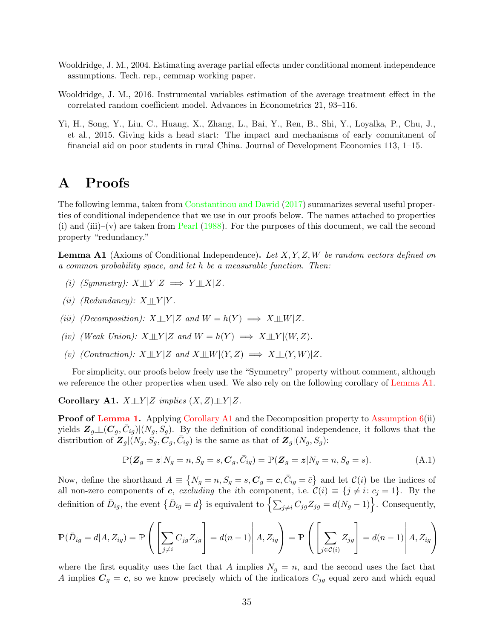- <span id="page-34-1"></span>Wooldridge, J. M., 2004. Estimating average partial effects under conditional moment independence assumptions. Tech. rep., cemmap working paper.
- <span id="page-34-2"></span>Wooldridge, J. M., 2016. Instrumental variables estimation of the average treatment effect in the correlated random coefficient model. Advances in Econometrics 21, 93–116.
- <span id="page-34-0"></span>Yi, H., Song, Y., Liu, C., Huang, X., Zhang, L., Bai, Y., Ren, B., Shi, Y., Loyalka, P., Chu, J., et al., 2015. Giving kids a head start: The impact and mechanisms of early commitment of financial aid on poor students in rural China. Journal of Development Economics 113, 1–15.

## A Proofs

The following lemma, taken from [Constantinou and Dawid](#page-32-14) [\(2017\)](#page-32-14) summarizes several useful properties of conditional independence that we use in our proofs below. The names attached to properties (i) and (iii)–(v) are taken from [Pearl](#page-33-15)  $(1988)$ . For the purposes of this document, we call the second property "redundancy."

<span id="page-34-3"></span>**Lemma A1** (Axioms of Conditional Independence). Let  $X, Y, Z, W$  be random vectors defined on a common probability space, and let h be a measurable function. Then:

- (i) (Symmetry):  $X \perp\!\!\!\perp Y|Z \implies Y \perp\!\!\!\perp X|Z$ .
- (ii) (Redundancy):  $X \perp Y$  | Y
- (iii) (Decomposition):  $X \perp\!\!\!\perp Y | Z$  and  $W = h(Y) \implies X \perp\!\!\!\perp W | Z$ .
- (iv) (Weak Union):  $X \perp\!\!\!\perp Y | Z$  and  $W = h(Y) \implies X \perp\!\!\!\perp Y | (W, Z)$ .
- (v) (Contraction):  $X \perp\!\!\!\perp Y | Z$  and  $X \perp\!\!\!\perp W | (Y, Z) \implies X \perp\!\!\!\perp (Y, W) | Z$ .

For simplicity, our proofs below freely use the "Symmetry" property without comment, although we reference the other properties when used. We also rely on the following corollary of [Lemma A1.](#page-34-3)

<span id="page-34-4"></span>Corollary A1.  $X \perp\!\!\!\perp Y | Z$  implies  $(X, Z) \perp\!\!\!\perp Y | Z$ .

Proof of [Lemma 1.](#page-11-2) Applying [Corollary A1](#page-34-4) and the Decomposition property to [Assumption 6\(](#page-11-1)ii) yields  $\mathbf{Z}_g \perp\!\!\!\perp(\mathbf{C}_g, \bar{C}_{ig}) | (N_g, S_g)$ . By the definition of conditional independence, it follows that the distribution of  $\mathbf{Z}_g|(N_g, S_g, \mathbf{C}_g, \bar{C}_{ig})$  is the same as that of  $\mathbf{Z}_g|(N_g, S_g)$ :

<span id="page-34-5"></span>
$$
\mathbb{P}(Z_g = z | N_g = n, S_g = s, C_g, \bar{C}_{ig}) = \mathbb{P}(Z_g = z | N_g = n, S_g = s).
$$
\n(A.1)

Now, define the shorthand  $A = \{N_g = n, S_g = s, C_g = c, \bar{C}_{ig} = \bar{c}\}\$ and let  $\mathcal{C}(i)$  be the indices of all non-zero components of c, excluding the ith component, i.e.  $\mathcal{C}(i) \equiv \{j \neq i: c_j = 1\}$ . By the definition of  $\bar{D}_{ig}$ , the event  $\{\bar{D}_{ig} = d\}$  is equivalent to  $\left\{\sum_{j\neq i} C_{jg} Z_{jg} = d(N_g - 1)\right\}$ . Consequently,

$$
\mathbb{P}(\bar{D}_{ig} = d | A, Z_{ig}) = \mathbb{P}\left(\left[\sum_{j \neq i} C_{jg} Z_{jg}\right] = d(n-1) | A, Z_{ig}\right) = \mathbb{P}\left(\left[\sum_{j \in C(i)} Z_{jg}\right] = d(n-1) | A, Z_{ig}\right)
$$

where the first equality uses the fact that A implies  $N_g = n$ , and the second uses the fact that A implies  $C_g = c$ , so we know precisely which of the indicators  $C_{jg}$  equal zero and which equal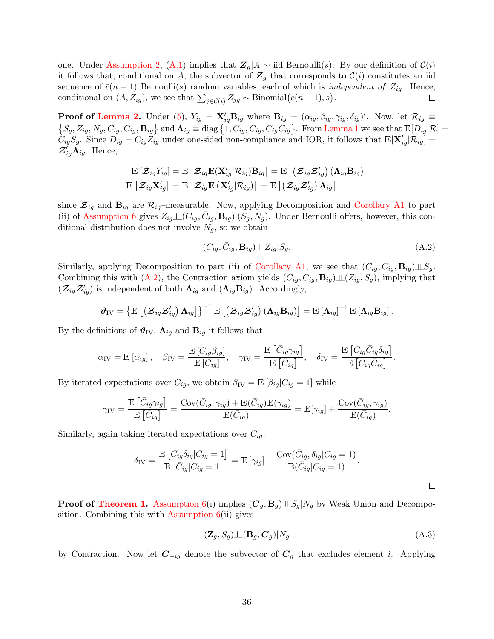one. Under [Assumption 2,](#page-6-1) [\(A.1\)](#page-34-5) implies that  $\mathbb{Z}_g \mid A \sim \text{iid Bernoulli}(s)$ . By our definition of  $\mathcal{C}(i)$ it follows that, conditional on A, the subvector of  $\mathbf{Z}_g$  that corresponds to  $\mathcal{C}(i)$  constitutes an iid sequence of  $\bar{c}(n-1)$  Bernoulli(s) random variables, each of which is *independent of*  $Z_{ig}$ . Hence, conditional on  $(A, Z_{ig})$ , we see that  $\sum_{j \in \mathcal{C}(i)} Z_{jg} \sim \text{Binomial}(\bar{c}(n-1), s)$ .  $\Box$ 

**Proof of [Lemma 2.](#page-12-0)** Under [\(5\)](#page-8-0),  $Y_{ig} = \mathbf{X}_{ig}' \mathbf{B}_{ig}$  where  $\mathbf{B}_{ig} = (\alpha_{ig}, \beta_{ig}, \gamma_{ig}, \delta_{ig})'$ . Now, let  $\mathcal{R}_{ig} \equiv$  $\{S_g, Z_{ig}, N_g, \bar{C}_{ig}, C_{ig}, B_{ig}\}\$ and  $\Lambda_{ig} \equiv \text{diag}\{1, C_{ig}, \bar{C}_{ig}, C_{ig}\bar{C}_{ig}\}\$ . From [Lemma 1](#page-11-2) we see that  $\mathbb{E}[\bar{D}_{ig}|\mathcal{R}] =$  $\tilde{C}_{ig}S_g$ . Since  $D_{ig} = C_{ig}\tilde{Z}_{ig}$  under one-sided non-compliance and IOR, it follows that  $\mathbb{E}[\mathbf{X}_{ig}'|\mathcal{R}_{ig}] =$  $\mathcal{Z}_{ig}^{\prime}\tilde{\mathbf{\Lambda}}_{ig}$ . Hence,

$$
\mathbb{E}\left[ \boldsymbol{\mathcal{Z}}_{ig}Y_{ig}\right] = \mathbb{E}\left[ \boldsymbol{\mathcal{Z}}_{ig} \mathbb{E}(\mathbf{X}_{ig}'|\mathcal{R}_{ig}) \mathbf{B}_{ig} \right] = \mathbb{E}\left[ \left( \boldsymbol{\mathcal{Z}}_{ig} \boldsymbol{\mathcal{Z}}_{ig}' \right) (\boldsymbol{\Lambda}_{ig} \mathbf{B}_{ig}) \right] \\ \mathbb{E}\left[ \boldsymbol{\mathcal{Z}}_{ig} \mathbf{X}_{ig}' \right] = \mathbb{E}\left[ \boldsymbol{\mathcal{Z}}_{ig} \mathbb{E}\left( \mathbf{X}_{ig}'|\mathcal{R}_{ig} \right) \right] = \mathbb{E}\left[ \left( \boldsymbol{\mathcal{Z}}_{ig} \boldsymbol{\mathcal{Z}}_{ig}' \right) \boldsymbol{\Lambda}_{ig} \right]
$$

since  $\mathcal{Z}_{ig}$  and  $\mathbf{B}_{ig}$  are  $\mathcal{R}_{ig}$ -measurable. Now, applying Decomposition and [Corollary A1](#page-34-4) to part (ii) of [Assumption 6](#page-11-1) gives  $Z_{ig\perp}(C_{ig}, \bar{C}_{ig}, \mathbf{B}_{ig})|(S_g, N_g)$ . Under Bernoulli offers, however, this conditional distribution does not involve  $N_g$ , so we obtain

<span id="page-35-0"></span>
$$
(C_{ig}, \bar{C}_{ig}, \mathbf{B}_{ig}) \perp Z_{ig}|S_g. \tag{A.2}
$$

Similarly, applying Decomposition to part (ii) of [Corollary A1,](#page-34-4) we see that  $(C_{ig}, \bar{C}_{ig}, \mathbf{B}_{ig}) \perp S_g$ . Combining this with [\(A.2\)](#page-35-0), the Contraction axiom yields  $(C_{ig}, \bar{C}_{ig}, \mathbf{B}_{ig}) \perp (Z_{ig}, S_g)$ , implying that  $(\mathcal{Z}_{ig}\mathcal{Z}'_{ig})$  is independent of both  $\Lambda_{ig}$  and  $(\Lambda_{ig}B_{ig})$ . Accordingly,

$$
\boldsymbol{\vartheta}_{\text{IV}}=\left\{\mathbb{E}\left[\left(\boldsymbol{\mathcal{Z}}_{ig}\boldsymbol{\mathcal{Z}}'_{ig}\right)\boldsymbol{\Lambda}_{ig}\right]\right\}^{-1}\mathbb{E}\left[\left(\boldsymbol{\mathcal{Z}}_{ig}\boldsymbol{\mathcal{Z}}'_{ig}\right)\left(\boldsymbol{\Lambda}_{ig}\mathbf{B}_{ig}\right)\right]=\mathbb{E}\left[\boldsymbol{\Lambda}_{ig}\right]^{-1}\mathbb{E}\left[\boldsymbol{\Lambda}_{ig}\mathbf{B}_{ig}\right].
$$

By the definitions of  $\mathbf{\vartheta}_{\text{IV}}$ ,  $\mathbf{\Lambda}_{ig}$  and  $\mathbf{B}_{ig}$  it follows that

$$
\alpha_{\text{IV}} = \mathbb{E}\left[\alpha_{ig}\right], \quad \beta_{\text{IV}} = \frac{\mathbb{E}\left[C_{ig}\beta_{ig}\right]}{\mathbb{E}\left[C_{ig}\right]}, \quad \gamma_{\text{IV}} = \frac{\mathbb{E}\left[\bar{C}_{ig}\gamma_{ig}\right]}{\mathbb{E}\left[\bar{C}_{ig}\right]}, \quad \delta_{\text{IV}} = \frac{\mathbb{E}\left[C_{ig}\bar{C}_{ig}\delta_{ig}\right]}{\mathbb{E}\left[C_{ig}\bar{C}_{ig}\right]}.
$$

By iterated expectations over  $C_{ig}$ , we obtain  $\beta_{IV} = \mathbb{E} [\beta_{ig} | C_{ig} = 1]$  while

$$
\gamma_{\text{IV}} = \frac{\mathbb{E}\left[\bar{C}_{ig}\gamma_{ig}\right]}{\mathbb{E}\left[\bar{C}_{ig}\right]} = \frac{\text{Cov}(\bar{C}_{ig}, \gamma_{ig}) + \mathbb{E}(\bar{C}_{ig})\mathbb{E}(\gamma_{ig})}{\mathbb{E}(\bar{C}_{ig})} = \mathbb{E}[\gamma_{ig}] + \frac{\text{Cov}(\bar{C}_{ig}, \gamma_{ig})}{\mathbb{E}(\bar{C}_{ig})}.
$$

Similarly, again taking iterated expectations over  $C_{ig}$ ,

$$
\delta_{\text{IV}} = \frac{\mathbb{E}\left[\bar{C}_{ig}\delta_{ig}|\bar{C}_{ig} = 1\right]}{\mathbb{E}\left[\bar{C}_{ig}|C_{ig} = 1\right]} = \mathbb{E}\left[\gamma_{ig}\right] + \frac{\text{Cov}(\bar{C}_{ig}, \delta_{ig}|C_{ig} = 1)}{\mathbb{E}(\bar{C}_{ig}|C_{ig} = 1)}.
$$

**Proof of [Theorem 1.](#page-12-1)** [Assumption 6\(](#page-11-1)i) implies  $(C_q, B_q) \perp S_q | N_q$  by Weak Union and Decomposition. Combining this with [Assumption 6\(](#page-11-1)ii) gives

<span id="page-35-1"></span>
$$
(\mathbf{Z}_g, S_g) \perp (\mathbf{B}_g, \mathbf{C}_g) | N_g \tag{A.3}
$$

by Contraction. Now let  $C_{-iq}$  denote the subvector of  $C_q$  that excludes element i. Applying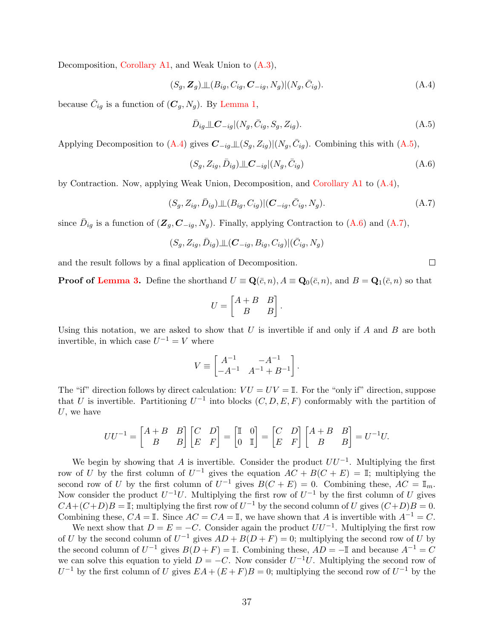Decomposition, [Corollary A1,](#page-34-4) and Weak Union to [\(A.3\)](#page-35-1),

<span id="page-36-0"></span>
$$
(S_g, \mathbf{Z}_g) \perp (B_{ig}, C_{ig}, \mathbf{C}_{-ig}, N_g) | (N_g, \bar{C}_{ig}).
$$
\n(A.4)

because  $\bar{C}_{ig}$  is a function of  $(\mathbf{C}_g, N_g)$ . By [Lemma 1,](#page-11-2)

<span id="page-36-1"></span>
$$
\bar{D}_{ig} \perp \!\!\!\perp C_{-ig} |(N_g, \bar{C}_{ig}, S_g, Z_{ig}). \tag{A.5}
$$

Applying Decomposition to [\(A.4\)](#page-36-0) gives  $C_{-ig} \perp (S_g, Z_{ig}) | (N_g, \bar{C}_{ig})$ . Combining this with [\(A.5\)](#page-36-1),

<span id="page-36-2"></span>
$$
(S_g, Z_{ig}, \bar{D}_{ig}) \perp \!\!\!\perp C_{-ig} | (N_g, \bar{C}_{ig}) \tag{A.6}
$$

by Contraction. Now, applying Weak Union, Decomposition, and [Corollary A1](#page-34-4) to [\(A.4\)](#page-36-0),

<span id="page-36-3"></span>
$$
(S_g, Z_{ig}, \bar{D}_{ig}) \perp (B_{ig}, C_{ig}) | (\mathbf{C}_{-ig}, \bar{C}_{ig}, N_g). \tag{A.7}
$$

since  $\bar{D}_{ig}$  is a function of  $(\mathbf{Z}_g, \mathbf{C}_{-ig}, N_g)$ . Finally, applying Contraction to [\(A.6\)](#page-36-2) and [\(A.7\)](#page-36-3),

$$
(S_g,Z_{ig},\bar{D}_{ig})\bot\!\!\!\perp\!\!(\boldsymbol{C}_{-ig},B_{ig},C_{ig})|(\bar{C}_{ig},N_g)
$$

and the result follows by a final application of Decomposition.

**Proof of [Lemma 3.](#page-14-1)** Define the shorthand  $U = \mathbf{Q}(\bar{c}, n)$ ,  $A = \mathbf{Q}_0(\bar{c}, n)$ , and  $B = \mathbf{Q}_1(\bar{c}, n)$  so that

$$
U = \begin{bmatrix} A+B & B \\ B & B \end{bmatrix}.
$$

Using this notation, we are asked to show that U is invertible if and only if A and B are both invertible, in which case  $U^{-1} = V$  where

$$
V \equiv \begin{bmatrix} A^{-1} & -A^{-1} \\ -A^{-1} & A^{-1} + B^{-1} \end{bmatrix}.
$$

The "if" direction follows by direct calculation:  $VU = UV = I$ . For the "only if" direction, suppose that U is invertible. Partitioning  $U^{-1}$  into blocks  $(C, D, E, F)$  conformably with the partition of  $U$ , we have

$$
UU^{-1} = \begin{bmatrix} A+B & B \\ B & B \end{bmatrix} \begin{bmatrix} C & D \\ E & F \end{bmatrix} = \begin{bmatrix} \mathbb{I} & 0 \\ 0 & \mathbb{I} \end{bmatrix} = \begin{bmatrix} C & D \\ E & F \end{bmatrix} \begin{bmatrix} A+B & B \\ B & B \end{bmatrix} = U^{-1}U.
$$

We begin by showing that A is invertible. Consider the product  $UU^{-1}$ . Multiplying the first row of U by the first column of  $U^{-1}$  gives the equation  $AC + B(C + E) = \mathbb{I}$ ; multiplying the second row of U by the first column of  $U^{-1}$  gives  $B(C + E) = 0$ . Combining these,  $AC = \mathbb{I}_m$ . Now consider the product  $U^{-1}U$ . Multiplying the first row of  $U^{-1}$  by the first column of U gives  $CA+(C+D)B = \mathbb{I}$ ; multiplying the first row of  $U^{-1}$  by the second column of U gives  $(C+D)B = 0$ . Combining these,  $CA = \mathbb{I}$ . Since  $AC = CA = \mathbb{I}$ , we have shown that A is invertible with  $A^{-1} = C$ .

We next show that  $D = E = -C$ . Consider again the product  $UU^{-1}$ . Multiplying the first row of U by the second column of  $U^{-1}$  gives  $AD + B(D+F) = 0$ ; multiplying the second row of U by the second column of  $U^{-1}$  gives  $B(D+F) = \mathbb{I}$ . Combining these,  $AD = -\mathbb{I}$  and because  $A^{-1} = C$ we can solve this equation to yield  $D = -C$ . Now consider  $U^{-1}U$ . Multiplying the second row of  $U^{-1}$  by the first column of U gives  $EA + (E + F)B = 0$ ; multiplying the second row of  $U^{-1}$  by the

 $\Box$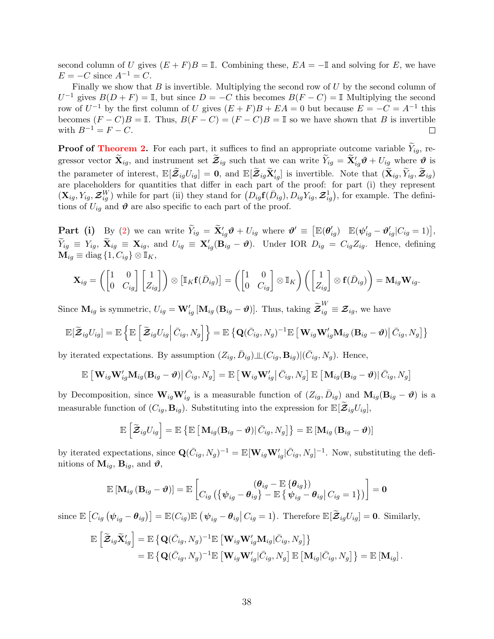second column of U gives  $(E + F)B = \mathbb{I}$ . Combining these,  $EA = -\mathbb{I}$  and solving for E, we have  $E = -C$  since  $A^{-1} = C$ .

Finally we show that  $B$  is invertible. Multiplying the second row of  $U$  by the second column of  $U^{-1}$  gives  $B(D+F) = \mathbb{I}$ , but since  $D = -C$  this becomes  $B(F - C) = \mathbb{I}$  Multiplying the second row of  $U^{-1}$  by the first column of U gives  $(E + F)B + EA = 0$  but because  $E = -C = A^{-1}$  this becomes  $(F - C)B = \mathbb{I}$ . Thus,  $B(F - C) = (F - C)B = \mathbb{I}$  so we have shown that B is invertible with  $B^{-1} = F - C$ .  $\Box$ 

**Proof of [Theorem 2.](#page-14-0)** For each part, it suffices to find an appropriate outcome variable  $\widetilde{Y}_{ig}$ , regressor vector  $\widetilde{\mathbf{X}}_{ig}$ , and instrument set  $\widetilde{\mathcal{Z}}_{ig}$  such that we can write  $\widetilde{Y}_{ig} = \widetilde{\mathbf{X}}'_{ig} \boldsymbol{\vartheta} + U_{ig}$  where  $\boldsymbol{\vartheta}$  is the parameter of interest,  $\mathbb{E}[\tilde{\mathcal{Z}}_{ig}U_{ig}] = \mathbf{0}$ , and  $\mathbb{E}[\tilde{\mathcal{Z}}_{ig}\tilde{\mathbf{X}}'_{ig}]$  is invertible. Note that  $(\tilde{\mathbf{X}}_{ig}, \tilde{Y}_{ig}, \tilde{\mathcal{Z}}_{ig})$ are placeholders for quantities that differ in each part of the proof: for part (i) they represent  $(\mathbf{X}_{ig}, Y_{ig}, \mathcal{Z}_{ig}^W)$  while for part (ii) they stand for  $(D_{ig} \mathbf{f}(\bar{D}_{ig}), D_{ig} Y_{ig}, \mathbf{Z}_{ig}^1)$ , for example. The definitions of  $U_{ig}$  and  $\boldsymbol{\vartheta}$  are also specific to each part of the proof.

 $\begin{array}{llll} {\bf Part} & {\bf (i)} & {\rm By} \,\,\, (2) \,\,\,\mathrm{we} \,\,\mathrm{can} \,\,\mathrm{write} \,\,\widetilde{Y}_{ig} \,=\, \widetilde{{\bf X}}'_{ig} \boldsymbol{\vartheta} + U_{ig} \,\,\mathrm{where} \,\,\boldsymbol{\vartheta}' \, \equiv \, \big[ \mathbb{E}(\boldsymbol{\theta}'_{ig}) & \mathbb{E}(\boldsymbol{\psi}'_{ig} - \boldsymbol{\vartheta}'_{ig} | C_{ig} = 1) \big], \[1mm] \sim \end{array}$  $\begin{array}{llll} {\bf Part} & {\bf (i)} & {\rm By} \,\,\, (2) \,\,\,\mathrm{we} \,\,\mathrm{can} \,\,\mathrm{write} \,\,\widetilde{Y}_{ig} \,=\, \widetilde{{\bf X}}'_{ig} \boldsymbol{\vartheta} + U_{ig} \,\,\mathrm{where} \,\,\boldsymbol{\vartheta}' \, \equiv \, \big[ \mathbb{E}(\boldsymbol{\theta}'_{ig}) & \mathbb{E}(\boldsymbol{\psi}'_{ig} - \boldsymbol{\vartheta}'_{ig} | C_{ig} = 1) \big], \[1mm] \sim \end{array}$  $\begin{array}{llll} {\bf Part} & {\bf (i)} & {\rm By} \,\,\, (2) \,\,\,\mathrm{we} \,\,\mathrm{can} \,\,\mathrm{write} \,\,\widetilde{Y}_{ig} \,=\, \widetilde{{\bf X}}'_{ig} \boldsymbol{\vartheta} + U_{ig} \,\,\mathrm{where} \,\,\boldsymbol{\vartheta}' \, \equiv \, \big[ \mathbb{E}(\boldsymbol{\theta}'_{ig}) & \mathbb{E}(\boldsymbol{\psi}'_{ig} - \boldsymbol{\vartheta}'_{ig} | C_{ig} = 1) \big], \[1mm] \sim \end{array}$  $\widetilde{Y}_{ig} \equiv Y_{ig}, \ \widetilde{\mathbf{X}}_{ig} \equiv \mathbf{X}_{ig}, \text{ and } U_{ig} \equiv \mathbf{X}'_{ig}(\mathbf{B}_{ig} - \boldsymbol{\vartheta}).$  Under IOR  $D_{ig} = C_{ig}Z_{ig}.$  Hence, defining  $\mathbf{M}_{ig} \equiv \text{diag} \left\{ 1, C_{ig} \right\} \otimes \mathbb{I}_K,$ 

$$
\mathbf{X}_{ig} = \left( \begin{bmatrix} 1 & 0 \\ 0 & C_{ig} \end{bmatrix} \begin{bmatrix} 1 \\ Z_{ig} \end{bmatrix} \right) \otimes \left[ \mathbb{I}_K \mathbf{f}(\bar{D}_{ig}) \right] = \left( \begin{bmatrix} 1 & 0 \\ 0 & C_{ig} \end{bmatrix} \otimes \mathbb{I}_K \right) \left( \begin{bmatrix} 1 \\ Z_{ig} \end{bmatrix} \otimes \mathbf{f}(\bar{D}_{ig}) \right) = \mathbf{M}_{ig} \mathbf{W}_{ig}.
$$

Since  $\mathbf{M}_{ig}$  is symmetric,  $U_{ig} = \mathbf{W}'_{ig} [\mathbf{M}_{ig} (\mathbf{B}_{ig} - \boldsymbol{\vartheta})]$ . Thus, taking  $\widetilde{\mathcal{Z}}_{ig}^W \equiv \mathcal{Z}_{ig}$ , we have

$$
\mathbb{E}[\widetilde{\mathbf{Z}}_{ig}U_{ig}] = \mathbb{E}\left\{\mathbb{E}\left[\widetilde{\mathbf{Z}}_{ig}U_{ig}\middle|\overline{C}_{ig},N_g\right]\right\} = \mathbb{E}\left\{\mathbf{Q}(\overline{C}_{ig},N_g)^{-1}\mathbb{E}\left[\mathbf{W}_{ig}\mathbf{W}_{ig}'\mathbf{M}_{ig}\left(\mathbf{B}_{ig}-\boldsymbol{\vartheta}\right)\middle|\overline{C}_{ig},N_g\right]\right\}
$$

by iterated expectations. By assumption  $(Z_{ig}, \bar{D}_{ig}) \perp (C_{ig}, B_{ig}) |(\bar{C}_{ig}, N_g)$ . Hence,

$$
\mathbb{E}\left[\left.\mathbf{W}_{ig}\mathbf{W}_{ig}'\mathbf{M}_{ig}(\mathbf{B}_{ig}-\boldsymbol{\vartheta})\right|\bar{C}_{ig},N_{g}\right]=\mathbb{E}\left[\left.\mathbf{W}_{ig}\mathbf{W}_{ig}'\right|\bar{C}_{ig},N_{g}\right]\mathbb{E}\left[\left.\mathbf{M}_{ig}(\mathbf{B}_{ig}-\boldsymbol{\vartheta})\right|\bar{C}_{ig},N_{g}\right]
$$

by Decomposition, since  $\mathbf{W}_{ig} \mathbf{W}_{ig}'$  is a measurable function of  $(Z_{ig}, \bar{D}_{ig})$  and  $\mathbf{M}_{ig}(\mathbf{B}_{ig} - \boldsymbol{\vartheta})$  is a measurable function of  $(C_{iq}, \mathbf{B}_{iq})$ . Substituting into the expression for  $\mathbb{E}[\mathcal{Z}_{iq}U_{iq}],$ 

$$
\mathbb{E}\left[\widetilde{\boldsymbol{\mathcal{Z}}}_{ig}U_{ig}\right]=\mathbb{E}\left\{\mathbb{E}\left[\left.\mathbf{M}_{ig}(\mathbf{B}_{ig}-\boldsymbol{\vartheta})\right|\bar{C}_{ig},N_{g}\right]\right\}=\mathbb{E}\left[\mathbf{M}_{ig}\left(\mathbf{B}_{ig}-\boldsymbol{\vartheta}\right)\right]
$$

by iterated expectations, since  $\mathbf{Q}(\bar{C}_{ig}, N_g)^{-1} = \mathbb{E}[\mathbf{W}_{ig}\mathbf{W}_{ig}'] [\bar{C}_{ig}, N_g]^{-1}$ . Now, substituting the definitions of  $\mathbf{M}_{ig}$ ,  $\mathbf{B}_{ig}$ , and  $\boldsymbol{\vartheta}$ ,

$$
\mathbb{E}\left[\mathbf{M}_{ig}\left(\mathbf{B}_{ig}-\boldsymbol{\vartheta}\right)\right]=\mathbb{E}\left[\begin{matrix}(\boldsymbol{\theta}_{ig}-\mathbb{E}\left\{\boldsymbol{\theta}_{ig}\right\})\\C_{ig}\left(\left\{\boldsymbol{\psi}_{ig}-\boldsymbol{\theta}_{ig}\right\}-\mathbb{E}\left\{\boldsymbol{\psi}_{ig}-\boldsymbol{\theta}_{ig}\right|C_{ig}=1\right\})\end{matrix}\right]=\mathbf{0}
$$

since  $\mathbb{E}\left[C_{ig}(\psi_{ig}-\theta_{ig})\right]=\mathbb{E}(C_{ig})\mathbb{E}(\psi_{ig}-\theta_{ig}|C_{ig}=1)$ . Therefore  $\mathbb{E}[\widetilde{\mathcal{Z}}_{ig}U_{ig}]=0$ . Similarly,

$$
\mathbb{E}\left[\widetilde{\mathcal{Z}}_{ig}\widetilde{\mathbf{X}}'_{ig}\right] = \mathbb{E}\left\{\mathbf{Q}(\bar{C}_{ig},N_g)^{-1}\mathbb{E}\left[\mathbf{W}_{ig}\mathbf{W}'_{ig}\mathbf{M}_{ig}|\bar{C}_{ig},N_g\right]\right\} \n= \mathbb{E}\left\{\mathbf{Q}(\bar{C}_{ig},N_g)^{-1}\mathbb{E}\left[\mathbf{W}_{ig}\mathbf{W}'_{ig}|\bar{C}_{ig},N_g\right]\mathbb{E}\left[\mathbf{M}_{ig}|\bar{C}_{ig},N_g\right]\right\} = \mathbb{E}\left[\mathbf{M}_{ig}\right].
$$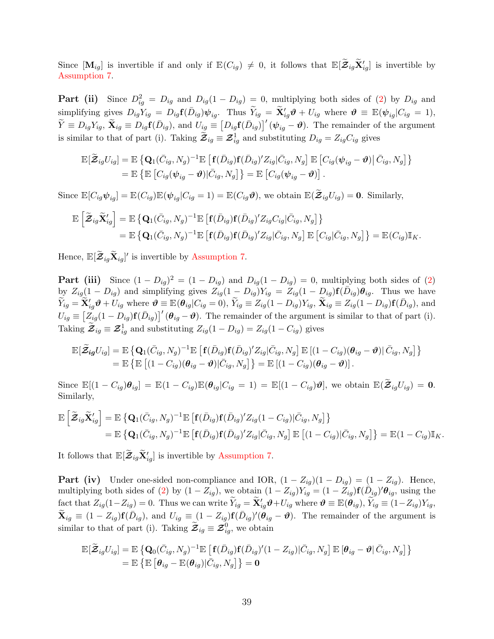Since  $[\mathbf{M}_{ig}]$  is invertible if and only if  $\mathbb{E}(C_{ig}) \neq 0$ , it follows that  $\mathbb{E}[\widetilde{\mathbf{Z}}_{ig}\widetilde{\mathbf{X}}'_{ig}]$  is invertible by [Assumption 7.](#page-13-0)

**Part (ii)** Since  $D_{ig}^2 = D_{ig}$  and  $D_{ig}(1 - D_{ig}) = 0$ , multiplying both sides of [\(2\)](#page-7-1) by  $D_{ig}$  and simplifying gives  $D_{ig}Y_{ig} = D_{ig}f(\bar{D}_{ig})\psi_{ig}$ . Thus  $\widetilde{Y}_{ig} = \widetilde{X}'_{ig}\vartheta + U_{ig}$  where  $\vartheta \equiv \mathbb{E}(\psi_{ig}|C_{ig} = 1)$ ,  $\widetilde{Y} \equiv D_{ig}Y_{ig}, \ \widetilde{\mathbf{X}}_{ig} \equiv D_{ig}\mathbf{f}(\bar{D}_{ig}), \text{ and } U_{ig} \equiv \left[D_{ig}\mathbf{f}(\bar{D}_{ig})\right]'\left(\boldsymbol{\psi}_{ig} - \boldsymbol{\vartheta}\right).$  The remainder of the argument is similar to that of part (i). Taking  $\widetilde{\mathcal{Z}}_{ig} \equiv \mathcal{Z}_{ig}^1$  and substituting  $D_{ig} = Z_{ig}C_{ig}$  gives

$$
\mathbb{E}[\widetilde{\mathbf{Z}}_{ig}U_{ig}] = \mathbb{E}\left\{ \mathbf{Q}_1(\overline{C}_{ig}, N_g)^{-1} \mathbb{E}\left[\mathbf{f}(\overline{D}_{ig})\mathbf{f}(\overline{D}_{ig})'Z_{ig}|\overline{C}_{ig}, N_g\right] \mathbb{E}\left[C_{ig}(\psi_{ig} - \boldsymbol{\vartheta})|\overline{C}_{ig}, N_g\right] \right\} \n= \mathbb{E}\left\{ \mathbb{E}\left[C_{ig}(\psi_{ig} - \boldsymbol{\vartheta})|\overline{C}_{ig}, N_g\right] \right\} = \mathbb{E}\left[C_{ig}(\psi_{ig} - \boldsymbol{\vartheta})\right].
$$

Since  $\mathbb{E}[C_{iq}\psi_{ia}] = \mathbb{E}(C_{iq})\mathbb{E}(\psi_{ia}|C_{iq} = 1) = \mathbb{E}(C_{iq}\vartheta)$ , we obtain  $\mathbb{E}(\widetilde{\mathcal{Z}}_{iq}U_{iq}) = 0$ . Similarly,

$$
\mathbb{E}\left[\widetilde{\mathcal{Z}}_{ig}\widetilde{\mathbf{X}}'_{ig}\right] = \mathbb{E}\left\{\mathbf{Q}_1(\bar{C}_{ig},N_g)^{-1}\mathbb{E}\left[\mathbf{f}(\bar{D}_{ig})\mathbf{f}(\bar{D}_{ig})'Z_{ig}C_{ig}|\bar{C}_{ig},N_g\right]\right\} \n= \mathbb{E}\left\{\mathbf{Q}_1(\bar{C}_{ig},N_g)^{-1}\mathbb{E}\left[\mathbf{f}(\bar{D}_{ig})\mathbf{f}(\bar{D}_{ig})'Z_{ig}|\bar{C}_{ig},N_g\right]\mathbb{E}\left[C_{ig}|\bar{C}_{ig},N_g\right]\right\} = \mathbb{E}(C_{ig})\mathbb{I}_K.
$$

Hence,  $\mathbb{E}[\widetilde{\mathcal{Z}}_{ig}\widetilde{\mathbf{X}}_{ig}]'$  is invertible by [Assumption 7.](#page-13-0)

**Part (iii)** Since  $(1 - D_{ig})^2 = (1 - D_{ig})$  and  $D_{ig}(1 - D_{ig}) = 0$ , multiplying both sides of [\(2\)](#page-7-1) by  $Z_{ig}(1-D_{ig})$  and simplifying gives  $Z_{ig}(1-D_{ig})Y_{ig} = Z_{ig}(1-D_{ig})\mathbf{f}(D_{ig})\theta_{ig}$ . Thus we have  $\widetilde{Y}_{ig} = \widetilde{\mathbf{X}}'_{ig} \boldsymbol{\vartheta} + U_{ig}$  where  $\boldsymbol{\vartheta} \equiv \mathbb{E}(\boldsymbol{\theta}_{ig} | C_{ig} = 0), \widetilde{Y}_{ig} \equiv Z_{ig}(1 - D_{ig}) Y_{ig}, \widetilde{\mathbf{X}}_{ig} \equiv Z_{ig}(1 - D_{ig}) \mathbf{f}(\bar{D}_{ig}),$  and  $U_{ig} \equiv \left[ \ddot{Z_{ig}} (1 - D_{ig}) \mathbf{f} (\bar{D}_{ig}) \right]' (\theta_{ig} - \theta)$ . The remainder of the argument is similar to that of part (i). Taking  $\widetilde{\mathcal{Z}}_{ig} \equiv \mathcal{Z}_{ig}^1$  and substituting  $Z_{ig}(1 - D_{ig}) = Z_{ig}(1 - C_{ig})$  gives

$$
\mathbb{E}[\widetilde{\mathcal{Z}}_{ig}U_{ig}] = \mathbb{E}\left\{ \mathbf{Q}_1(\bar{C}_{ig}, N_g)^{-1} \mathbb{E}\left[\mathbf{f}(\bar{D}_{ig})\mathbf{f}(\bar{D}_{ig})'Z_{ig}|\bar{C}_{ig}, N_g\right] \mathbb{E}\left[(1 - C_{ig})(\boldsymbol{\theta}_{ig} - \boldsymbol{\vartheta})|\bar{C}_{ig}, N_g\right] \right\} \n= \mathbb{E}\left\{ \mathbb{E}\left[(1 - C_{ig})(\boldsymbol{\theta}_{ig} - \boldsymbol{\vartheta})|\bar{C}_{ig}, N_g\right] \right\} = \mathbb{E}\left[(1 - C_{ig})(\boldsymbol{\theta}_{ig} - \boldsymbol{\vartheta})\right].
$$

Since  $\mathbb{E}[(1-C_{ig})\theta_{ig}] = \mathbb{E}(1-C_{ig})\mathbb{E}(\theta_{ig}|C_{ig} = 1) = \mathbb{E}[(1-C_{ig})\vartheta],$  we obtain  $\mathbb{E}(\widetilde{\mathcal{Z}}_{ig}U_{ig}) = 0.$ Similarly,

$$
\mathbb{E}\left[\widetilde{\mathbf{\mathcal{Z}}}_{ig}\widetilde{\mathbf{X}}'_{ig}\right] = \mathbb{E}\left\{\mathbf{Q}_{1}(\bar{C}_{ig},N_{g})^{-1}\mathbb{E}\left[\mathbf{f}(\bar{D}_{ig})\mathbf{f}(\bar{D}_{ig})'Z_{ig}(1-C_{ig})|\bar{C}_{ig},N_{g}\right]\right\} \n= \mathbb{E}\left\{\mathbf{Q}_{1}(\bar{C}_{ig},N_{g})^{-1}\mathbb{E}\left[\mathbf{f}(\bar{D}_{ig})\mathbf{f}(\bar{D}_{ig})'Z_{ig}|\bar{C}_{ig},N_{g}\right]\mathbb{E}\left[(1-C_{ig})|\bar{C}_{ig},N_{g}\right]\right\} = \mathbb{E}(1-C_{ig})\mathbb{I}_{K}.
$$

It follows that  $\mathbb{E}[\widetilde{\mathcal{Z}}_{ig}\widetilde{\mathbf{X}}'_{ig}]$  is invertible by [Assumption 7.](#page-13-0)

**Part (iv)** Under one-sided non-compliance and IOR,  $(1 - Z_{iq})(1 - D_{iq}) = (1 - Z_{iq})$ . Hence, multiplying both sides of [\(2\)](#page-7-1) by  $(1 - Z_{ig})$ , we obtain  $(1 - Z_{ig})Y_{ig} = (1 - Z_{ig})\mathbf{f}(\tilde{D}_{ig})'\theta_{ig}$ , using the fact that  $Z_{ig}(1-Z_{ig})=0$ . Thus we can write  $\widetilde{Y}_{ig} = \widetilde{\mathbf{X}}'_{ig} \boldsymbol{\vartheta} + U_{ig}$  where  $\boldsymbol{\vartheta} \equiv \mathbb{E}(\boldsymbol{\theta}_{ig}), \widetilde{Y}_{ig} \equiv (1-Z_{ig})Y_{ig},$  $\widetilde{\mathbf{X}}_{ig} \equiv (1 - Z_{ig}) \mathbf{f}(\bar{D}_{ig}),$  and  $U_{ig} \equiv (1 - Z_{ig}) \mathbf{f}(\bar{D}_{ig})'(\theta_{ig} - \theta)$ . The remainder of the argument is similar to that of part (i). Taking  $\widetilde{\mathcal{Z}}_{ig} \equiv \mathcal{Z}_{ig}^0$ , we obtain

$$
\mathbb{E}[\widetilde{\mathcal{Z}}_{ig}U_{ig}] = \mathbb{E}\left\{ \mathbf{Q}_0(\bar{C}_{ig}, N_g)^{-1} \mathbb{E}\left[ \mathbf{f}(\bar{D}_{ig})\mathbf{f}(\bar{D}_{ig})'(1 - Z_{ig}) | \bar{C}_{ig}, N_g \right] \mathbb{E}\left[ \boldsymbol{\theta}_{ig} - \boldsymbol{\vartheta} | \bar{C}_{ig}, N_g \right] \right\} = \mathbb{E}\left\{ \mathbb{E}\left[ \boldsymbol{\theta}_{ig} - \mathbb{E}(\boldsymbol{\theta}_{ig}) | \bar{C}_{ig}, N_g \right] \right\} = \mathbf{0}
$$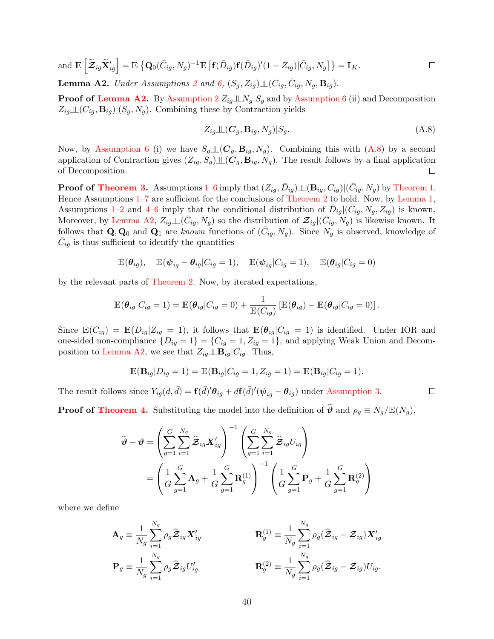and 
$$
\mathbb{E}\left[\tilde{\mathbf{Z}}_{ig}\tilde{\mathbf{X}}'_{ig}\right] = \mathbb{E}\left\{\mathbf{Q}_0(\bar{C}_{ig}, N_g)^{-1}\mathbb{E}\left[\mathbf{f}(\bar{D}_{ig})\mathbf{f}(\bar{D}_{ig})'(1 - Z_{ig})|\bar{C}_{ig}, N_g\right]\right\} = \mathbb{I}_K.
$$
  
\n**Lemma A2.** Under Assumptions 2 and 6,  $(S_g, Z_{ig})\perp (C_{ig}, \bar{C}_{ig}, N_g, \mathbf{B}_{ig}).$ 

<span id="page-39-0"></span>

**Proof of [Lemma A2.](#page-39-0)** By Assumption  $2 Z_{ig} \perp N_g | S_g$  and by [Assumption 6](#page-11-1) (ii) and Decomposition  $Z_{ig} \perp \!\!\!\perp (C_{ig}, B_{ig}) | (S_g, N_g)$ . Combining these by Contraction yields

<span id="page-39-1"></span>
$$
Z_{ig} \perp (C_g, \mathbf{B}_{ig}, N_g) | S_g. \tag{A.8}
$$

 $\Box$ 

Now, by [Assumption 6](#page-11-1) (i) we have  $S_g \perp\!\!\!\perp(C_g, \mathbf{B}_{ig}, N_g)$ . Combining this with  $(A.8)$  by a second application of Contraction gives  $(Z_{iq}, S_q) \perp (C_q, B_{iq}, N_q)$ . The result follows by a final application of Decomposition.  $\Box$ 

**Proof of [Theorem 3.](#page-16-0)** Assumptions [1–](#page-5-0)[6](#page-11-1) imply that  $(Z_{ig}, \bar{D}_{ig}) \perp (\mathbf{B}_{ig}, C_{ig}) | (\bar{C}_{ig}, N_g)$  by [Theorem 1.](#page-12-1) Hence Assumptions  $1-7$  $1-7$  are sufficient for the conclusions of [Theorem 2](#page-14-0) to hold. Now, by [Lemma 1,](#page-11-2) Assumptions [1](#page-5-0)[–2](#page-6-1) and [4](#page-9-3)[–6](#page-11-1) imply that the conditional distribution of  $\bar{D}_{ig} | (\bar{C}_{ig}, N_g, Z_{ig})$  is known. Moreover, by [Lemma A2,](#page-39-0)  $Z_{ig} \perp \!\!\! \perp (\bar{C}_{ig}, N_g)$  so the distribution of  $\mathcal{Z}_{ig}|(\bar{C}_{ig}, N_g)$  is likewise known. It follows that  $\mathbf{Q}, \mathbf{Q}_0$  and  $\mathbf{Q}_1$  are known functions of  $(\bar{C}_{ig}, N_g)$ . Since  $N_g$  is observed, knowledge of  $\bar{C}_{ig}$  is thus sufficient to identify the quantities

$$
\mathbb{E}(\boldsymbol{\theta}_{ig}), \quad \mathbb{E}(\boldsymbol{\psi}_{ig} - \boldsymbol{\theta}_{ig}|C_{ig} = 1), \quad \mathbb{E}(\boldsymbol{\psi}_{ig}|C_{ig} = 1), \quad \mathbb{E}(\boldsymbol{\theta}_{ig}|C_{ig} = 0)
$$

by the relevant parts of [Theorem 2.](#page-14-0) Now, by iterated expectations,

$$
\mathbb{E}(\boldsymbol{\theta}_{ig}|C_{ig}=1)=\mathbb{E}(\boldsymbol{\theta}_{ig}|C_{ig}=0)+\frac{1}{\mathbb{E}(C_{ig})}\left[\mathbb{E}(\boldsymbol{\theta}_{ig})-\mathbb{E}(\boldsymbol{\theta}_{ig}|C_{ig}=0)\right].
$$

Since  $\mathbb{E}(C_{ig}) = \mathbb{E}(D_{ig}|Z_{ig} = 1)$ , it follows that  $\mathbb{E}(\theta_{ig}|C_{ig} = 1)$  is identified. Under IOR and one-sided non-compliance  $\{D_{ig} = 1\} = \{C_{ig} = 1, Z_{ig} = 1\}$ , and applying Weak Union and Decom-position to [Lemma A2,](#page-39-0) we see that  $Z_{iq} \perp \!\!\!\perp B_{iq} | C_{iq}$ . Thus,

$$
\mathbb{E}(\mathbf{B}_{ig}|D_{ig}=1)=\mathbb{E}(\mathbf{B}_{ig}|C_{ig}=1,Z_{ig}=1)=\mathbb{E}(\mathbf{B}_{ig}|C_{ig}=1).
$$

The result follows since  $Y_{ig}(d, \bar{d}) = \mathbf{f}(\bar{d})' \theta_{ig} + d\mathbf{f}(\bar{d})' (\psi_{ig} - \theta_{ig})$  under [Assumption 3.](#page-6-2)

**Proof of [Theorem 4.](#page-20-2)** Substituting the model into the definition of  $\hat{\theta}$  and  $\rho_g \equiv N_q/\mathbb{E}(N_q)$ ,

$$
\widehat{\boldsymbol{\vartheta}} - \boldsymbol{\vartheta} = \left( \sum_{g=1}^{G} \sum_{i=1}^{N_g} \widehat{\mathbf{\mathcal{Z}}}_{ig} \mathbf{X}'_{ig} \right)^{-1} \left( \sum_{g=1}^{G} \sum_{i=1}^{N_g} \widehat{\mathbf{\mathcal{Z}}}_{ig} U_{ig} \right)
$$
\n
$$
= \left( \frac{1}{G} \sum_{g=1}^{G} \mathbf{A}_g + \frac{1}{G} \sum_{g=1}^{G} \mathbf{R}_g^{(1)} \right)^{-1} \left( \frac{1}{G} \sum_{g=1}^{G} \mathbf{P}_g + \frac{1}{G} \sum_{g=1}^{G} \mathbf{R}_g^{(2)} \right)
$$

where we define

$$
\mathbf{A}_{g} \equiv \frac{1}{N_{g}} \sum_{i=1}^{N_{g}} \rho_{g} \hat{\mathbf{\mathcal{Z}}}_{ig} \mathbf{X}'_{ig} \qquad \qquad \mathbf{R}_{g}^{(1)} \equiv \frac{1}{N_{g}} \sum_{i=1}^{N_{g}} \rho_{g} (\hat{\mathbf{\mathcal{Z}}}_{ig} - \mathbf{\mathcal{Z}}_{ig}) \mathbf{X}'_{ig} \n\mathbf{P}_{g} \equiv \frac{1}{N_{g}} \sum_{i=1}^{N_{g}} \rho_{g} \hat{\mathbf{\mathcal{Z}}}_{ig} U'_{ig} \qquad \qquad \mathbf{R}_{g}^{(2)} \equiv \frac{1}{N_{g}} \sum_{i=1}^{N_{g}} \rho_{g} (\hat{\mathbf{\mathcal{Z}}}_{ig} - \mathbf{\mathcal{Z}}_{ig}) U_{ig}.
$$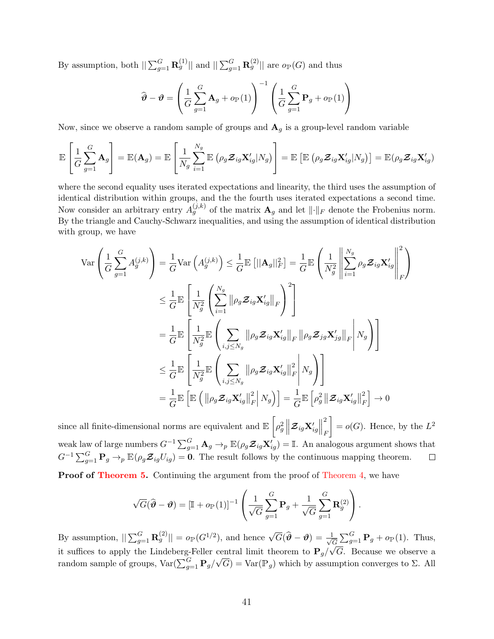By assumption, both  $||\sum_{g=1}^G \mathbf{R}_g^{(1)}||$  and  $||\sum_{g=1}^G \mathbf{R}_g^{(2)}||$  are  $o_{\mathbb{P}}(G)$  and thus

$$
\widehat{\boldsymbol{\vartheta}} - \boldsymbol{\vartheta} = \left(\frac{1}{G} \sum_{g=1}^{G} \mathbf{A}_g + o_{\mathbb{P}}(1)\right)^{-1} \left(\frac{1}{G} \sum_{g=1}^{G} \mathbf{P}_g + o_{\mathbb{P}}(1)\right)
$$

Now, since we observe a random sample of groups and  $\mathbf{A}_g$  is a group-level random variable

$$
\mathbb{E}\left[\frac{1}{G}\sum_{g=1}^{G}\mathbf{A}_{g}\right]=\mathbb{E}(\mathbf{A}_{g})=\mathbb{E}\left[\frac{1}{N_{g}}\sum_{i=1}^{N_{g}}\mathbb{E}\left(\rho_{g}\mathcal{Z}_{ig}\mathbf{X}_{ig}^{\prime}|N_{g}\right)\right]=\mathbb{E}\left[\mathbb{E}\left(\rho_{g}\mathcal{Z}_{ig}\mathbf{X}_{ig}^{\prime}|N_{g}\right)\right]=\mathbb{E}(\rho_{g}\mathcal{Z}_{ig}\mathbf{X}_{ig}^{\prime})
$$

where the second equality uses iterated expectations and linearity, the third uses the assumption of identical distribution within groups, and the the fourth uses iterated expectations a second time. Now consider an arbitrary entry  $A_g^{(j,k)}$  of the matrix  $\mathbf{A}_g$  and let  $\lVert \cdot \rVert_F$  denote the Frobenius norm. By the triangle and Cauchy-Schwarz inequalities, and using the assumption of identical distribution with group, we have

$$
\operatorname{Var}\left(\frac{1}{G}\sum_{g=1}^{G}A_{g}^{(j,k)}\right) = \frac{1}{G}\operatorname{Var}\left(A_{g}^{(j,k)}\right) \leq \frac{1}{G}\mathbb{E}\left[\|\mathbf{A}_{g}\|_{F}^{2}\right] = \frac{1}{G}\mathbb{E}\left(\frac{1}{N_{g}^{2}}\left\|\sum_{i=1}^{N_{g}}\rho_{g}\mathbf{Z}_{ig}\mathbf{X}_{ig}'\right\|_{F}^{2}\right)
$$
  
\n
$$
\leq \frac{1}{G}\mathbb{E}\left[\frac{1}{N_{g}^{2}}\left(\sum_{i=1}^{N_{g}}\|\rho_{g}\mathbf{Z}_{ig}\mathbf{X}_{ig}'\|_{F}\right)^{2}\right]
$$
  
\n
$$
= \frac{1}{G}\mathbb{E}\left[\frac{1}{N_{g}^{2}}\mathbb{E}\left(\sum_{i,j\leq N_{g}}\|\rho_{g}\mathbf{Z}_{ig}\mathbf{X}_{ig}'\|_{F}\|\rho_{g}\mathbf{Z}_{jg}\mathbf{X}_{jg}'\|_{F}\right|N_{g}\right)\right]
$$
  
\n
$$
\leq \frac{1}{G}\mathbb{E}\left[\frac{1}{N_{g}^{2}}\mathbb{E}\left(\sum_{i,j\leq N_{g}}\|\rho_{g}\mathbf{Z}_{ig}\mathbf{X}_{ig}'\|_{F}^{2}\right|N_{g}\right)
$$
  
\n
$$
= \frac{1}{G}\mathbb{E}\left[\mathbb{E}\left(\|\rho_{g}\mathbf{Z}_{ig}\mathbf{X}_{ig}'\|_{F}^{2}\right|N_{g}\right)\right] = \frac{1}{G}\mathbb{E}\left[\rho_{g}^{2}\left\|\mathbf{Z}_{ig}\mathbf{X}_{ig}'\right\|_{F}^{2}\right] \to 0
$$

since all finite-dimensional norms are equivalent and  $\mathbb{E}\left[\rho_g^2\left\|\boldsymbol{\mathcal{Z}}_{ig}\mathbf{X}_{ig}'\right\|\right]$ 2  $\Big] = o(G)$ . Hence, by the  $L^2$ F weak law of large numbers  $G^{-1} \sum_{g=1}^G \mathbf{A}_g \to_p \mathbb{E}(\rho_g \mathcal{Z}_{ig} \mathbf{X}'_{ig}) = \mathbb{I}$ . An analogous argument shows that  $G^{-1} \sum_{g=1}^G \mathbf{P}_g \rightarrow_p \mathbb{E}(\rho_g \mathcal{Z}_{ig}U_{ig}) = \mathbf{0}$ . The result follows by the continuous mapping theorem.  $\Box$ **Proof of [Theorem 5.](#page-21-2)** Continuing the argument from the proof of [Theorem 4,](#page-20-2) we have

$$
\sqrt{G}(\widehat{\boldsymbol{\vartheta}} - \boldsymbol{\vartheta}) = \left[\mathbb{I} + o_{\mathbb{P}}(1)\right]^{-1} \left(\frac{1}{\sqrt{G}} \sum_{g=1}^{G} \mathbf{P}_g + \frac{1}{\sqrt{G}} \sum_{g=1}^{G} \mathbf{R}_g^{(2)}\right).
$$

By assumption,  $||\sum_{g=1}^{G} \mathbf{R}_g^{(2)}|| = o_{\mathbb{P}}(G^{1/2})$ , and hence  $\sqrt{G}(\widehat{\boldsymbol{\vartheta}} - \boldsymbol{\vartheta}) = \frac{1}{\sqrt{6}}$  $\frac{1}{\overline{G}}\sum_{g=1}^G \mathbf{P}_g + o_{\mathbb{P}}(1)$ . Thus, it suffices to apply the Lindeberg-Feller central limit theorem to  $\mathbf{P}_g/$ √ G. Because we observe a random sample of groups,  $Var(\sum_{g=1}^{G} \mathbf{P}_g)$ central limit theorem to  $\mathbf{r}_g/\sqrt{\mathbf{G}}$ . Because we observe a<br>  $\sqrt{G}$ ) = Var( $\mathbb{P}_g$ ) which by assumption converges to  $\Sigma$ . All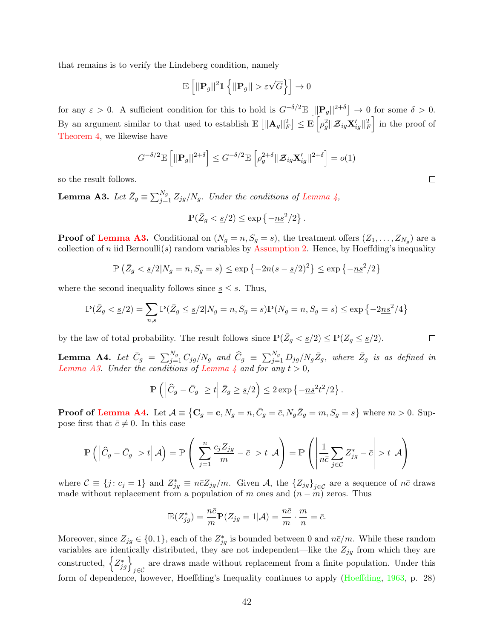that remains is to verify the Lindeberg condition, namely

$$
\mathbb{E}\left[||\mathbf{P}_g||^2\mathbb{1}\left\{||\mathbf{P}_g|| > \varepsilon\sqrt{G}\right\}\right] \to 0
$$

for any  $\varepsilon > 0$ . A sufficient condition for this to hold is  $G^{-\delta/2} \mathbb{E} \left[ ||\mathbf{P}_g||^{2+\delta} \right] \to 0$  for some  $\delta > 0$ . By an argument similar to that used to establish  $\mathbb{E}\left[||\mathbf{A}_g||_F^2\right] \leq \mathbb{E}\left[\rho_g^2 || \mathcal{Z}_{ig} \mathbf{X}_{ig}^\prime ||_F^2\right]$  in the proof of [Theorem 4,](#page-20-2) we likewise have

$$
G^{-\delta/2} \mathbb{E}\left[||\mathbf{P}_g||^{2+\delta}\right] \leq G^{-\delta/2} \mathbb{E}\left[\rho_g^{2+\delta}||\mathbf{\mathcal{Z}}_{ig}\mathbf{X}_{ig}^\prime||^{2+\delta}\right] = o(1)
$$

so the result follows.

<span id="page-41-0"></span>**Lemma A3.** Let  $\bar{Z}_g \equiv \sum_{j=1}^{N_g} Z_{jg} / N_g$ . Under the conditions of [Lemma 4,](#page-22-1)

$$
\mathbb{P}(\bar{Z}_g < \underline{s}/2) \le \exp\left\{-\underline{ns}^2/2\right\}
$$

.

.

**Proof of [Lemma A3.](#page-41-0)** Conditional on  $(N_g = n, S_g = s)$ , the treatment offers  $(Z_1, \ldots, Z_{N_g})$  are a collection of n iid Bernoulli(s) random variables by [Assumption 2.](#page-6-1) Hence, by Hoeffding's inequality

$$
\mathbb{P}\left(\bar{Z}_g < \underline{s}/2 | N_g = n, S_g = s\right) \le \exp\left\{-2n(s - \underline{s}/2)^2\right\} \le \exp\left\{-\underline{ns}^2/2\right\}
$$

where the second inequality follows since  $s \leq s$ . Thus,

$$
\mathbb{P}(\bar{Z}_g < \underline{s}/2) = \sum_{n,s} \mathbb{P}(\bar{Z}_g \le \underline{s}/2 | N_g = n, S_g = s) \mathbb{P}(N_g = n, S_g = s) \le \exp\{-2\underline{n}\underline{s}^2/4\}
$$

by the law of total probability. The result follows since  $\mathbb{P}(\bar{Z}_g < \underline{s}/2) \leq \mathbb{P}(Z_g \leq \underline{s}/2)$ .

<span id="page-41-1"></span>**Lemma A4.** Let  $\bar{C}_g = \sum_{j=1}^{N_g} C_{jg}/N_g$  and  $\hat{C}_g \equiv \sum_{j=1}^{N_g} D_{jg}/N_g\bar{Z}_g$ , where  $\bar{Z}_g$  is as defined in [Lemma A3.](#page-41-0) Under the conditions of [Lemma 4](#page-22-1) and for any  $t > 0$ ,

$$
\mathbb{P}\left(\left|\widehat{C}_g - \bar{C}_g\right| \ge t \middle| \bar{Z}_g \ge \underline{s}/2\right) \le 2\exp\left\{-\underline{ns}^2t^2/2\right\}
$$

**Proof of [Lemma A4.](#page-41-1)** Let  $\mathcal{A} \equiv \{ \mathbf{C}_g = \mathbf{c}, N_g = n, \bar{C}_g = \bar{c}, N_g \bar{Z}_g = m, S_g = s \}$  where  $m > 0$ . Suppose first that  $\bar{c} \neq 0$ . In this case

$$
\mathbb{P}\left(\left|\widehat{C}_g - \bar{C}_g\right| > t \middle| \mathcal{A}\right) = \mathbb{P}\left(\left|\sum_{j=1}^n \frac{c_j Z_{jg}}{m} - \bar{c}\right| > t \middle| \mathcal{A}\right) = \mathbb{P}\left(\left|\frac{1}{n\bar{c}}\sum_{j\in\mathcal{C}} Z_{jg}^* - \bar{c}\right| > t \middle| \mathcal{A}\right)
$$

where  $C \equiv \{j : c_j = 1\}$  and  $Z_{jg}^* \equiv n\bar{c}Z_{jg}/m$ . Given A, the  $\{Z_{jg}\}_{j\in\mathcal{C}}$  are a sequence of  $n\bar{c}$  draws made without replacement from a population of m ones and  $(n - m)$  zeros. Thus

$$
\mathbb{E}(Z_{jg}^*) = \frac{n\bar{c}}{m}\mathbb{P}(Z_{jg} = 1|\mathcal{A}) = \frac{n\bar{c}}{m} \cdot \frac{m}{n} = \bar{c}.
$$

Moreover, since  $Z_{jg} \in \{0,1\}$ , each of the  $Z_{jg}^*$  is bounded between 0 and  $n\bar{c}/m$ . While these random variables are identically distributed, they are not independent—like the  $Z_{jg}$  from which they are constructed,  $\left\{Z_{jg}^*\right\}_{j\in\mathcal{C}}$  are draws made without replacement from a finite population. Under this form of dependence, however, Hoeffding's Inequality continues to apply [\(Hoeffding,](#page-33-16) [1963,](#page-33-16) p. 28)

 $\Box$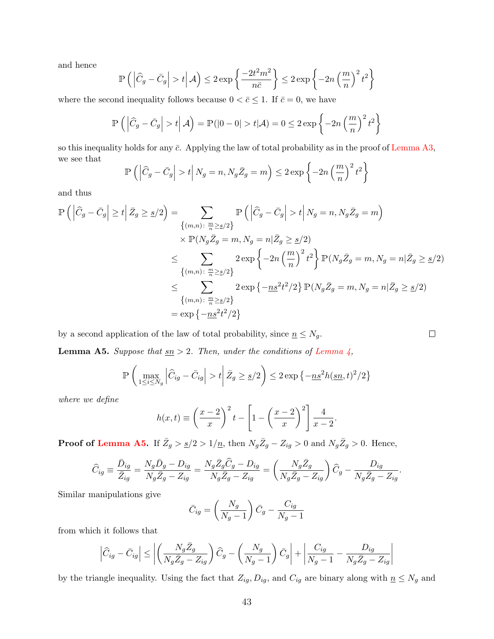and hence

$$
\mathbb{P}\left(\left|\widehat{C}_g - \bar{C}_g\right| > t \middle| \mathcal{A}\right) \le 2 \exp\left\{\frac{-2t^2m^2}{n\bar{c}}\right\} \le 2 \exp\left\{-2n\left(\frac{m}{n}\right)^2 t^2\right\}
$$

where the second inequality follows because  $0 < \bar{c} \leq 1$ . If  $\bar{c} = 0$ , we have

$$
\mathbb{P}\left(\left|\widehat{C}_g - \bar{C}_g\right| > t \middle| \mathcal{A}\right) = \mathbb{P}(|0 - 0| > t | \mathcal{A}) = 0 \le 2 \exp\left\{-2n\left(\frac{m}{n}\right)^2 t^2\right\}
$$

so this inequality holds for any  $\bar{c}$ . Applying the law of total probability as in the proof of [Lemma A3,](#page-41-0) we see that

$$
\mathbb{P}\left(\left|\widehat{C}_g - \bar{C}_g\right| > t \middle| N_g = n, N_g \bar{Z}_g = m\right) \le 2 \exp\left\{-2n\left(\frac{m}{n}\right)^2 t^2\right\}
$$

and thus

$$
\mathbb{P}\left(\left|\widehat{C}_{g}-\bar{C}_{g}\right|\geq t\Big|\bar{Z}_{g}\geq \underline{s}/2\right)=\sum_{\{(m,n):\ \frac{m}{n}\geq \underline{s}/2\}}\mathbb{P}\left(\left|\widehat{C}_{g}-\bar{C}_{g}\right|>t\Big|N_{g}=n,N_{g}\bar{Z}_{g}=m\right)
$$
\n
$$
\times\mathbb{P}(N_{g}\bar{Z}_{g}=m,N_{g}=n|\bar{Z}_{g}\geq \underline{s}/2)
$$
\n
$$
\leq \sum_{\{(m,n):\ \frac{m}{n}\geq \underline{s}/2\}} 2\exp\left\{-2n\left(\frac{m}{n}\right)^{2}t^{2}\right\}\mathbb{P}(N_{g}\bar{Z}_{g}=m,N_{g}=n|\bar{Z}_{g}\geq \underline{s}/2)
$$
\n
$$
\leq \sum_{\{(m,n):\ \frac{m}{n}\geq \underline{s}/2\}} 2\exp\left\{-\underline{ns}^{2}t^{2}/2\right\}\mathbb{P}(N_{g}\bar{Z}_{g}=m,N_{g}=n|\bar{Z}_{g}\geq \underline{s}/2)
$$
\n
$$
=\exp\left\{-\underline{ns}^{2}t^{2}/2\right\}
$$

by a second application of the law of total probability, since  $\underline{n} \leq N_g.$ 

<span id="page-42-0"></span>**Lemma A5.** Suppose that  $\underline{sn} > 2$ . Then, under the conditions of [Lemma 4,](#page-22-1)

$$
\mathbb{P}\left(\max_{1\leq i\leq N_g}\left|\widehat{C}_{ig}-\bar{C}_{ig}\right|>t\,\bigg|\,\bar{Z}_g\geq \underline{s}/2\right)\leq 2\exp\left\{-\underline{ns}^2h(\underline{sn},t)^2/2\right\}
$$

where we define

$$
h(x,t) \equiv \left(\frac{x-2}{x}\right)^2 t - \left[1 - \left(\frac{x-2}{x}\right)^2\right] \frac{4}{x-2}.
$$

**Proof of [Lemma A5.](#page-42-0)** If  $\bar{Z}_g > \frac{g}{2} > 1/\underline{n}$ , then  $N_g \bar{Z}_g - Z_{ig} > 0$  and  $N_g \bar{Z}_g > 0$ . Hence,

$$
\widehat{C}_{ig} \equiv \frac{\bar{D}_{ig}}{\bar{Z}_{ig}} = \frac{N_g \bar{D}_g - D_{ig}}{N_g \bar{Z}_g - Z_{ig}} = \frac{N_g \bar{Z}_g \widehat{C}_g - D_{ig}}{N_g \bar{Z}_g - Z_{ig}} = \left(\frac{N_g \bar{Z}_g}{N_g \bar{Z}_g - Z_{ig}}\right) \widehat{C}_g - \frac{D_{ig}}{N_g \bar{Z}_g - Z_{ig}}
$$

Similar manipulations give

$$
\bar{C}_{ig} = \left(\frac{N_g}{N_g - 1}\right)\bar{C}_g - \frac{C_{ig}}{N_g - 1}
$$

from which it follows that

$$
\left| \widehat{C}_{ig} - \bar{C}_{ig} \right| \le \left| \left( \frac{N_g \bar{Z}_g}{N_g \bar{Z}_g - Z_{ig}} \right) \widehat{C}_g - \left( \frac{N_g}{N_g - 1} \right) \bar{C}_g \right| + \left| \frac{C_{ig}}{N_g - 1} - \frac{D_{ig}}{N_g \bar{Z}_g - Z_{ig}} \right|
$$

by the triangle inequality. Using the fact that  $Z_{ig}, D_{ig}$ , and  $C_{ig}$  are binary along with  $\underline{n} \leq N_g$  and

| ۰<br>٦ |  | - |  |
|--------|--|---|--|
|        |  |   |  |
|        |  |   |  |

.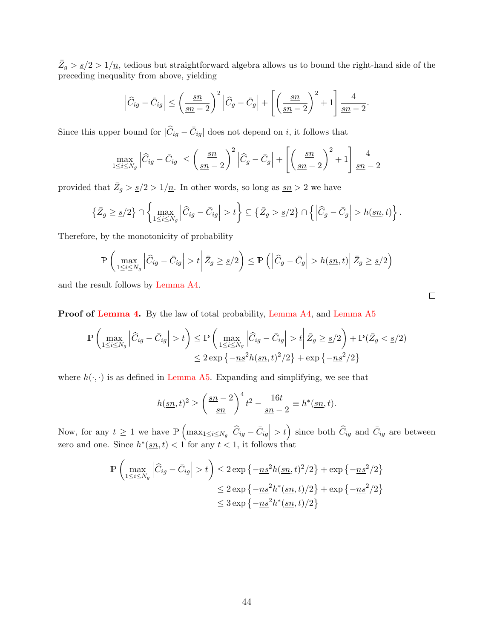$\bar{Z}_g > \frac{g}{2} > 1/\underline{n}$ , tedious but straightforward algebra allows us to bound the right-hand side of the preceding inequality from above, yielding

$$
\left|\widehat{C}_{ig} - \bar{C}_{ig}\right| \le \left(\frac{sn}{sn-2}\right)^2 \left|\widehat{C}_g - \bar{C}_g\right| + \left[\left(\frac{sn}{sn-2}\right)^2 + 1\right] \frac{4}{sn-2}.
$$

Since this upper bound for  $|\widehat{C}_{ig} - \bar{C}_{ig}|$  does not depend on *i*, it follows that

$$
\max_{1 \le i \le N_g} \left| \widehat{C}_{ig} - \bar{C}_{ig} \right| \le \left( \frac{sn}{sn - 2} \right)^2 \left| \widehat{C}_g - \bar{C}_g \right| + \left[ \left( \frac{sn}{sn - 2} \right)^2 + 1 \right] \frac{4}{sn - 2}
$$

provided that  $\bar{Z}_g > \frac{s}{2} > 1/\underline{n}$ . In other words, so long as  $\underline{sn} > 2$  we have

$$
\left\{\bar{Z}_g \geq \underline{s}/2\right\} \cap \left\{\max_{1 \leq i \leq N_g} \left|\widehat{C}_{ig} - \bar{C}_{ig}\right| > t\right\} \subseteq \left\{\bar{Z}_g > \underline{s}/2\right\} \cap \left\{\left|\widehat{C}_g - \bar{C}_g\right| > h(\underline{sn}, t)\right\}.
$$

Therefore, by the monotonicity of probability

$$
\mathbb{P}\left(\max_{1\leq i\leq N_g}\left|\widehat{C}_{ig}-\bar{C}_{ig}\right|>t\,\bigg|\,\bar{Z}_g\geq \underline{s}/2\right)\leq \mathbb{P}\left(\left|\widehat{C}_g-\bar{C}_g\right|>h(\underline{sn},t)\,\bigg|\,\bar{Z}_g\geq \underline{s}/2\right)
$$

and the result follows by [Lemma A4.](#page-41-1)

Proof of [Lemma 4.](#page-22-1) By the law of total probability, [Lemma A4,](#page-41-1) and [Lemma A5](#page-42-0)

$$
\mathbb{P}\left(\max_{1\leq i\leq N_g} \left|\widehat{C}_{ig} - \bar{C}_{ig}\right| > t\right) \leq \mathbb{P}\left(\max_{1\leq i\leq N_g} \left|\widehat{C}_{ig} - \bar{C}_{ig}\right| > t \middle| \bar{Z}_g \geq \underline{s}/2\right) + \mathbb{P}(\bar{Z}_g < \underline{s}/2)
$$

$$
\leq 2\exp\left\{-\underline{ns}^2h(\underline{s}\underline{n},t)^2/2\right\} + \exp\left\{-\underline{ns}^2/2\right\}
$$

where  $h(\cdot, \cdot)$  is as defined in [Lemma A5.](#page-42-0) Expanding and simplifying, we see that

$$
h(\underline{sn}, t)^2 \ge \left(\frac{\underline{sn} - 2}{\underline{sn}}\right)^4 t^2 - \frac{16t}{\underline{sn} - 2} \equiv h^*(\underline{sn}, t).
$$

Now, for any  $t \geq 1$  we have  $\mathbb{P}\left(\max_{1 \leq i \leq N_g} \left| \widehat{C}_{ig} - \bar{C}_{ig} \right| > t\right)$  since both  $\widehat{C}_{ig}$  and  $\bar{C}_{ig}$  are between zero and one. Since  $h^*(\underline{sn}, t) < 1$  for any  $t < 1$ , it follows that

$$
\mathbb{P}\left(\max_{1\leq i\leq N_g} \left|\widehat{C}_{ig} - \bar{C}_{ig}\right| > t\right) \leq 2\exp\left\{-\underline{ns}^2h(\underline{sn},t)^2/2\right\} + \exp\left\{-\underline{ns}^2/2\right\}
$$
  

$$
\leq 2\exp\left\{-\underline{ns}^2h^*(\underline{sn},t)/2\right\} + \exp\left\{-\underline{ns}^2/2\right\}
$$
  

$$
\leq 3\exp\left\{-\underline{ns}^2h^*(\underline{sn},t)/2\right\}
$$

 $\Box$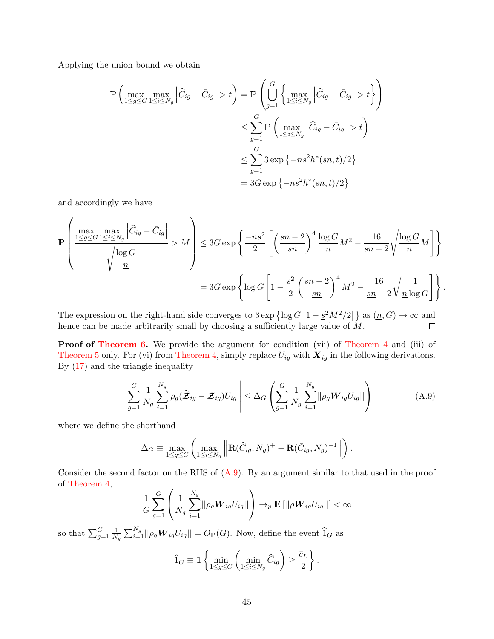Applying the union bound we obtain

$$
\mathbb{P}\left(\max_{1\leq g\leq G}\max_{1\leq i\leq N_g}\left|\widehat{C}_{ig}-\bar{C}_{ig}\right|>t\right) = \mathbb{P}\left(\bigcup_{g=1}^G\left\{\max_{1\leq i\leq N_g}\left|\widehat{C}_{ig}-\bar{C}_{ig}\right|>t\right\}\right)
$$

$$
\leq \sum_{g=1}^G \mathbb{P}\left(\max_{1\leq i\leq N_g}\left|\widehat{C}_{ig}-\bar{C}_{ig}\right|>t\right)
$$

$$
\leq \sum_{g=1}^G 3\exp\left\{-\underline{ns}^2h^*(\underline{sn},t)/2\right\}
$$

$$
= 3G\exp\left\{-\underline{ns}^2h^*(\underline{sn},t)/2\right\}
$$

and accordingly we have

$$
\mathbb{P}\left(\frac{\max\limits_{1\leq g\leq G}\max\limits_{1\leq i\leq N_g}\left|\widehat{C}_{ig}-\bar{C}_{ig}\right|}{\sqrt{\frac{\log{G}}{n}}}>M\right)\leq 3G\exp\left\{-\frac{ns^2}{2}\left[\left(\frac{sn-2}{sn}\right)^4\frac{\log{G}}{n}M^2-\frac{16}{sn-2}\sqrt{\frac{\log{G}}{n}}M\right]\right\}
$$

$$
=3G\exp\left\{\log{G\left[1-\frac{s^2}{2}\left(\frac{sn-2}{sn}\right)^4M^2-\frac{16}{sn-2}\sqrt{\frac{1}{n\log{G}}}\right] \right\}.
$$

The expression on the right-hand side converges to  $3 \exp \{\log G \left[1 - \frac{\varepsilon^2 M^2}{2}\right]\}$  as  $(n, G) \to \infty$  and hence can be made arbitrarily small by choosing a sufficiently large value of  $M$ .  $\Box$ 

**Proof of [Theorem 6.](#page-23-3)** We provide the argument for condition (vii) of [Theorem 4](#page-20-2) and (iii) of [Theorem 5](#page-21-2) only. For (vi) from [Theorem 4,](#page-20-2) simply replace  $U_{ig}$  with  $X_{ig}$  in the following derivations. By [\(17\)](#page-22-2) and the triangle inequality

<span id="page-44-0"></span>
$$
\left\| \sum_{g=1}^{G} \frac{1}{N_g} \sum_{i=1}^{N_g} \rho_g(\widehat{\mathcal{Z}}_{ig} - \mathcal{Z}_{ig}) U_{ig} \right\| \leq \Delta_G \left( \sum_{g=1}^{G} \frac{1}{N_g} \sum_{i=1}^{N_g} ||\rho_g \mathbf{W}_{ig} U_{ig}|| \right)
$$
(A.9)

where we define the shorthand

$$
\Delta_G \equiv \max_{1 \le g \le G} \left( \max_{1 \le i \le N_g} \left\| \mathbf{R}(\widehat{C}_{ig}, N_g)^+ - \mathbf{R}(\bar{C}_{ig}, N_g)^{-1} \right\| \right).
$$

Consider the second factor on the RHS of [\(A.9\)](#page-44-0). By an argument similar to that used in the proof of [Theorem 4,](#page-20-2)

$$
\frac{1}{G}\sum_{g=1}^G\left(\frac{1}{N_g}\sum_{i=1}^{N_g}||\rho_g \boldsymbol{W}_{ig}U_{ig}||\right) \rightarrow_p \mathbb{E}\left[||\rho \boldsymbol{W}_{ig}U_{ig}||\right] < \infty
$$

so that  $\sum_{g=1}^{G} \frac{1}{N}$  $\frac{1}{N_g}\sum_{i=1}^{N_g}||\rho_g \boldsymbol{W}_{ig}U_{ig}|| = O_{\mathbb{P}}(G)$ . Now, define the event  $\widehat{1}_G$  as

$$
\widehat{1}_G \equiv \mathbb{1}\left\{\min_{1\leq g\leq G}\left(\min_{1\leq i\leq N_g}\widehat{C}_{ig}\right) \geq \frac{\bar{c}_L}{2}\right\}.
$$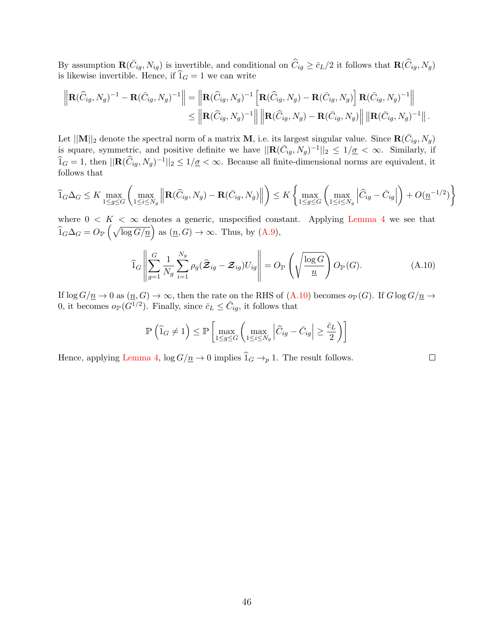By assumption  $\mathbf{R}(\bar{C}_{ig}, N_{ig})$  is invertible, and conditional on  $\widehat{C}_{ig} \ge \bar{c}_L/2$  it follows that  $\mathbf{R}(\widehat{C}_{ig}, N_g)$ is likewise invertible. Hence, if  $\widehat{1}_G = 1$  we can write

$$
\left\| \mathbf{R}(\widehat{C}_{ig}, N_g)^{-1} - \mathbf{R}(\bar{C}_{ig}, N_g)^{-1} \right\| = \left\| \mathbf{R}(\widehat{C}_{ig}, N_g)^{-1} \left[ \mathbf{R}(\widehat{C}_{ig}, N_g) - \mathbf{R}(\bar{C}_{ig}, N_g) \right] \mathbf{R}(\bar{C}_{ig}, N_g)^{-1} \right\|
$$
  

$$
\leq \left\| \mathbf{R}(\widehat{C}_{ig}, N_g)^{-1} \right\| \left\| \mathbf{R}(\widehat{C}_{ig}, N_g) - \mathbf{R}(\bar{C}_{ig}, N_g) \right\| \left\| \mathbf{R}(\bar{C}_{ig}, N_g)^{-1} \right\|.
$$

Let  $\|\mathbf{M}\|_2$  denote the spectral norm of a matrix **M**, i.e. its largest singular value. Since  $\mathbf{R}(\bar{C}_{ig}, N_g)$ is square, symmetric, and positive definite we have  $\|\mathbf{R}(\bar{C}_{ig}, N_g)^{-1}\|_2 \leq 1/\underline{\sigma} < \infty$ . Similarly, if  $\widehat{1}_G = 1$ , then  $||\mathbf{R}(\widehat{C}_{ig}, N_g)^{-1}||_2 \leq 1/\underline{\sigma} < \infty$ . Because all finite-dimensional norms are equivalent, it follows that

$$
\widehat{1}_G \Delta_G \le K \max_{1 \le g \le G} \left( \max_{1 \le i \le N_g} \left\| \mathbf{R}(\widehat{C}_{ig}, N_g) - \mathbf{R}(\bar{C}_{ig}, N_g) \right\| \right) \le K \left\{ \max_{1 \le g \le G} \left( \max_{1 \le i \le N_g} \left| \widehat{C}_{ig} - \bar{C}_{ig} \right| \right) + O(\underline{n}^{-1/2}) \right\}
$$

where  $0 \lt K \lt \infty$  denotes a generic, unspecified constant. Applying [Lemma 4](#page-22-1) we see that  $\widehat{1}_G \Delta_G = O_{\mathbb{P}} \left( \sqrt{\log G / \underline{n}} \right)$  as  $(\underline{n}, G) \to \infty$ . Thus, by  $(A.9)$ ,

<span id="page-45-0"></span>
$$
\widehat{1}_G \left\| \sum_{g=1}^G \frac{1}{N_g} \sum_{i=1}^{N_g} \rho_g (\widehat{\mathcal{Z}}_{ig} - \mathcal{Z}_{ig}) U_{ig} \right\| = O_{\mathbb{P}} \left( \sqrt{\frac{\log G}{n}} \right) O_{\mathbb{P}}(G). \tag{A.10}
$$

If  $\log G/n \to 0$  as  $(n, G) \to \infty$ , then the rate on the RHS of  $(A.10)$  becomes  $o_{\mathbb{P}}(G)$ . If  $G \log G/n \to$ 0, it becomes  $o_{\mathbb{P}}(G^{1/2})$ . Finally, since  $\bar{c}_L \leq \bar{C}_{ig}$ , it follows that

$$
\mathbb{P}\left(\widehat{1}_G \neq 1\right) \le \mathbb{P}\left[\max_{1 \le g \le G} \left(\max_{1 \le i \le N_g} \left|\widehat{C}_{ig} - \bar{C}_{ig}\right| \ge \frac{\bar{c}_L}{2}\right)\right]
$$

Hence, applying [Lemma 4,](#page-22-1)  $\log G/n \to 0$  implies  $\widehat{1}_G \to_p 1$ . The result follows.

46

 $\Box$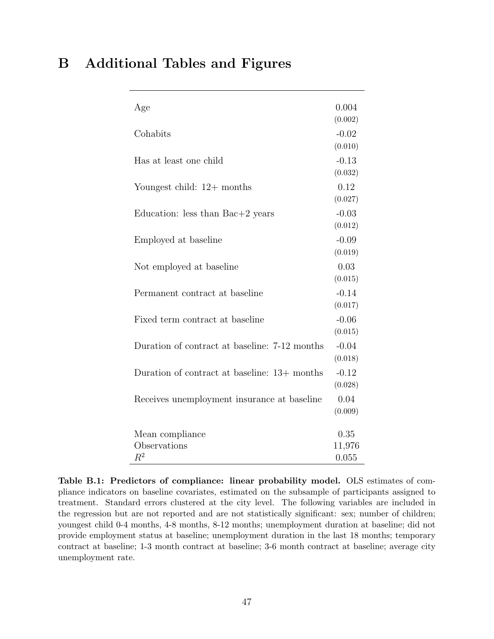<span id="page-46-1"></span><span id="page-46-0"></span>

|  | <b>B</b> Additional Tables and Figures |  |  |  |
|--|----------------------------------------|--|--|--|
|--|----------------------------------------|--|--|--|

| Age                                           | 0.004   |
|-----------------------------------------------|---------|
|                                               | (0.002) |
| Cohabits                                      | $-0.02$ |
|                                               | (0.010) |
| Has at least one child                        | $-0.13$ |
|                                               | (0.032) |
| Youngest child: $12+$ months                  | 0.12    |
|                                               | (0.027) |
| Education: less than $Bac+2$ years            | $-0.03$ |
|                                               | (0.012) |
| Employed at baseline                          | $-0.09$ |
|                                               | (0.019) |
| Not employed at baseline                      | 0.03    |
|                                               | (0.015) |
| Permanent contract at baseline                | $-0.14$ |
|                                               | (0.017) |
| Fixed term contract at baseline               | $-0.06$ |
|                                               | (0.015) |
| Duration of contract at baseline: 7-12 months | $-0.04$ |
|                                               | (0.018) |
| Duration of contract at baseline: 13+ months  | $-0.12$ |
|                                               | (0.028) |
| Receives unemployment insurance at baseline   | 0.04    |
|                                               | (0.009) |
| Mean compliance                               | 0.35    |
| Observations                                  | 11,976  |
| $R^2$                                         | 0.055   |

Table B.1: Predictors of compliance: linear probability model. OLS estimates of compliance indicators on baseline covariates, estimated on the subsample of participants assigned to treatment. Standard errors clustered at the city level. The following variables are included in the regression but are not reported and are not statistically significant: sex; number of children; youngest child 0-4 months, 4-8 months, 8-12 months; unemployment duration at baseline; did not provide employment status at baseline; unemployment duration in the last 18 months; temporary contract at baseline; 1-3 month contract at baseline; 3-6 month contract at baseline; average city unemployment rate.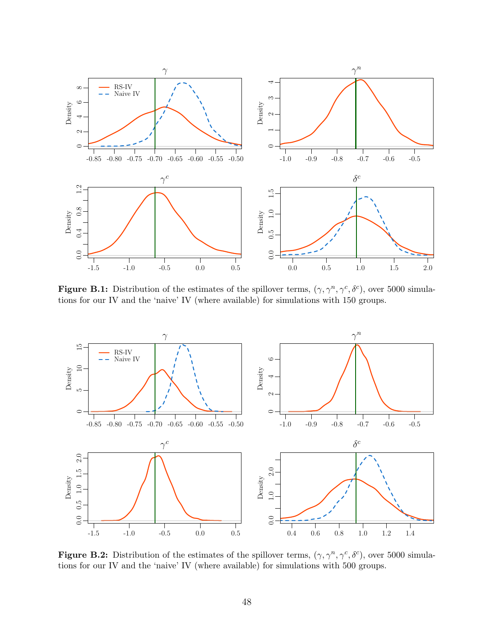

Figure B.1: Distribution of the estimates of the spillover terms,  $(\gamma, \gamma^n, \gamma^c, \delta^c)$ , over 5000 simulations for our IV and the 'naive' IV (where available) for simulations with 150 groups.



Figure B.2: Distribution of the estimates of the spillover terms,  $(\gamma, \gamma^n, \gamma^c, \delta^c)$ , over 5000 simulations for our IV and the 'naive' IV (where available) for simulations with 500 groups.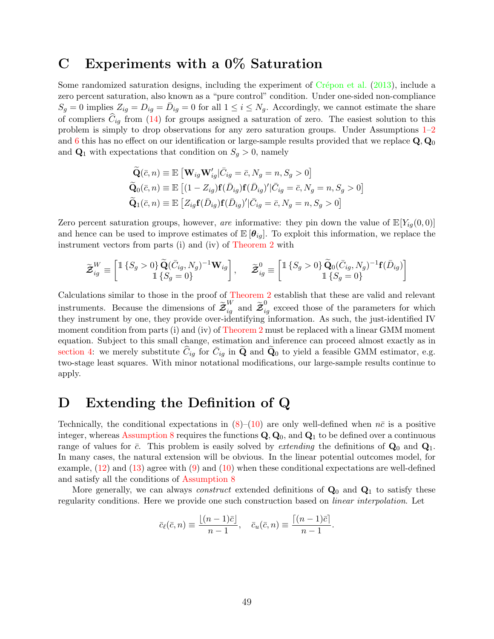### <span id="page-48-1"></span>C Experiments with a 0% Saturation

Some randomized saturation designs, including the experiment of  $C$ répon et al. [\(2013\)](#page-32-0), include a zero percent saturation, also known as a "pure control" condition. Under one-sided non-compliance  $S_g = 0$  implies  $Z_{ig} = D_{ig} = \bar{D}_{ig} = 0$  for all  $1 \leq i \leq N_g$ . Accordingly, we cannot estimate the share of compliers  $C_{iq}$  from [\(14\)](#page-18-2) for groups assigned a saturation of zero. The easiest solution to this problem is simply to drop observations for any zero saturation groups. Under Assumptions [1–](#page-5-0)[2](#page-6-1) and [6](#page-11-1) this has no effect on our identification or large-sample results provided that we replace  $\mathbf{Q}, \mathbf{Q}_0$ and  $\mathbf{Q}_1$  with expectations that condition on  $S_g > 0$ , namely

$$
\widetilde{\mathbf{Q}}(\bar{c}, n) \equiv \mathbb{E}\left[\mathbf{W}_{ig}\mathbf{W}_{ig}^{\prime}|\bar{C}_{ig} = \bar{c}, N_g = n, S_g > 0\right]
$$
  
\n
$$
\widetilde{\mathbf{Q}}_0(\bar{c}, n) \equiv \mathbb{E}\left[(1 - Z_{ig})\mathbf{f}(\bar{D}_{ig})\mathbf{f}(\bar{D}_{ig})^{\prime}|\bar{C}_{ig} = \bar{c}, N_g = n, S_g > 0\right]
$$
  
\n
$$
\widetilde{\mathbf{Q}}_1(\bar{c}, n) \equiv \mathbb{E}\left[Z_{ig}\mathbf{f}(\bar{D}_{ig})\mathbf{f}(\bar{D}_{ig})^{\prime}|\bar{C}_{ig} = \bar{c}, N_g = n, S_g > 0\right]
$$

Zero percent saturation groups, however, are informative: they pin down the value of  $\mathbb{E}[Y_{iq}(0,0)]$ and hence can be used to improve estimates of  $\mathbb{E}[\theta_{iq}]$ . To exploit this information, we replace the instrument vectors from parts (i) and (iv) of [Theorem 2](#page-14-0) with

$$
\widetilde{\mathbf{\mathcal{Z}}}^{W}_{ig} \equiv \begin{bmatrix} \mathbb{1}\left\{S_g > 0\right\} \widetilde{\mathbf{Q}}(\bar{C}_{ig}, N_g)^{-1} \mathbf{W}_{ig} \\ \mathbb{1}\left\{S_g = 0\right\} \end{bmatrix}, \quad \widetilde{\mathbf{\mathcal{Z}}}^{0}_{ig} \equiv \begin{bmatrix} \mathbb{1}\left\{S_g > 0\right\} \widetilde{\mathbf{Q}}_0(\bar{C}_{ig}, N_g)^{-1} \mathbf{f}(\bar{D}_{ig}) \\ \mathbb{1}\left\{S_g = 0\right\} \end{bmatrix}
$$

Calculations similar to those in the proof of [Theorem 2](#page-14-0) establish that these are valid and relevant instruments. Because the dimensions of  $\widetilde{\mathcal{Z}}_{ig}^{W}$  and  $\widetilde{\mathcal{Z}}_{ig}^{0}$  exceed those of the parameters for which they instrument by one, they provide over-identifying information. As such, the just-identified IV moment condition from parts (i) and (iv) of [Theorem 2](#page-14-0) must be replaced with a linear GMM moment equation. Subject to this small change, estimation and inference can proceed almost exactly as in [section 4:](#page-18-0) we merely substitute  $\hat{C}_{ig}$  for  $\overline{C}_{ig}$  in  $\widetilde{Q}$  and  $\widetilde{Q}_0$  to yield a feasible GMM estimator, e.g. two-stage least squares. With minor notational modifications, our large-sample results continue to apply.

### <span id="page-48-0"></span>D Extending the Definition of Q

Technically, the conditional expectations in  $(8)-(10)$  $(8)-(10)$  $(8)-(10)$  are only well-defined when  $n\bar{c}$  is a positive integer, whereas [Assumption 8](#page-23-1) requires the functions  $\mathbf{Q}, \mathbf{Q}_0$ , and  $\mathbf{Q}_1$  to be defined over a continuous range of values for  $\bar{c}$ . This problem is easily solved by *extending* the definitions of  $\mathbf{Q}_0$  and  $\mathbf{Q}_1$ . In many cases, the natural extension will be obvious. In the linear potential outcomes model, for example, [\(12\)](#page-16-2) and [\(13\)](#page-16-3) agree with [\(9\)](#page-13-3) and [\(10\)](#page-13-2) when these conditional expectations are well-defined and satisfy all the conditions of [Assumption 8](#page-23-1)

More generally, we can always *construct* extended definitions of  $\mathbf{Q}_0$  and  $\mathbf{Q}_1$  to satisfy these regularity conditions. Here we provide one such construction based on linear interpolation. Let

$$
\bar{c}_{\ell}(\bar{c}, n) \equiv \frac{\lfloor (n-1)\bar{c} \rfloor}{n-1}, \quad \bar{c}_{u}(\bar{c}, n) \equiv \frac{\lceil (n-1)\bar{c} \rceil}{n-1}.
$$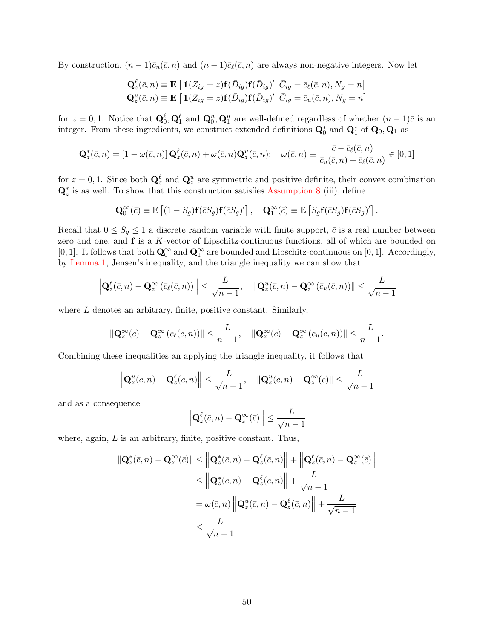By construction,  $(n-1)\bar{c}_u(\bar{c}, n)$  and  $(n-1)\bar{c}_\ell(\bar{c}, n)$  are always non-negative integers. Now let

$$
\mathbf{Q}_{z}^{\ell}(\bar{c}, n) \equiv \mathbb{E}\left[\mathbb{1}(Z_{ig} = z)\mathbf{f}(\bar{D}_{ig})\mathbf{f}(\bar{D}_{ig})'\right] \bar{C}_{ig} = \bar{c}_{\ell}(\bar{c}, n), N_{g} = n\right]
$$
  

$$
\mathbf{Q}_{z}^{u}(\bar{c}, n) \equiv \mathbb{E}\left[\mathbb{1}(Z_{ig} = z)\mathbf{f}(\bar{D}_{ig})\mathbf{f}(\bar{D}_{ig})'\right] \bar{C}_{ig} = \bar{c}_{u}(\bar{c}, n), N_{g} = n\right]
$$

for  $z = 0, 1$ . Notice that  $\mathbf{Q}_0^{\ell}, \mathbf{Q}_1^{\ell}$  and  $\mathbf{Q}_0^u, \mathbf{Q}_1^u$  are well-defined regardless of whether  $(n-1)\bar{c}$  is an integer. From these ingredients, we construct extended definitions  $\mathbf{Q}_0^*$  and  $\mathbf{Q}_1^*$  of  $\mathbf{Q}_0$ ,  $\mathbf{Q}_1$  as

$$
\mathbf{Q}_{z}^{*}(\bar{c},n) = \left[1 - \omega(\bar{c},n)\right] \mathbf{Q}_{z}^{\ell}(\bar{c},n) + \omega(\bar{c},n) \mathbf{Q}_{z}^{u}(\bar{c},n); \quad \omega(\bar{c},n) \equiv \frac{\bar{c} - \bar{c}_{\ell}(\bar{c},n)}{\bar{c}_{u}(\bar{c},n) - \bar{c}_{\ell}(\bar{c},n)} \in [0,1]
$$

for  $z = 0, 1$ . Since both  $\mathbf{Q}_z^{\ell}$  and  $\mathbf{Q}_z^u$  are symmetric and positive definite, their convex combination  $\mathbf{Q}_{z}^{*}$  is as well. To show that this construction satisfies [Assumption 8](#page-23-1) (iii), define

$$
\mathbf{Q}_0^{\infty}(\bar{c}) \equiv \mathbb{E}\left[ (1 - S_g)\mathbf{f}(\bar{c}S_g)\mathbf{f}(\bar{c}S_g)' \right], \quad \mathbf{Q}_1^{\infty}(\bar{c}) \equiv \mathbb{E}\left[ S_g\mathbf{f}(\bar{c}S_g)\mathbf{f}(\bar{c}S_g)' \right].
$$

Recall that  $0 \le S_g \le 1$  a discrete random variable with finite support,  $\bar{c}$  is a real number between zero and one, and **f** is a K-vector of Lipschitz-continuous functions, all of which are bounded on [0, 1]. It follows that both  $\mathbf{Q}_0^{\infty}$  and  $\mathbf{Q}_1^{\infty}$  are bounded and Lipschitz-continuous on [0, 1]. Accordingly, by [Lemma 1,](#page-11-2) Jensen's inequality, and the triangle inequality we can show that

$$
\left\| \mathbf{Q}_{z}^{\ell}(\bar{c}, n) - \mathbf{Q}_{z}^{\infty} \left( \bar{c}_{\ell}(\bar{c}, n) \right) \right\| \leq \frac{L}{\sqrt{n-1}}, \quad \left\| \mathbf{Q}_{z}^{u}(\bar{c}, n) - \mathbf{Q}_{z}^{\infty} \left( \bar{c}_{u}(\bar{c}, n) \right) \right\| \leq \frac{L}{\sqrt{n-1}}
$$

where  $L$  denotes an arbitrary, finite, positive constant. Similarly,

$$
\|\mathbf{Q}_{z}^{\infty}(\bar{c})-\mathbf{Q}_{z}^{\infty}(\bar{c}_{\ell}(\bar{c},n))\|\leq \frac{L}{n-1},\quad \|\mathbf{Q}_{z}^{\infty}(\bar{c})-\mathbf{Q}_{z}^{\infty}(\bar{c}_{u}(\bar{c},n))\|\leq \frac{L}{n-1}.
$$

Combining these inequalities an applying the triangle inequality, it follows that

$$
\left\| \mathbf{Q}_{z}^{u}(\bar{c}, n) - \mathbf{Q}_{z}^{\ell}(\bar{c}, n) \right\| \leq \frac{L}{\sqrt{n-1}}, \quad \left\| \mathbf{Q}_{z}^{u}(\bar{c}, n) - \mathbf{Q}_{z}^{\infty}(\bar{c}) \right\| \leq \frac{L}{\sqrt{n-1}}
$$

and as a consequence

$$
\left\|\mathbf{Q}_{z}^{\ell}(\bar{c}, n)-\mathbf{Q}_{z}^{\infty}(\bar{c})\right\| \leq \frac{L}{\sqrt{n-1}}
$$

where, again,  $L$  is an arbitrary, finite, positive constant. Thus,

$$
\begin{aligned} \|\mathbf{Q}_{z}^{*}(\bar{c},n)-\mathbf{Q}_{z}^{\infty}(\bar{c})\| &\leq \left\|\mathbf{Q}_{z}^{*}(\bar{c},n)-\mathbf{Q}_{z}^{\ell}(\bar{c},n)\right\|+\left\|\mathbf{Q}_{z}^{\ell}(\bar{c},n)-\mathbf{Q}_{z}^{\infty}(\bar{c})\right\|\\ &\leq \left\|\mathbf{Q}_{z}^{*}(\bar{c},n)-\mathbf{Q}_{z}^{\ell}(\bar{c},n)\right\|+\frac{L}{\sqrt{n-1}}\\ &=\omega(\bar{c},n)\left\|\mathbf{Q}_{z}^{u}(\bar{c},n)-\mathbf{Q}_{z}^{\ell}(\bar{c},n)\right\|+\frac{L}{\sqrt{n-1}}\\ &\leq \frac{L}{\sqrt{n-1}} \end{aligned}
$$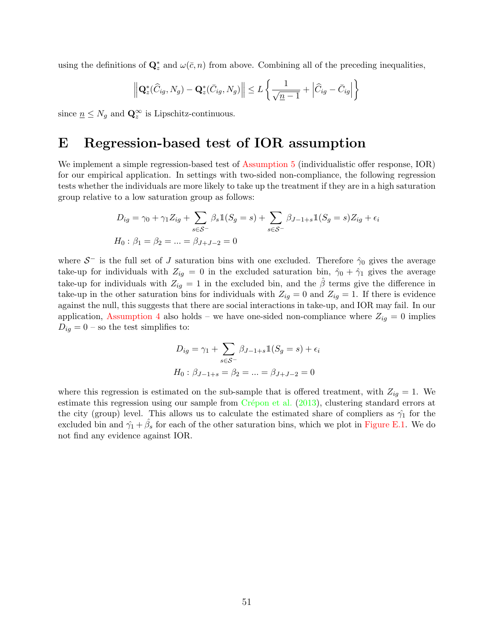using the definitions of  $\mathbf{Q}_z^*$  and  $\omega(\bar{c}, n)$  from above. Combining all of the preceding inequalities,

$$
\left\| \mathbf{Q}_{z}^{*}(\widehat{C}_{ig}, N_{g}) - \mathbf{Q}_{z}^{*}(\overline{C}_{ig}, N_{g}) \right\| \leq L \left\{ \frac{1}{\sqrt{\underline{n-1}}} + \left| \widehat{C}_{ig} - \overline{C}_{ig} \right| \right\}
$$

since  $\underline{n} \leq N_g$  and  $\mathbf{Q}_z^{\infty}$  is Lipschitz-continuous.

### <span id="page-50-0"></span>E Regression-based test of IOR assumption

We implement a simple regression-based test of [Assumption 5](#page-9-1) (individualistic offer response, IOR) for our empirical application. In settings with two-sided non-compliance, the following regression tests whether the individuals are more likely to take up the treatment if they are in a high saturation group relative to a low saturation group as follows:

$$
D_{ig} = \gamma_0 + \gamma_1 Z_{ig} + \sum_{s \in S^-} \beta_s \mathbb{1}(S_g = s) + \sum_{s \in S^-} \beta_{J-1+s} \mathbb{1}(S_g = s) Z_{ig} + \epsilon_i
$$
  

$$
H_0: \beta_1 = \beta_2 = \dots = \beta_{J+J-2} = 0
$$

where  $S^-$  is the full set of J saturation bins with one excluded. Therefore  $\hat{\gamma}_0$  gives the average take-up for individuals with  $Z_{ig} = 0$  in the excluded saturation bin,  $\hat{\gamma}_0 + \hat{\gamma}_1$  gives the average take-up for individuals with  $Z_{ig} = 1$  in the excluded bin, and the  $\hat{\beta}$  terms give the difference in take-up in the other saturation bins for individuals with  $Z_{iq} = 0$  and  $Z_{iq} = 1$ . If there is evidence against the null, this suggests that there are social interactions in take-up, and IOR may fail. In our application, [Assumption 4](#page-9-3) also holds – we have one-sided non-compliance where  $Z_{ig} = 0$  implies  $D_{ig} = 0$  – so the test simplifies to:

$$
D_{ig} = \gamma_1 + \sum_{s \in S^-} \beta_{J-1+s} \mathbb{1}(S_g = s) + \epsilon_i
$$
  

$$
H_0: \beta_{J-1+s} = \beta_2 = \dots = \beta_{J+J-2} = 0
$$

where this regression is estimated on the sub-sample that is offered treatment, with  $Z_{iq} = 1$ . We estimate this regression using our sample from  $Cr\acute{e}pon$  et al. [\(2013\)](#page-32-0), clustering standard errors at the city (group) level. This allows us to calculate the estimated share of compliers as  $\hat{\gamma}_1$  for the excluded bin and  $\hat{\gamma}_1 + \hat{\beta}_s$  for each of the other saturation bins, which we plot in [Figure E.1.](#page-51-0) We do not find any evidence against IOR.